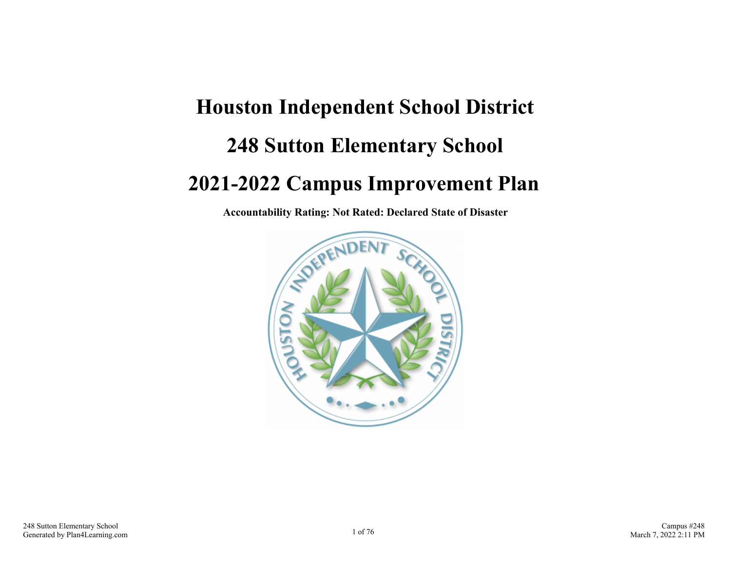# **Houston Independent School District 248 Sutton Elementary School 2021-2022 Campus Improvement Plan**

**Accountability Rating: Not Rated: Declared State of Disaster**

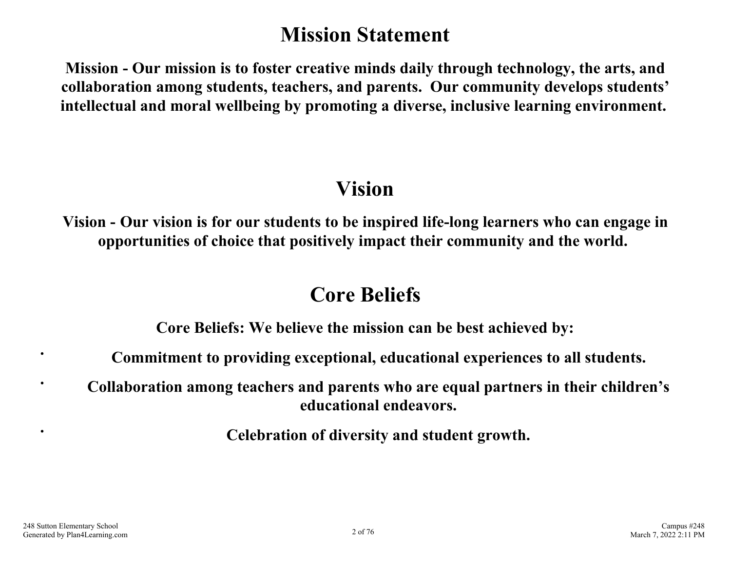## **Mission Statement**

<span id="page-1-0"></span>**Mission - Our mission is to foster creative minds daily through technology, the arts, and collaboration among students, teachers, and parents. Our community develops students' intellectual and moral wellbeing by promoting a diverse, inclusive learning environment.** 

## **Vision**

**Vision - Our vision is for our students to be inspired life-long learners who can engage in opportunities of choice that positively impact their community and the world.** 

## **Core Beliefs**

**Core Beliefs: We believe the mission can be best achieved by:**

**Commitment to providing exceptional, educational experiences to all students.**

**Collaboration among teachers and parents who are equal partners in their children's educational endeavors.**

**Celebration of diversity and student growth.**

 $\bullet$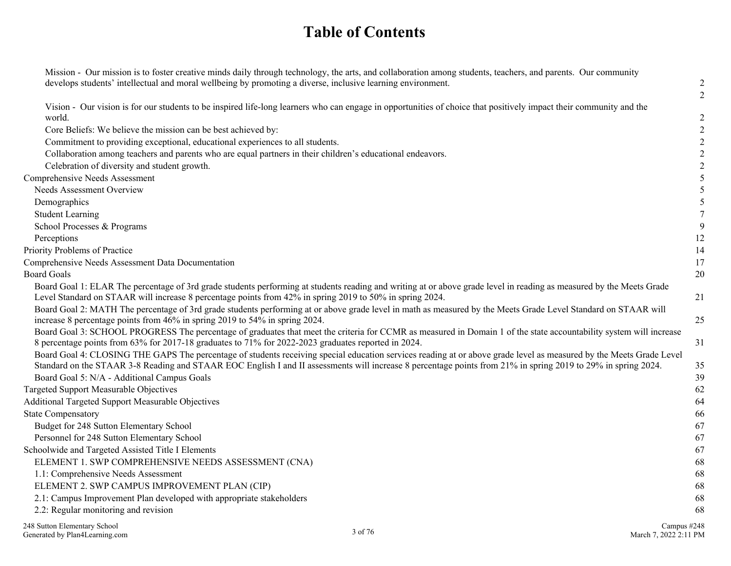### **Table of Contents**

| Mission - Our mission is to foster creative minds daily through technology, the arts, and collaboration among students, teachers, and parents. Our community<br>develops students' intellectual and moral wellbeing by promoting a diverse, inclusive learning environment.                                                          | $\mathfrak{2}$ |
|--------------------------------------------------------------------------------------------------------------------------------------------------------------------------------------------------------------------------------------------------------------------------------------------------------------------------------------|----------------|
| Vision - Our vision is for our students to be inspired life-long learners who can engage in opportunities of choice that positively impact their community and the                                                                                                                                                                   |                |
| world.                                                                                                                                                                                                                                                                                                                               | $\overline{c}$ |
| Core Beliefs: We believe the mission can be best achieved by:                                                                                                                                                                                                                                                                        | $\overline{2}$ |
| Commitment to providing exceptional, educational experiences to all students.                                                                                                                                                                                                                                                        |                |
| Collaboration among teachers and parents who are equal partners in their children's educational endeavors.                                                                                                                                                                                                                           |                |
| Celebration of diversity and student growth.                                                                                                                                                                                                                                                                                         | 2              |
| Comprehensive Needs Assessment                                                                                                                                                                                                                                                                                                       |                |
| <b>Needs Assessment Overview</b>                                                                                                                                                                                                                                                                                                     |                |
| Demographics                                                                                                                                                                                                                                                                                                                         |                |
| <b>Student Learning</b>                                                                                                                                                                                                                                                                                                              |                |
| School Processes & Programs                                                                                                                                                                                                                                                                                                          | 9              |
| Perceptions                                                                                                                                                                                                                                                                                                                          | 12             |
| Priority Problems of Practice                                                                                                                                                                                                                                                                                                        | 14             |
| Comprehensive Needs Assessment Data Documentation                                                                                                                                                                                                                                                                                    | 17             |
| <b>Board Goals</b>                                                                                                                                                                                                                                                                                                                   | 20             |
| Board Goal 1: ELAR The percentage of 3rd grade students performing at students reading and writing at or above grade level in reading as measured by the Meets Grade<br>Level Standard on STAAR will increase 8 percentage points from 42% in spring 2019 to 50% in spring 2024.                                                     | 21             |
| Board Goal 2: MATH The percentage of 3rd grade students performing at or above grade level in math as measured by the Meets Grade Level Standard on STAAR will<br>increase 8 percentage points from 46% in spring 2019 to 54% in spring 2024.                                                                                        | 25             |
| Board Goal 3: SCHOOL PROGRESS The percentage of graduates that meet the criteria for CCMR as measured in Domain 1 of the state accountability system will increase<br>8 percentage points from 63% for 2017-18 graduates to 71% for 2022-2023 graduates reported in 2024.                                                            | 31             |
| Board Goal 4: CLOSING THE GAPS The percentage of students receiving special education services reading at or above grade level as measured by the Meets Grade Level<br>Standard on the STAAR 3-8 Reading and STAAR EOC English I and II assessments will increase 8 percentage points from 21% in spring 2019 to 29% in spring 2024. | 35             |
| Board Goal 5: N/A - Additional Campus Goals                                                                                                                                                                                                                                                                                          | 39             |
| <b>Targeted Support Measurable Objectives</b>                                                                                                                                                                                                                                                                                        | 62             |
| <b>Additional Targeted Support Measurable Objectives</b>                                                                                                                                                                                                                                                                             | 64             |
| <b>State Compensatory</b>                                                                                                                                                                                                                                                                                                            | 66             |
| Budget for 248 Sutton Elementary School                                                                                                                                                                                                                                                                                              | 67             |
| Personnel for 248 Sutton Elementary School                                                                                                                                                                                                                                                                                           | 67             |
| Schoolwide and Targeted Assisted Title I Elements                                                                                                                                                                                                                                                                                    | 67             |
| ELEMENT 1. SWP COMPREHENSIVE NEEDS ASSESSMENT (CNA)                                                                                                                                                                                                                                                                                  | 68             |
| 1.1: Comprehensive Needs Assessment                                                                                                                                                                                                                                                                                                  | 68             |
| ELEMENT 2. SWP CAMPUS IMPROVEMENT PLAN (CIP)                                                                                                                                                                                                                                                                                         | 68             |
| 2.1: Campus Improvement Plan developed with appropriate stakeholders                                                                                                                                                                                                                                                                 | 68             |
| 2.2: Regular monitoring and revision                                                                                                                                                                                                                                                                                                 | 68             |
| 248 Sutton Elementary School                                                                                                                                                                                                                                                                                                         | Campus $\#248$ |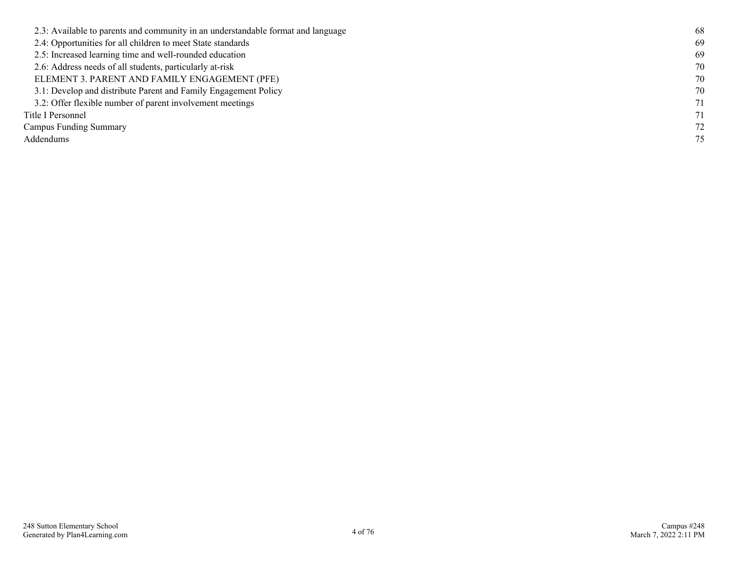| 2.3: Available to parents and community in an understandable format and language | 68 |
|----------------------------------------------------------------------------------|----|
| 2.4: Opportunities for all children to meet State standards                      | 69 |
| 2.5: Increased learning time and well-rounded education                          | 69 |
| 2.6: Address needs of all students, particularly at-risk                         | 70 |
| ELEMENT 3. PARENT AND FAMILY ENGAGEMENT (PFE)                                    | 70 |
| 3.1: Develop and distribute Parent and Family Engagement Policy                  | 70 |
| 3.2: Offer flexible number of parent involvement meetings                        | 71 |
| Title I Personnel                                                                | 71 |
| <b>Campus Funding Summary</b>                                                    | 72 |
| Addendums                                                                        |    |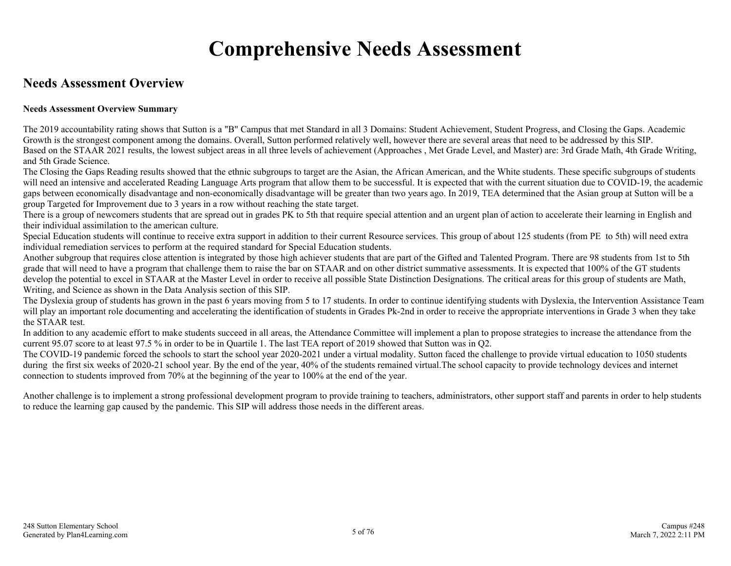## **Comprehensive Needs Assessment**

### <span id="page-4-0"></span>**Needs Assessment Overview**

### **Needs Assessment Overview Summary**

The 2019 accountability rating shows that Sutton is a "B" Campus that met Standard in all 3 Domains: Student Achievement, Student Progress, and Closing the Gaps. Academic Growth is the strongest component among the domains. Overall, Sutton performed relatively well, however there are several areas that need to be addressed by this SIP. Based on the STAAR 2021 results, the lowest subject areas in all three levels of achievement (Approaches , Met Grade Level, and Master) are: 3rd Grade Math, 4th Grade Writing, and 5th Grade Science.

The Closing the Gaps Reading results showed that the ethnic subgroups to target are the Asian, the African American, and the White students. These specific subgroups of students will need an intensive and accelerated Reading Language Arts program that allow them to be successful. It is expected that with the current situation due to COVID-19, the academic gaps between economically disadvantage and non-economically disadvantage will be greater than two years ago. In 2019, TEA determined that the Asian group at Sutton will be a group Targeted for Improvement due to 3 years in a row without reaching the state target.

There is a group of newcomers students that are spread out in grades PK to 5th that require special attention and an urgent plan of action to accelerate their learning in English and their individual assimilation to the american culture.

Special Education students will continue to receive extra support in addition to their current Resource services. This group of about 125 students (from PE to 5th) will need extra individual remediation services to perform at the required standard for Special Education students.

Another subgroup that requires close attention is integrated by those high achiever students that are part of the Gifted and Talented Program. There are 98 students from 1st to 5th grade that will need to have a program that challenge them to raise the bar on STAAR and on other district summative assessments. It is expected that 100% of the GT students develop the potential to excel in STAAR at the Master Level in order to receive all possible State Distinction Designations. The critical areas for this group of students are Math, Writing, and Science as shown in the Data Analysis section of this SIP.

The Dyslexia group of students has grown in the past 6 years moving from 5 to 17 students. In order to continue identifying students with Dyslexia, the Intervention Assistance Team will play an important role documenting and accelerating the identification of students in Grades Pk-2nd in order to receive the appropriate interventions in Grade 3 when they take the STAAR test.

In addition to any academic effort to make students succeed in all areas, the Attendance Committee will implement a plan to propose strategies to increase the attendance from the current 95.07 score to at least 97.5 % in order to be in Quartile 1. The last TEA report of 2019 showed that Sutton was in Q2.

The COVID-19 pandemic forced the schools to start the school year 2020-2021 under a virtual modality. Sutton faced the challenge to provide virtual education to 1050 students during the first six weeks of 2020-21 school year. By the end of the year, 40% of the students remained virtual. The school capacity to provide technology devices and internet connection to students improved from 70% at the beginning of the year to 100% at the end of the year.

Another challenge is to implement a strong professional development program to provide training to teachers, administrators, other support staff and parents in order to help students to reduce the learning gap caused by the pandemic. This SIP will address those needs in the different areas.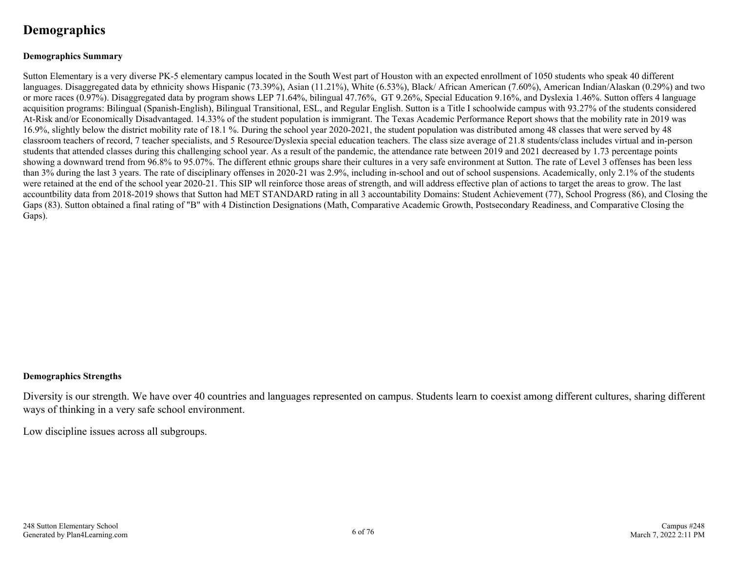### <span id="page-5-0"></span>**Demographics**

### **Demographics Summary**

Sutton Elementary is a very diverse PK-5 elementary campus located in the South West part of Houston with an expected enrollment of 1050 students who speak 40 different languages. Disaggregated data by ethnicity shows Hispanic (73.39%), Asian (11.21%), White (6.53%), Black/ African American (7.60%), American Indian/Alaskan (0.29%) and two or more races  $(0.97\%)$ . Disaggregated data by program shows LEP 71.64%, bilingual 47.76%, GT 9.26%. Special Education 9.16%, and Dyslexia 1.46%. Sutton offers 4 language acquisition programs: Bilingual (Spanish-English), Bilingual Transitional, ESL, and Regular English. Sutton is a Title I schoolwide campus with 93.27% of the students considered At-Risk and/or Economically Disadvantaged. 14.33% of the student population is immigrant. The Texas Academic Performance Report shows that the mobility rate in 2019 was 16.9%, slightly below the district mobility rate of 18.1 %. During the school year 2020-2021, the student population was distributed among 48 classes that were served by 48 classroom teachers of record, 7 teacher specialists, and 5 Resource/Dyslexia special education teachers. The class size average of 21.8 students/class includes virtual and in-person students that attended classes during this challenging school year. As a result of the pandemic, the attendance rate between 2019 and 2021 decreased by 1.73 percentage points showing a downward trend from 96.8% to 95.07%. The different ethnic groups share their cultures in a very safe environment at Sutton. The rate of Level 3 offenses has been less than 3% during the last 3 years. The rate of disciplinary offenses in 2020-21 was 2.9%, including in-school and out of school suspensions. Academically, only 2.1% of the students were retained at the end of the school year 2020-21. This SIP wll reinforce those areas of strength, and will address effective plan of actions to target the areas to grow. The last accountbility data from 2018-2019 shows that Sutton had MET STANDARD rating in all 3 accountability Domains: Student Achievement (77), School Progress (86), and Closing the Gaps (83). Sutton obtained a final rating of "B" with 4 Distinction Designations (Math, Comparative Academic Growth, Postsecondary Readiness, and Comparative Closing the Gaps).

### **Demographics Strengths**

Diversity is our strength. We have over 40 countries and languages represented on campus. Students learn to coexist among different cultures, sharing different ways of thinking in a very safe school environment.

Low discipline issues across all subgroups.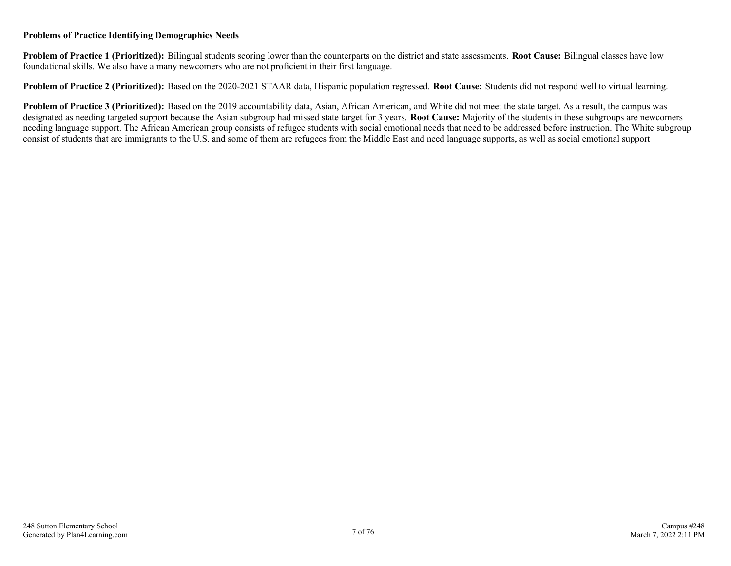### **Problems of Practice Identifying Demographics Needs**

**Problem of Practice 1 (Prioritized):** Bilingual students scoring lower than the counterparts on the district and state assessments. **Root Cause:** Bilingual classes have low foundational skills. We also have a many newcomers who are not proficient in their first language.

**Problem of Practice 2 (Prioritized):** Based on the 2020-2021 STAAR data, Hispanic population regressed. **Root Cause:** Students did not respond well to virtual learning.

**Problem of Practice 3 (Prioritized):** Based on the 2019 accountability data, Asian, African American, and White did not meet the state target. As a result, the campus was designated as needing targeted support because the Asian subgroup had missed state target for 3 years. **Root Cause:** Majority of the students in these subgroups are newcomers needing language support. The African American group consists of refugee students with social emotional needs that need to be addressed before instruction. The White subgroup consist of students that are immigrants to the U.S. and some of them are refugees from the Middle East and need language supports, as well as social emotional support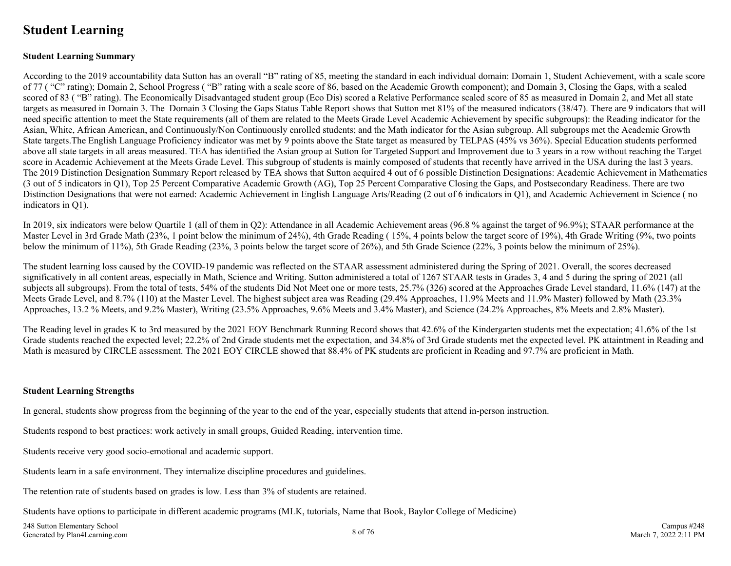### <span id="page-7-0"></span>**Student Learning**

### **Student Learning Summary**

According to the 2019 accountability data Sutton has an overall "B" rating of 85, meeting the standard in each individual domain: Domain 1, Student Achievement, with a scale score of 77 ( "C" rating); Domain 2, School Progress ( "B" rating with a scale score of 86, based on the Academic Growth component); and Domain 3, Closing the Gaps, with a scaled scored of 83 ("B" rating). The Economically Disadvantaged student group (Eco Dis) scored a Relative Performance scaled score of 85 as measured in Domain 2, and Met all state targets as measured in Domain 3. The Domain 3 Closing the Gaps Status Table Report shows that Sutton met 81% of the measured indicators (38/47). There are 9 indicators that will need specific attention to meet the State requirements (all of them are related to the Meets Grade Level Academic Achievement by specific subgroups): the Reading indicator for the Asian, White, African American, and Continuously/Non Continuously enrolled students; and the Math indicator for the Asian subgroup. All subgroups met the Academic Growth State targets.The English Language Proficiency indicator was met by 9 points above the State target as measured by TELPAS (45% vs 36%). Special Education students performed above all state targets in all areas measured. TEA has identified the Asian group at Sutton for Targeted Support and Improvement due to 3 years in a row without reaching the Target score in Academic Achievement at the Meets Grade Level. This subgroup of students is mainly composed of students that recently have arrived in the USA during the last 3 years. The 2019 Distinction Designation Summary Report released by TEA shows that Sutton acquired 4 out of 6 possible Distinction Designations: Academic Achievement in Mathematics (3 out of 5 indicators in Q1), Top 25 Percent Comparative Academic Growth (AG), Top 25 Percent Comparative Closing the Gaps, and Postsecondary Readiness. There are two Distinction Designations that were not earned: Academic Achievement in English Language Arts/Reading (2 out of 6 indicators in Q1), and Academic Achievement in Science ( no indicators in Q1).

In 2019, six indicators were below Quartile 1 (all of them in Q2): Attendance in all Academic Achievement areas (96.8% against the target of 96.9%); STAAR performance at the Master Level in 3rd Grade Math (23%, 1 point below the minimum of 24%), 4th Grade Reading (15%, 4 points below the target score of 19%), 4th Grade Writing (9%, two points below the minimum of 11%), 5th Grade Reading (23%, 3 points below the target score of 26%), and 5th Grade Science (22%, 3 points below the minimum of 25%).

The student learning loss caused by the COVID-19 pandemic was reflected on the STAAR assessment administered during the Spring of 2021. Overall, the scores decreased significatively in all content areas, especially in Math, Science and Writing. Sutton administered a total of 1267 STAAR tests in Grades 3, 4 and 5 during the spring of 2021 (all subjects all subgroups). From the total of tests, 54% of the students Did Not Meet one or more tests, 25.7% (326) scored at the Approaches Grade Level standard, 11.6% (147) at the Meets Grade Level, and 8.7% (110) at the Master Level. The highest subject area was Reading (29.4% Approaches, 11.9% Meets and 11.9% Master) followed by Math (23.3% Approaches, 13.2 % Meets, and 9.2% Master), Writing (23.5% Approaches, 9.6% Meets and 3.4% Master), and Science (24.2% Approaches, 8% Meets and 2.8% Master).

The Reading level in grades K to 3rd measured by the 2021 EOY Benchmark Running Record shows that 42.6% of the Kindergarten students met the expectation; 41.6% of the 1st Grade students reached the expected level; 22.2% of 2nd Grade students met the expectation, and 34.8% of 3rd Grade students met the expected level. PK attaintment in Reading and Math is measured by CIRCLE assessment. The 2021 EOY CIRCLE showed that 88.4% of PK students are proficient in Reading and 97.7% are proficient in Math.

### **Student Learning Strengths**

In general, students show progress from the beginning of the year to the end of the year, especially students that attend in-person instruction.

Students respond to best practices: work actively in small groups, Guided Reading, intervention time.

Students receive very good socio-emotional and academic support.

Students learn in a safe environment. They internalize discipline procedures and guidelines.

The retention rate of students based on grades is low. Less than 3% of students are retained.

Students have options to participate in different academic programs (MLK, tutorials, Name that Book, Baylor College of Medicine)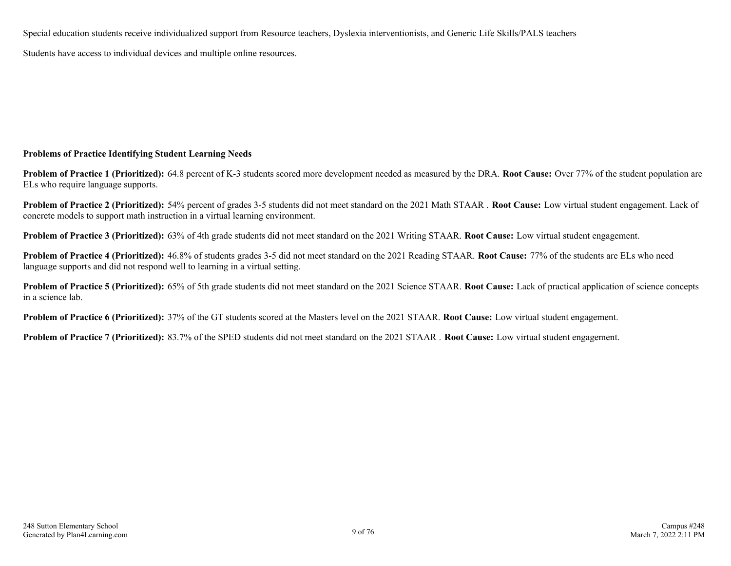Special education students receive individualized support from Resource teachers, Dyslexia interventionists, and Generic Life Skills/PALS teachers

Students have access to individual devices and multiple online resources.

### **Problems of Practice Identifying Student Learning Needs**

**Problem of Practice 1 (Prioritized):** 64.8 percent of K-3 students scored more development needed as measured by the DRA. **Root Cause:** Over 77% of the student population are ELs who require language supports.

**Problem of Practice 2 (Prioritized):** 54% percent of grades 3-5 students did not meet standard on the 2021 Math STAAR . **Root Cause:** Low virtual student engagement. Lack of concrete models to support math instruction in a virtual learning environment.

**Problem of Practice 3 (Prioritized):** 63% of 4th grade students did not meet standard on the 2021 Writing STAAR. **Root Cause:** Low virtual student engagement.

**Problem of Practice 4 (Prioritized):** 46.8% of students grades 3-5 did not meet standard on the 2021 Reading STAAR. **Root Cause:** 77% of the students are ELs who need language supports and did not respond well to learning in a virtual setting.

**Problem of Practice 5 (Prioritized):** 65% of 5th grade students did not meet standard on the 2021 Science STAAR. **Root Cause:** Lack of practical application of science concepts in a science lab.

**Problem of Practice 6 (Prioritized):** 37% of the GT students scored at the Masters level on the 2021 STAAR. **Root Cause:** Low virtual student engagement.

**Problem of Practice 7 (Prioritized):** 83.7% of the SPED students did not meet standard on the 2021 STAAR . **Root Cause:** Low virtual student engagement.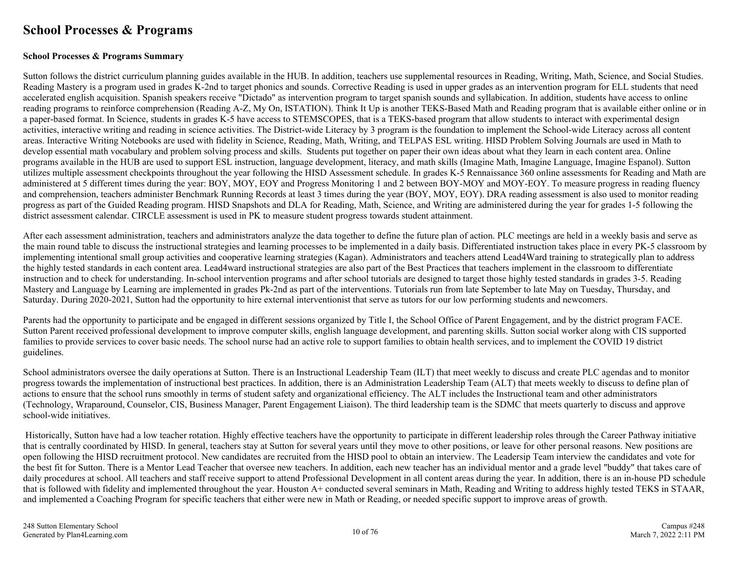### <span id="page-9-0"></span>**School Processes & Programs**

### **School Processes & Programs Summary**

Sutton follows the district curriculum planning guides available in the HUB. In addition, teachers use supplemental resources in Reading, Writing, Math, Science, and Social Studies. Reading Mastery is a program used in grades K-2nd to target phonics and sounds. Corrective Reading is used in upper grades as an intervention program for ELL students that need accelerated english acquisition. Spanish speakers receive "Dictado" as intervention program to target spanish sounds and syllabication. In addition, students have access to online reading programs to reinforce comprehension (Reading A-Z, My On, ISTATION). Think It Up is another TEKS-Based Math and Reading program that is available either online or in a paper-based format. In Science, students in grades K-5 have access to STEMSCOPES, that is a TEKS-based program that allow students to interact with experimental design activities, interactive writing and reading in science activities. The District-wide Literacy by 3 program is the foundation to implement the School-wide Literacy across all content areas. Interactive Writing Notebooks are used with fidelity in Science, Reading, Math, Writing, and TELPAS ESL writing. HISD Problem Solving Journals are used in Math to develop essential math vocabulary and problem solving process and skills. Students put together on paper their own ideas about what they learn in each content area. Online programs available in the HUB are used to support ESL instruction, language development, literacy, and math skills (Imagine Math, Imagine Language, Imagine Espanol). Sutton utilizes multiple assessment checkpoints throughout the year following the HISD Assessment schedule. In grades K-5 Rennaissance 360 online assessments for Reading and Math are administered at 5 different times during the year: BOY, MOY, EOY and Progress Monitoring 1 and 2 between BOY-MOY and MOY-EOY. To measure progress in reading fluency and comprehension, teachers administer Benchmark Running Records at least 3 times during the year (BOY, MOY, EOY). DRA reading assessment is also used to monitor reading progress as part of the Guided Reading program. HISD Snapshots and DLA for Reading, Math, Science, and Writing are administered during the year for grades 1-5 following the district assessment calendar. CIRCLE assessment is used in PK to measure student progress towards student attainment.

After each assessment administration, teachers and administrators analyze the data together to define the future plan of action. PLC meetings are held in a weekly basis and serve as the main round table to discuss the instructional strategies and learning processes to be implemented in a daily basis. Differentiated instruction takes place in every PK-5 classroom by implementing intentional small group activities and cooperative learning strategies (Kagan). Administrators and teachers attend Lead4Ward training to strategically plan to address the highly tested standards in each content area. Lead4ward instructional strategies are also part of the Best Practices that teachers implement in the classroom to differentiate instruction and to check for understanding. In-school intervention programs and after school tutorials are designed to target those highly tested standards in grades 3-5. Reading Mastery and Language by Learning are implemented in grades Pk-2nd as part of the interventions. Tutorials run from late September to late May on Tuesday, Thursday, and Saturday. During 2020-2021, Sutton had the opportunity to hire external interventionist that serve as tutors for our low performing students and newcomers.

Parents had the opportunity to participate and be engaged in different sessions organized by Title I, the School Office of Parent Engagement, and by the district program FACE. Sutton Parent received professional development to improve computer skills, english language development, and parenting skills. Sutton social worker along with CIS supported families to provide services to cover basic needs. The school nurse had an active role to support families to obtain health services, and to implement the COVID 19 district guidelines.

School administrators oversee the daily operations at Sutton. There is an Instructional Leadership Team (ILT) that meet weekly to discuss and create PLC agendas and to monitor progress towards the implementation of instructional best practices. In addition, there is an Administration Leadership Team (ALT) that meets weekly to discuss to define plan of actions to ensure that the school runs smoothly in terms of student safety and organizational efficiency. The ALT includes the Instructional team and other administrators (Technology, Wraparound, Counselor, CIS, Business Manager, Parent Engagement Liaison). The third leadership team is the SDMC that meets quarterly to discuss and approve school-wide initiatives.

 Historically, Sutton have had a low teacher rotation. Highly effective teachers have the opportunity to participate in different leadership roles through the Career Pathway initiative that is centrally coordinated by HISD. In general, teachers stay at Sutton for several years until they move to other positions, or leave for other personal reasons. New positions are open following the HISD recruitment protocol. New candidates are recruited from the HISD pool to obtain an interview. The Leadersip Team interview the candidates and vote for the best fit for Sutton. There is a Mentor Lead Teacher that oversee new teachers. In addition, each new teacher has an individual mentor and a grade level "buddy" that takes care of daily procedures at school. All teachers and staff receive support to attend Professional Development in all content areas during the year. In addition, there is an in-house PD schedule that is followed with fidelity and implemented throughout the year. Houston A+ conducted several seminars in Math, Reading and Writing to address highly tested TEKS in STAAR, and implemented a Coaching Program for specific teachers that either were new in Math or Reading, or needed specific support to improve areas of growth.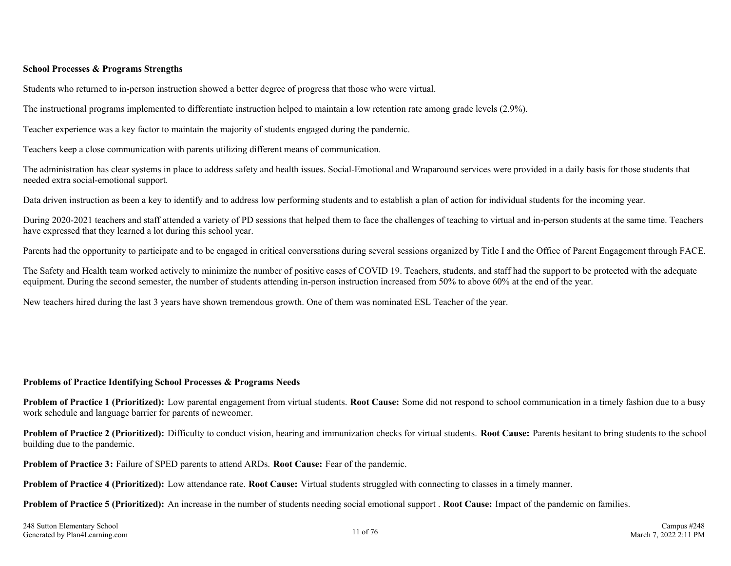### **School Processes & Programs Strengths**

Students who returned to in-person instruction showed a better degree of progress that those who were virtual.

The instructional programs implemented to differentiate instruction helped to maintain a low retention rate among grade levels (2.9%).

Teacher experience was a key factor to maintain the majority of students engaged during the pandemic.

Teachers keep a close communication with parents utilizing different means of communication.

The administration has clear systems in place to address safety and health issues. Social-Emotional and Wraparound services were provided in a daily basis for those students that needed extra social-emotional support.

Data driven instruction as been a key to identify and to address low performing students and to establish a plan of action for individual students for the incoming year.

During 2020-2021 teachers and staff attended a variety of PD sessions that helped them to face the challenges of teaching to virtual and in-person students at the same time. Teachers have expressed that they learned a lot during this school year.

Parents had the opportunity to participate and to be engaged in critical conversations during several sessions organized by Title I and the Office of Parent Engagement through FACE.

The Safety and Health team worked actively to minimize the number of positive cases of COVID 19. Teachers, students, and staff had the support to be protected with the adequate equipment. During the second semester, the number of students attending in-person instruction increased from 50% to above 60% at the end of the year.

New teachers hired during the last 3 years have shown tremendous growth. One of them was nominated ESL Teacher of the year.

#### **Problems of Practice Identifying School Processes & Programs Needs**

**Problem of Practice 1 (Prioritized):** Low parental engagement from virtual students. **Root Cause:** Some did not respond to school communication in a timely fashion due to a busy work schedule and language barrier for parents of newcomer.

**Problem of Practice 2 (Prioritized):** Difficulty to conduct vision, hearing and immunization checks for virtual students. **Root Cause:** Parents hesitant to bring students to the school building due to the pandemic.

**Problem of Practice 3:** Failure of SPED parents to attend ARDs. **Root Cause:** Fear of the pandemic.

**Problem of Practice 4 (Prioritized):** Low attendance rate. **Root Cause:** Virtual students struggled with connecting to classes in a timely manner.

**Problem of Practice 5 (Prioritized):** An increase in the number of students needing social emotional support . **Root Cause:** Impact of the pandemic on families.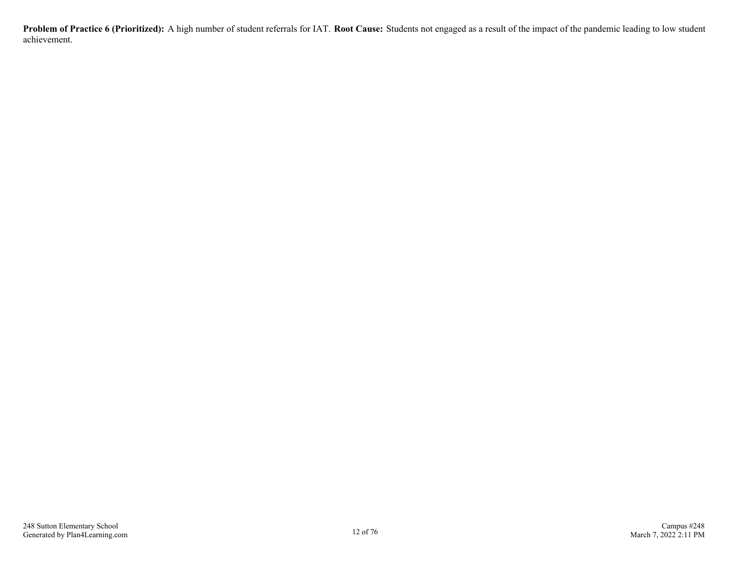**Problem of Practice 6 (Prioritized):** A high number of student referrals for IAT. **Root Cause:** Students not engaged as a result of the impact of the pandemic leading to low student achievement.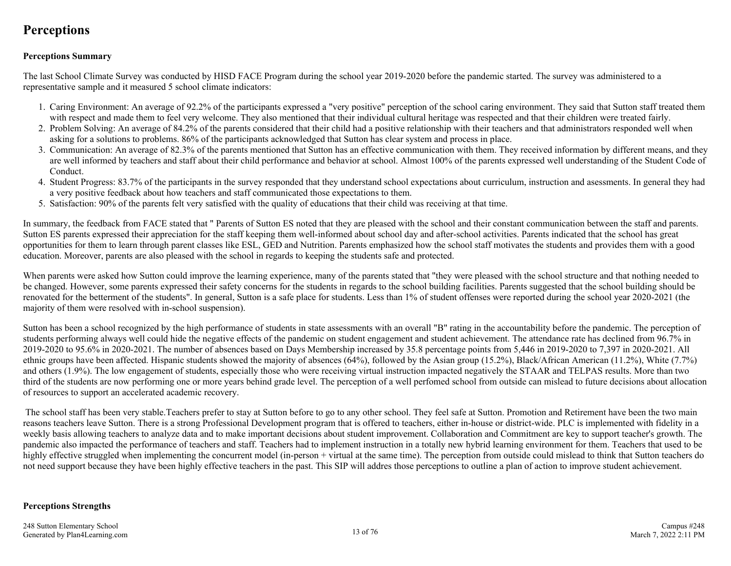### <span id="page-12-0"></span>**Perceptions**

### **Perceptions Summary**

The last School Climate Survey was conducted by HISD FACE Program during the school year 2019-2020 before the pandemic started. The survey was administered to a representative sample and it measured 5 school climate indicators:

- Caring Environment: An average of 92.2% of the participants expressed a "very positive" perception of the school caring environment. They said that Sutton staff treated them 1. with respect and made them to feel very welcome. They also mentioned that their individual cultural heritage was respected and that their children were treated fairly.
- 2. Problem Solving: An average of 84.2% of the parents considered that their child had a positive relationship with their teachers and that administrators responded well when asking for a solutions to problems. 86% of the participants acknowledged that Sutton has clear system and process in place.
- Communication: An average of 82.3% of the parents mentioned that Sutton has an effective communication with them. They received information by different means, and they 3. are well informed by teachers and staff about their child performance and behavior at school. Almost 100% of the parents expressed well understanding of the Student Code of Conduct.
- Student Progress: 83.7% of the participants in the survey responded that they understand school expectations about curriculum, instruction and asessments. In general they had 4. a very positive feedback about how teachers and staff communicated those expectations to them.
- 5. Satisfaction: 90% of the parents felt very satisfied with the quality of educations that their child was receiving at that time.

In summary, the feedback from FACE stated that " Parents of Sutton ES noted that they are pleased with the school and their constant communication between the staff and parents. Sutton ES parents expressed their appreciation for the staff keeping them well-informed about school day and after-school activities. Parents indicated that the school has great opportunities for them to learn through parent classes like ESL, GED and Nutrition. Parents emphasized how the school staff motivates the students and provides them with a good education. Moreover, parents are also pleased with the school in regards to keeping the students safe and protected.

When parents were asked how Sutton could improve the learning experience, many of the parents stated that "they were pleased with the school structure and that nothing needed to be changed. However, some parents expressed their safety concerns for the students in regards to the school building facilities. Parents suggested that the school building should be renovated for the betterment of the students". In general, Sutton is a safe place for students. Less than 1% of student offenses were reported during the school year 2020-2021 (the majority of them were resolved with in-school suspension).

Sutton has been a school recognized by the high performance of students in state assessments with an overall "B" rating in the accountability before the pandemic. The perception of students performing always well could hide the negative effects of the pandemic on student engagement and student achievement. The attendance rate has declined from 96.7% in 2019-2020 to 95.6% in 2020-2021. The number of absences based on Days Membership increased by 35.8 percentage points from 5,446 in 2019-2020 to 7,397 in 2020-2021. All ethnic groups have been affected. Hispanic students showed the majority of absences (64%), followed by the Asian group (15.2%), Black/African American (11.2%), White (7.7%) and others (1.9%). The low engagement of students, especially those who were receiving virtual instruction impacted negatively the STAAR and TELPAS results. More than two third of the students are now performing one or more years behind grade level. The perception of a well perfomed school from outside can mislead to future decisions about allocation of resources to support an accelerated academic recovery.

 The school staff has been very stable.Teachers prefer to stay at Sutton before to go to any other school. They feel safe at Sutton. Promotion and Retirement have been the two main reasons teachers leave Sutton. There is a strong Professional Development program that is offered to teachers, either in-house or district-wide. PLC is implemented with fidelity in a weekly basis allowing teachers to analyze data and to make important decisions about student improvement. Collaboration and Commitment are key to support teacher's growth. The pandemic also impacted the performance of teachers and staff. Teachers had to implement instruction in a totally new hybrid learning environment for them. Teachers that used to be highly effective struggled when implementing the concurrent model (in-person + virtual at the same time). The perception from outside could mislead to think that Sutton teachers do not need support because they have been highly effective teachers in the past. This SIP will addres those perceptions to outline a plan of action to improve student achievement.

### **Perceptions Strengths**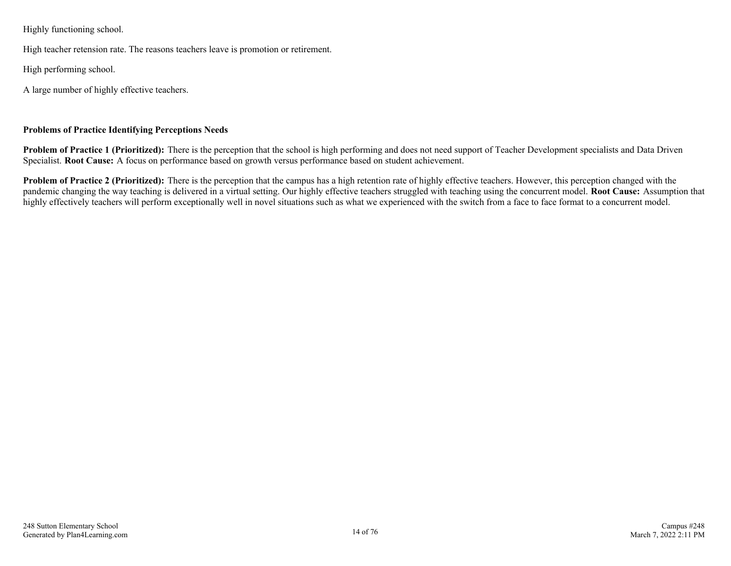Highly functioning school.

High teacher retension rate. The reasons teachers leave is promotion or retirement.

High performing school.

A large number of highly effective teachers.

### **Problems of Practice Identifying Perceptions Needs**

**Problem of Practice 1 (Prioritized):** There is the perception that the school is high performing and does not need support of Teacher Development specialists and Data Driven Specialist. **Root Cause:** A focus on performance based on growth versus performance based on student achievement.

**Problem of Practice 2 (Prioritized):** There is the perception that the campus has a high retention rate of highly effective teachers. However, this perception changed with the pandemic changing the way teaching is delivered in a virtual setting. Our highly effective teachers struggled with teaching using the concurrent model. **Root Cause:** Assumption that highly effectively teachers will perform exceptionally well in novel situations such as what we experienced with the switch from a face to face format to a concurrent model.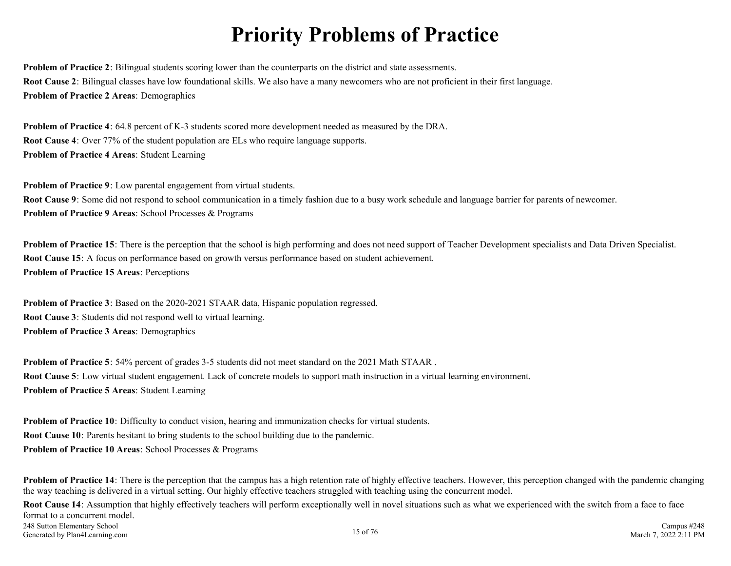## **Priority Problems of Practice**

<span id="page-14-0"></span>**Problem of Practice 2**: Bilingual students scoring lower than the counterparts on the district and state assessments. **Root Cause 2**: Bilingual classes have low foundational skills. We also have a many newcomers who are not proficient in their first language. **Problem of Practice 2 Areas**: Demographics

**Problem of Practice 4**: 64.8 percent of K-3 students scored more development needed as measured by the DRA. **Root Cause 4**: Over 77% of the student population are ELs who require language supports. **Problem of Practice 4 Areas**: Student Learning

**Problem of Practice 9**: Low parental engagement from virtual students. **Root Cause 9**: Some did not respond to school communication in a timely fashion due to a busy work schedule and language barrier for parents of newcomer. **Problem of Practice 9 Areas**: School Processes & Programs

**Problem of Practice 15**: There is the perception that the school is high performing and does not need support of Teacher Development specialists and Data Driven Specialist. **Root Cause 15**: A focus on performance based on growth versus performance based on student achievement. **Problem of Practice 15 Areas**: Perceptions

**Problem of Practice 3**: Based on the 2020-2021 STAAR data, Hispanic population regressed. **Root Cause 3**: Students did not respond well to virtual learning. **Problem of Practice 3 Areas**: Demographics

**Problem of Practice 5**: 54% percent of grades 3-5 students did not meet standard on the 2021 Math STAAR. **Root Cause 5**: Low virtual student engagement. Lack of concrete models to support math instruction in a virtual learning environment. **Problem of Practice 5 Areas**: Student Learning

**Problem of Practice 10**: Difficulty to conduct vision, hearing and immunization checks for virtual students. **Root Cause 10:** Parents hesitant to bring students to the school building due to the pandemic. **Problem of Practice 10 Areas**: School Processes & Programs

**Problem of Practice 14**: There is the perception that the campus has a high retention rate of highly effective teachers. However, this perception changed with the pandemic changing the way teaching is delivered in a virtual setting. Our highly effective teachers struggled with teaching using the concurrent model.

**Root Cause 14**: Assumption that highly effectively teachers will perform exceptionally well in novel situations such as what we experienced with the switch from a face to face format to a concurrent model. 248 Sutton Elementary School Generated by Plan4Learning.com 15 of 76 Campus #248 March 7, 2022 2:11 PM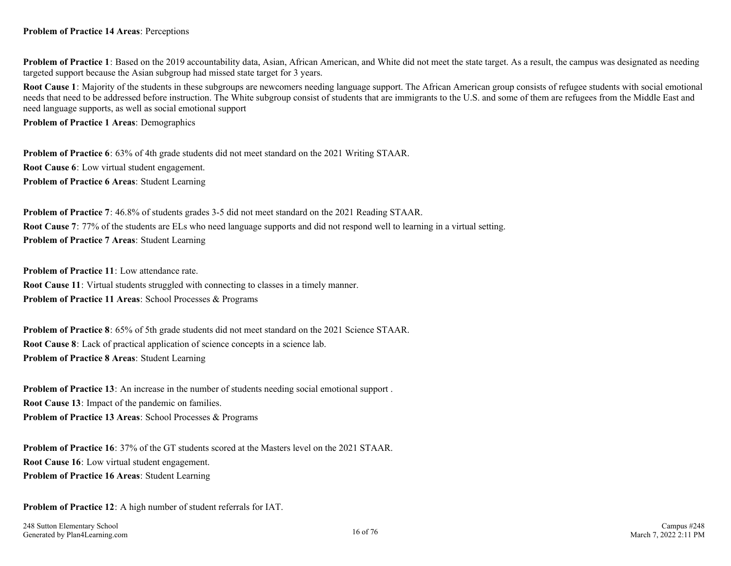#### **Problem of Practice 14 Areas**: Perceptions

**Problem of Practice 1**: Based on the 2019 accountability data, Asian, African American, and White did not meet the state target. As a result, the campus was designated as needing targeted support because the Asian subgroup had missed state target for 3 years.

**Root Cause 1**: Majority of the students in these subgroups are newcomers needing language support. The African American group consists of refugee students with social emotional needs that need to be addressed before instruction. The White subgroup consist of students that are immigrants to the U.S. and some of them are refugees from the Middle East and need language supports, as well as social emotional support

**Problem of Practice 1 Areas**: Demographics

**Problem of Practice 6**: 63% of 4th grade students did not meet standard on the 2021 Writing STAAR. **Root Cause 6**: Low virtual student engagement. **Problem of Practice 6 Areas**: Student Learning

**Problem of Practice 7**: 46.8% of students grades 3-5 did not meet standard on the 2021 Reading STAAR. **Root Cause 7**: 77% of the students are ELs who need language supports and did not respond well to learning in a virtual setting. **Problem of Practice 7 Areas**: Student Learning

**Problem of Practice 11:** Low attendance rate.

**Root Cause 11**: Virtual students struggled with connecting to classes in a timely manner. **Problem of Practice 11 Areas**: School Processes & Programs

**Problem of Practice 8**: 65% of 5th grade students did not meet standard on the 2021 Science STAAR. **Root Cause 8**: Lack of practical application of science concepts in a science lab.

**Problem of Practice 8 Areas**: Student Learning

**Problem of Practice 13**: An increase in the number of students needing social emotional support . **Root Cause 13**: Impact of the pandemic on families. **Problem of Practice 13 Areas**: School Processes & Programs

**Problem of Practice 16**: 37% of the GT students scored at the Masters level on the 2021 STAAR. **Root Cause 16**: Low virtual student engagement. **Problem of Practice 16 Areas**: Student Learning

**Problem of Practice 12**: A high number of student referrals for IAT.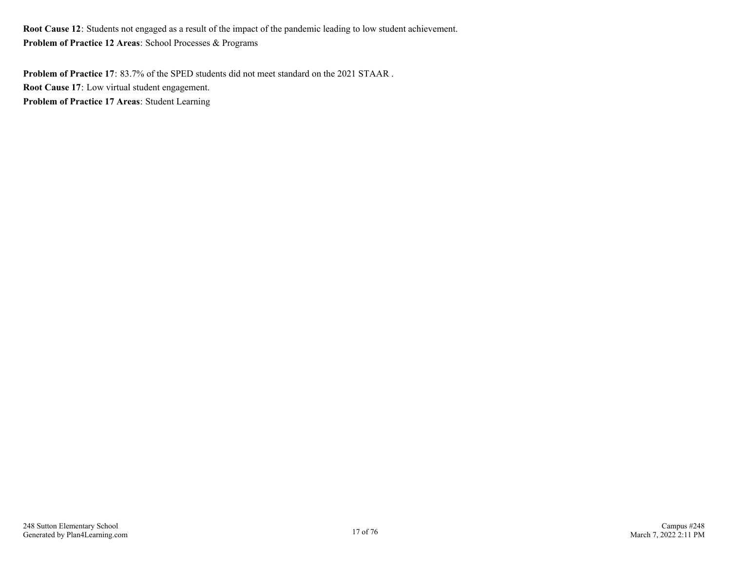**Root Cause 12**: Students not engaged as a result of the impact of the pandemic leading to low student achievement. **Problem of Practice 12 Areas**: School Processes & Programs

**Problem of Practice 17**: 83.7% of the SPED students did not meet standard on the 2021 STAAR . **Root Cause 17**: Low virtual student engagement. **Problem of Practice 17 Areas**: Student Learning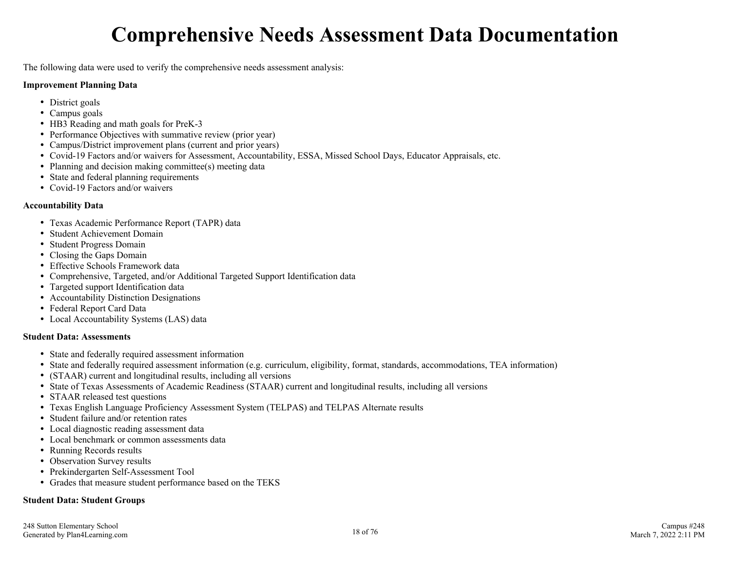## **Comprehensive Needs Assessment Data Documentation**

<span id="page-17-0"></span>The following data were used to verify the comprehensive needs assessment analysis:

#### **Improvement Planning Data**

- District goals
- Campus goals
- HB3 Reading and math goals for PreK-3
- Performance Objectives with summative review (prior year)
- Campus/District improvement plans (current and prior years)
- Covid-19 Factors and/or waivers for Assessment, Accountability, ESSA, Missed School Days, Educator Appraisals, etc.
- Planning and decision making committee(s) meeting data
- State and federal planning requirements
- Covid-19 Factors and/or waivers

### **Accountability Data**

- Texas Academic Performance Report (TAPR) data
- Student Achievement Domain
- Student Progress Domain
- Closing the Gaps Domain
- Effective Schools Framework data
- Comprehensive, Targeted, and/or Additional Targeted Support Identification data
- Targeted support Identification data
- Accountability Distinction Designations
- Federal Report Card Data
- Local Accountability Systems (LAS) data

### **Student Data: Assessments**

- State and federally required assessment information
- State and federally required assessment information (e.g. curriculum, eligibility, format, standards, accommodations, TEA information)
- (STAAR) current and longitudinal results, including all versions
- State of Texas Assessments of Academic Readiness (STAAR) current and longitudinal results, including all versions
- STAAR released test questions
- Texas English Language Proficiency Assessment System (TELPAS) and TELPAS Alternate results
- Student failure and/or retention rates
- Local diagnostic reading assessment data
- Local benchmark or common assessments data
- Running Records results
- Observation Survey results
- Prekindergarten Self-Assessment Tool
- Grades that measure student performance based on the TEKS

### **Student Data: Student Groups**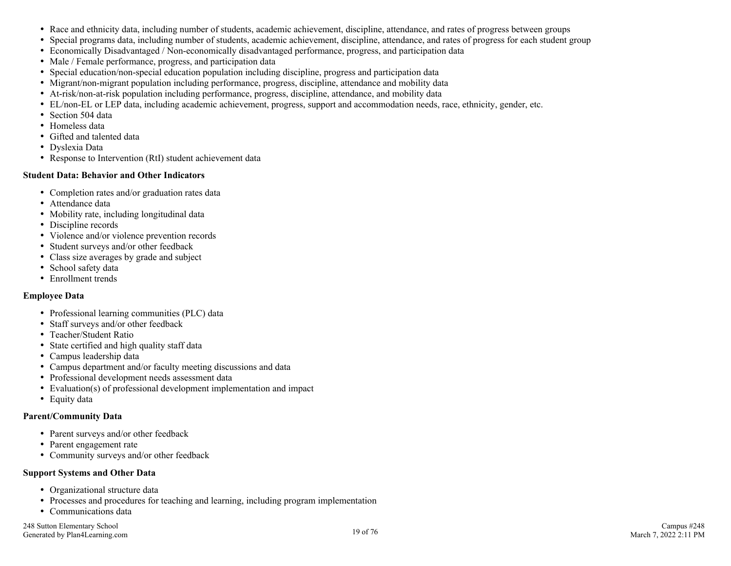- Race and ethnicity data, including number of students, academic achievement, discipline, attendance, and rates of progress between groups
- Special programs data, including number of students, academic achievement, discipline, attendance, and rates of progress for each student group
- Economically Disadvantaged / Non-economically disadvantaged performance, progress, and participation data
- Male / Female performance, progress, and participation data
- Special education/non-special education population including discipline, progress and participation data
- Migrant/non-migrant population including performance, progress, discipline, attendance and mobility data
- At-risk/non-at-risk population including performance, progress, discipline, attendance, and mobility data
- EL/non-EL or LEP data, including academic achievement, progress, support and accommodation needs, race, ethnicity, gender, etc.
- Section 504 data
- Homeless data
- Gifted and talented data
- Dyslexia Data
- Response to Intervention (RtI) student achievement data

### **Student Data: Behavior and Other Indicators**

- Completion rates and/or graduation rates data
- Attendance data
- Mobility rate, including longitudinal data
- Discipline records
- Violence and/or violence prevention records
- Student surveys and/or other feedback
- Class size averages by grade and subject
- School safety data
- Enrollment trends

### **Employee Data**

- Professional learning communities (PLC) data
- Staff surveys and/or other feedback
- Teacher/Student Ratio
- State certified and high quality staff data
- Campus leadership data
- Campus department and/or faculty meeting discussions and data
- Professional development needs assessment data
- Evaluation(s) of professional development implementation and impact
- Equity data

### **Parent/Community Data**

- Parent surveys and/or other feedback
- Parent engagement rate
- Community surveys and/or other feedback

### **Support Systems and Other Data**

- Organizational structure data
- Processes and procedures for teaching and learning, including program implementation
- Communications data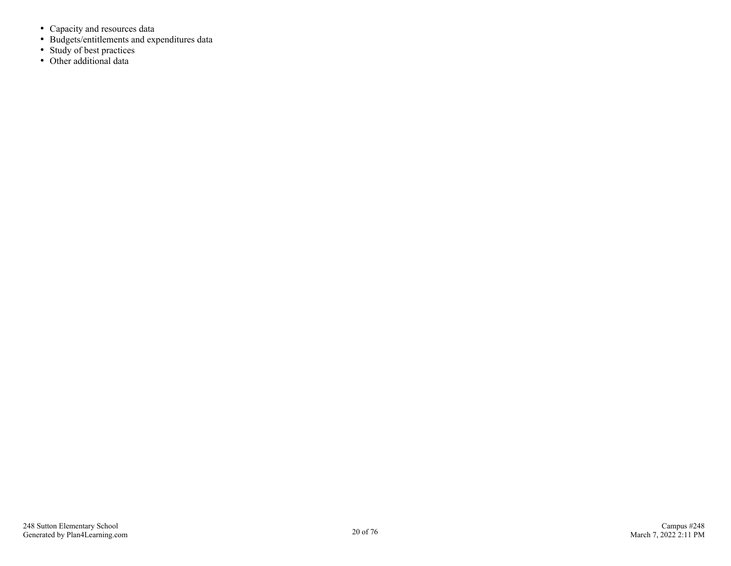- Capacity and resources data
- Budgets/entitlements and expenditures data
- Study of best practices
- Other additional data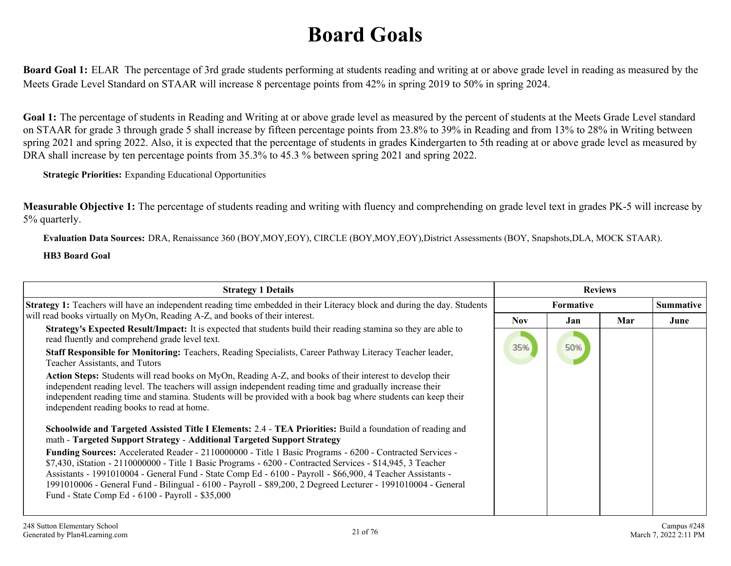## **Board Goals**

<span id="page-20-0"></span>**Board Goal 1:** ELAR The percentage of 3rd grade students performing at students reading and writing at or above grade level in reading as measured by the Meets Grade Level Standard on STAAR will increase 8 percentage points from 42% in spring 2019 to 50% in spring 2024.

Goal 1: The percentage of students in Reading and Writing at or above grade level as measured by the percent of students at the Meets Grade Level standard on STAAR for grade 3 through grade 5 shall increase by fifteen percentage points from 23.8% to 39% in Reading and from 13% to 28% in Writing between spring 2021 and spring 2022. Also, it is expected that the percentage of students in grades Kindergarten to 5th reading at or above grade level as measured by DRA shall increase by ten percentage points from 35.3% to 45.3 % between spring 2021 and spring 2022.

**Strategic Priorities:** Expanding Educational Opportunities

**Measurable Objective 1:** The percentage of students reading and writing with fluency and comprehending on grade level text in grades PK-5 will increase by 5% quarterly.

**Evaluation Data Sources:** DRA, Renaissance 360 (BOY,MOY,EOY), CIRCLE (BOY,MOY,EOY),District Assessments (BOY, Snapshots,DLA, MOCK STAAR). **HB3 Board Goal**

|                                                                                                                                                                                                                                                                                                                                                                                                                                                                                                                                                                                                                                                                                                                                                                                                                                                                                                                                                                                                                                                                                                                                                                                                                                                                                                                                                                                                                                                                                                      | <b>Reviews</b>    |                  |     |                          |
|------------------------------------------------------------------------------------------------------------------------------------------------------------------------------------------------------------------------------------------------------------------------------------------------------------------------------------------------------------------------------------------------------------------------------------------------------------------------------------------------------------------------------------------------------------------------------------------------------------------------------------------------------------------------------------------------------------------------------------------------------------------------------------------------------------------------------------------------------------------------------------------------------------------------------------------------------------------------------------------------------------------------------------------------------------------------------------------------------------------------------------------------------------------------------------------------------------------------------------------------------------------------------------------------------------------------------------------------------------------------------------------------------------------------------------------------------------------------------------------------------|-------------------|------------------|-----|--------------------------|
| <b>Strategy 1:</b> Teachers will have an independent reading time embedded in their Literacy block and during the day. Students                                                                                                                                                                                                                                                                                                                                                                                                                                                                                                                                                                                                                                                                                                                                                                                                                                                                                                                                                                                                                                                                                                                                                                                                                                                                                                                                                                      |                   | <b>Formative</b> |     |                          |
| will read books virtually on MyOn, Reading A-Z, and books of their interest.<br>Strategy's Expected Result/Impact: It is expected that students build their reading stamina so they are able to<br>read fluently and comprehend grade level text.<br>Staff Responsible for Monitoring: Teachers, Reading Specialists, Career Pathway Literacy Teacher leader,<br>Teacher Assistants, and Tutors<br>Action Steps: Students will read books on MyOn, Reading A-Z, and books of their interest to develop their<br>independent reading level. The teachers will assign independent reading time and gradually increase their<br>independent reading time and stamina. Students will be provided with a book bag where students can keep their<br>independent reading books to read at home.<br><b>Schoolwide and Targeted Assisted Title I Elements:</b> 2.4 - TEA Priorities: Build a foundation of reading and<br>math - Targeted Support Strategy - Additional Targeted Support Strategy<br>Funding Sources: Accelerated Reader - 2110000000 - Title 1 Basic Programs - 6200 - Contracted Services -<br>\$7,430, iStation - 2110000000 - Title 1 Basic Programs - 6200 - Contracted Services - \$14,945, 3 Teacher<br>Assistants - 1991010004 - General Fund - State Comp Ed - 6100 - Payroll - \$66,900, 4 Teacher Assistants -<br>1991010006 - General Fund - Bilingual - 6100 - Payroll - \$89,200, 2 Degreed Lecturer - 1991010004 - General<br>Fund - State Comp Ed - 6100 - Payroll - \$35,000 | <b>Nov</b><br>35% | Jan<br>50%       | Mar | <b>Summative</b><br>June |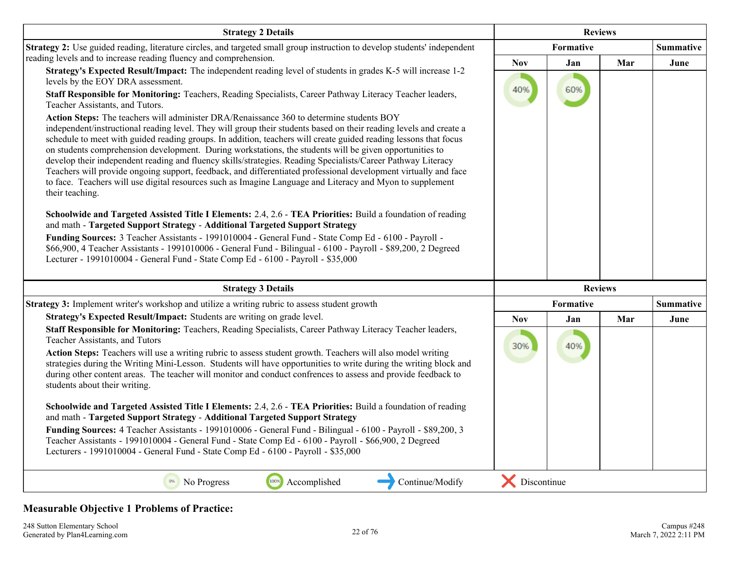| <b>Strategy 2 Details</b>                                                                                                                                                                                                                                                                                                                                                                                                                                                                                                                                                                                                                                                                                                                                                                                        | <b>Reviews</b> |                |     |                  |
|------------------------------------------------------------------------------------------------------------------------------------------------------------------------------------------------------------------------------------------------------------------------------------------------------------------------------------------------------------------------------------------------------------------------------------------------------------------------------------------------------------------------------------------------------------------------------------------------------------------------------------------------------------------------------------------------------------------------------------------------------------------------------------------------------------------|----------------|----------------|-----|------------------|
| Strategy 2: Use guided reading, literature circles, and targeted small group instruction to develop students' independent                                                                                                                                                                                                                                                                                                                                                                                                                                                                                                                                                                                                                                                                                        |                | Formative      |     |                  |
| reading levels and to increase reading fluency and comprehension.<br>Strategy's Expected Result/Impact: The independent reading level of students in grades K-5 will increase 1-2<br>levels by the EOY DRA assessment.                                                                                                                                                                                                                                                                                                                                                                                                                                                                                                                                                                                           | <b>Nov</b>     | Jan            | Mar | June             |
| Staff Responsible for Monitoring: Teachers, Reading Specialists, Career Pathway Literacy Teacher leaders,<br>Teacher Assistants, and Tutors.                                                                                                                                                                                                                                                                                                                                                                                                                                                                                                                                                                                                                                                                     | 40%            | 60%            |     |                  |
| Action Steps: The teachers will administer DRA/Renaissance 360 to determine students BOY<br>independent/instructional reading level. They will group their students based on their reading levels and create a<br>schedule to meet with guided reading groups. In addition, teachers will create guided reading lessons that focus<br>on students comprehension development. During workstations, the students will be given opportunities to<br>develop their independent reading and fluency skills/strategies. Reading Specialists/Career Pathway Literacy<br>Teachers will provide ongoing support, feedback, and differentiated professional development virtually and face<br>to face. Teachers will use digital resources such as Imagine Language and Literacy and Myon to supplement<br>their teaching. |                |                |     |                  |
| Schoolwide and Targeted Assisted Title I Elements: 2.4, 2.6 - TEA Priorities: Build a foundation of reading<br>and math - Targeted Support Strategy - Additional Targeted Support Strategy                                                                                                                                                                                                                                                                                                                                                                                                                                                                                                                                                                                                                       |                |                |     |                  |
| Funding Sources: 3 Teacher Assistants - 1991010004 - General Fund - State Comp Ed - 6100 - Payroll -<br>\$66,900, 4 Teacher Assistants - 1991010006 - General Fund - Bilingual - 6100 - Payroll - \$89,200, 2 Degreed<br>Lecturer - 1991010004 - General Fund - State Comp Ed - 6100 - Payroll - \$35,000                                                                                                                                                                                                                                                                                                                                                                                                                                                                                                        |                |                |     |                  |
| <b>Strategy 3 Details</b>                                                                                                                                                                                                                                                                                                                                                                                                                                                                                                                                                                                                                                                                                                                                                                                        |                | <b>Reviews</b> |     |                  |
| Strategy 3: Implement writer's workshop and utilize a writing rubric to assess student growth                                                                                                                                                                                                                                                                                                                                                                                                                                                                                                                                                                                                                                                                                                                    |                | Formative      |     | <b>Summative</b> |
| Strategy's Expected Result/Impact: Students are writing on grade level.                                                                                                                                                                                                                                                                                                                                                                                                                                                                                                                                                                                                                                                                                                                                          | <b>Nov</b>     | Jan            | Mar | June             |
| Staff Responsible for Monitoring: Teachers, Reading Specialists, Career Pathway Literacy Teacher leaders,<br>Teacher Assistants, and Tutors<br>Action Steps: Teachers will use a writing rubric to assess student growth. Teachers will also model writing<br>strategies during the Writing Mini-Lesson. Students will have opportunities to write during the writing block and<br>during other content areas. The teacher will monitor and conduct confrences to assess and provide feedback to<br>students about their writing.                                                                                                                                                                                                                                                                                | 30%            | 40%            |     |                  |
| Schoolwide and Targeted Assisted Title I Elements: 2.4, 2.6 - TEA Priorities: Build a foundation of reading<br>and math - Targeted Support Strategy - Additional Targeted Support Strategy<br>Funding Sources: 4 Teacher Assistants - 1991010006 - General Fund - Bilingual - 6100 - Payroll - \$89,200, 3<br>Teacher Assistants - 1991010004 - General Fund - State Comp Ed - 6100 - Payroll - \$66,900, 2 Degreed<br>Lecturers - 1991010004 - General Fund - State Comp Ed - 6100 - Payroll - \$35,000                                                                                                                                                                                                                                                                                                         |                |                |     |                  |
| 0%<br>100%<br>Accomplished<br>Continue/Modify<br>No Progress                                                                                                                                                                                                                                                                                                                                                                                                                                                                                                                                                                                                                                                                                                                                                     | Discontinue    |                |     |                  |

### **Measurable Objective 1 Problems of Practice:**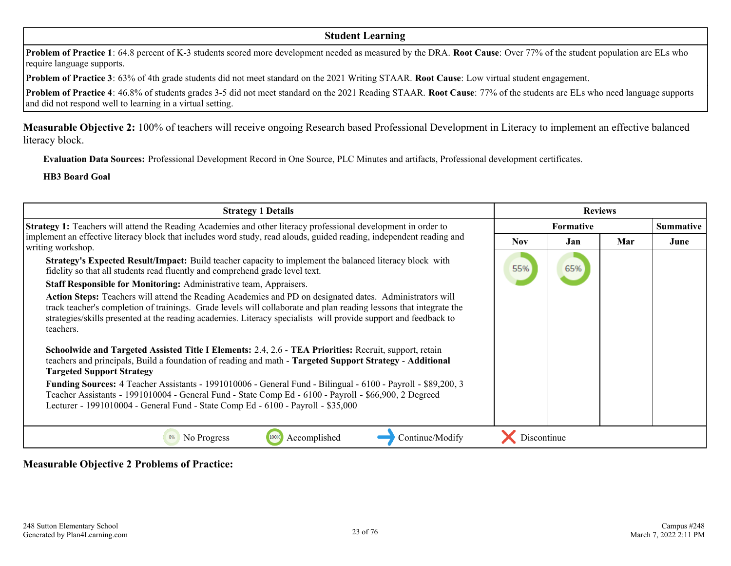### **Student Learning**

**Problem of Practice 1**: 64.8 percent of K-3 students scored more development needed as measured by the DRA. **Root Cause**: Over 77% of the student population are ELs who require language supports.

**Problem of Practice 3**: 63% of 4th grade students did not meet standard on the 2021 Writing STAAR. **Root Cause**: Low virtual student engagement.

**Problem of Practice 4**: 46.8% of students grades 3-5 did not meet standard on the 2021 Reading STAAR. **Root Cause**: 77% of the students are ELs who need language supports and did not respond well to learning in a virtual setting.

**Measurable Objective 2:** 100% of teachers will receive ongoing Research based Professional Development in Literacy to implement an effective balanced literacy block.

**Evaluation Data Sources:** Professional Development Record in One Source, PLC Minutes and artifacts, Professional development certificates.

#### **HB3 Board Goal**

| <b>Strategy 1 Details</b>                                                                                                                                                                                                                                                                                                                                      | <b>Reviews</b> |     |     |                  |
|----------------------------------------------------------------------------------------------------------------------------------------------------------------------------------------------------------------------------------------------------------------------------------------------------------------------------------------------------------------|----------------|-----|-----|------------------|
| Strategy 1: Teachers will attend the Reading Academies and other literacy professional development in order to                                                                                                                                                                                                                                                 | Formative      |     |     | <b>Summative</b> |
| implement an effective literacy block that includes word study, read alouds, guided reading, independent reading and<br>writing workshop.                                                                                                                                                                                                                      | <b>Nov</b>     | Jan | Mar | June             |
| <b>Strategy's Expected Result/Impact:</b> Build teacher capacity to implement the balanced literacy block with<br>fidelity so that all students read fluently and comprehend grade level text.                                                                                                                                                                 | 55%            | 65% |     |                  |
| Staff Responsible for Monitoring: Administrative team, Appraisers.                                                                                                                                                                                                                                                                                             |                |     |     |                  |
| Action Steps: Teachers will attend the Reading Academies and PD on designated dates. Administrators will<br>track teacher's completion of trainings. Grade levels will collaborate and plan reading lessons that integrate the<br>strategies/skills presented at the reading academies. Literacy specialists will provide support and feedback to<br>teachers. |                |     |     |                  |
| Schoolwide and Targeted Assisted Title I Elements: 2.4, 2.6 - TEA Priorities: Recruit, support, retain<br>teachers and principals, Build a foundation of reading and math - Targeted Support Strategy - Additional<br><b>Targeted Support Strategy</b>                                                                                                         |                |     |     |                  |
| Funding Sources: 4 Teacher Assistants - 1991010006 - General Fund - Bilingual - 6100 - Payroll - \$89,200, 3<br>Teacher Assistants - 1991010004 - General Fund - State Comp Ed - 6100 - Payroll - \$66,900, 2 Degreed<br>Lecturer - 1991010004 - General Fund - State Comp Ed - 6100 - Payroll - \$35,000                                                      |                |     |     |                  |
| Continue/Modify<br>No Progress<br>Accomplished                                                                                                                                                                                                                                                                                                                 | Discontinue    |     |     |                  |

**Measurable Objective 2 Problems of Practice:**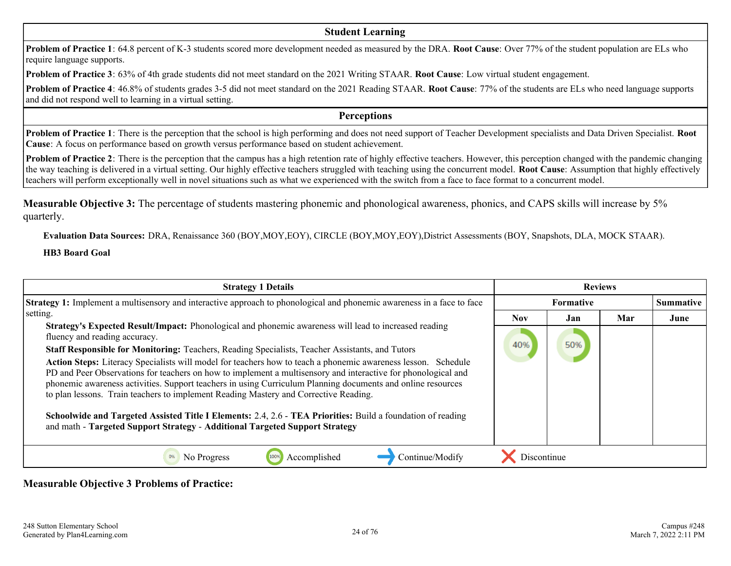### **Student Learning**

**Problem of Practice 1**: 64.8 percent of K-3 students scored more development needed as measured by the DRA. **Root Cause**: Over 77% of the student population are ELs who require language supports.

**Problem of Practice 3**: 63% of 4th grade students did not meet standard on the 2021 Writing STAAR. **Root Cause**: Low virtual student engagement.

**Problem of Practice 4**: 46.8% of students grades 3-5 did not meet standard on the 2021 Reading STAAR. **Root Cause**: 77% of the students are ELs who need language supports and did not respond well to learning in a virtual setting.

**Perceptions**

**Problem of Practice 1**: There is the perception that the school is high performing and does not need support of Teacher Development specialists and Data Driven Specialist. **Root Cause**: A focus on performance based on growth versus performance based on student achievement.

**Problem of Practice 2**: There is the perception that the campus has a high retention rate of highly effective teachers. However, this perception changed with the pandemic changing the way teaching is delivered in a virtual setting. Our highly effective teachers struggled with teaching using the concurrent model. **Root Cause**: Assumption that highly effectively teachers will perform exceptionally well in novel situations such as what we experienced with the switch from a face to face format to a concurrent model.

**Measurable Objective 3:** The percentage of students mastering phonemic and phonological awareness, phonics, and CAPS skills will increase by 5% quarterly.

**Evaluation Data Sources:** DRA, Renaissance 360 (BOY,MOY,EOY), CIRCLE (BOY,MOY,EOY),District Assessments (BOY, Snapshots, DLA, MOCK STAAR).

**HB3 Board Goal**

| <b>Strategy 1 Details</b>                                                                                                                                                                                                                                                                                                                                                                                                                                                                                                                                                                                                                                                                                                                                                                                                                                                        | <b>Reviews</b>   |     |     |                  |
|----------------------------------------------------------------------------------------------------------------------------------------------------------------------------------------------------------------------------------------------------------------------------------------------------------------------------------------------------------------------------------------------------------------------------------------------------------------------------------------------------------------------------------------------------------------------------------------------------------------------------------------------------------------------------------------------------------------------------------------------------------------------------------------------------------------------------------------------------------------------------------|------------------|-----|-----|------------------|
| Strategy 1: Implement a multisensory and interactive approach to phonological and phonemic awareness in a face to face                                                                                                                                                                                                                                                                                                                                                                                                                                                                                                                                                                                                                                                                                                                                                           | <b>Formative</b> |     |     | <b>Summative</b> |
| setting.                                                                                                                                                                                                                                                                                                                                                                                                                                                                                                                                                                                                                                                                                                                                                                                                                                                                         | <b>Nov</b>       | Jan | Mar | June             |
| Strategy's Expected Result/Impact: Phonological and phonemic awareness will lead to increased reading<br>fluency and reading accuracy.<br>Staff Responsible for Monitoring: Teachers, Reading Specialists, Teacher Assistants, and Tutors<br>Action Steps: Literacy Specialists will model for teachers how to teach a phonemic awareness lesson. Schedule<br>PD and Peer Observations for teachers on how to implement a multisensory and interactive for phonological and<br>phonemic awareness activities. Support teachers in using Curriculum Planning documents and online resources<br>to plan lessons. Train teachers to implement Reading Mastery and Corrective Reading.<br>Schoolwide and Targeted Assisted Title I Elements: 2.4, 2.6 - TEA Priorities: Build a foundation of reading<br>and math - Targeted Support Strategy - Additional Targeted Support Strategy | 40%              | 50% |     |                  |
| 0%<br>Accomplished<br>No Progress<br>Continue/Modify                                                                                                                                                                                                                                                                                                                                                                                                                                                                                                                                                                                                                                                                                                                                                                                                                             | Discontinue      |     |     |                  |

**Measurable Objective 3 Problems of Practice:**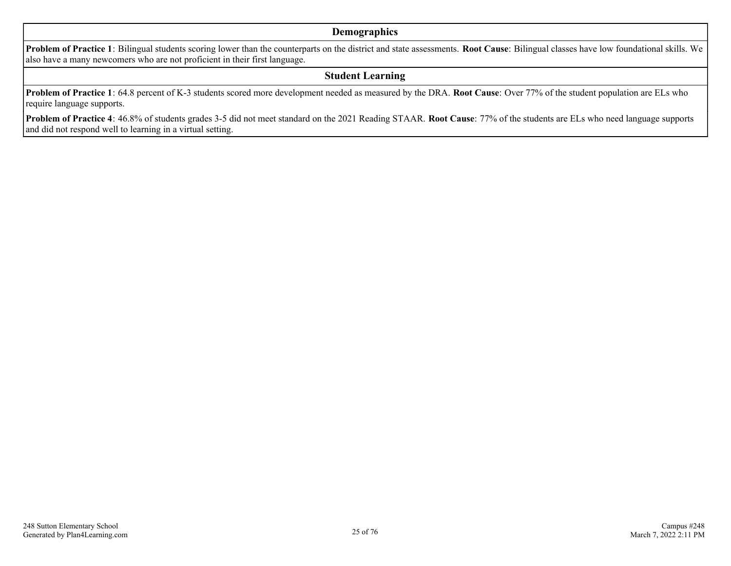### **Demographics**

**Problem of Practice 1**: Bilingual students scoring lower than the counterparts on the district and state assessments. **Root Cause**: Bilingual classes have low foundational skills. We also have a many newcomers who are not proficient in their first language.

### **Student Learning**

**Problem of Practice 1**: 64.8 percent of K-3 students scored more development needed as measured by the DRA. **Root Cause**: Over 77% of the student population are ELs who require language supports.

**Problem of Practice 4**: 46.8% of students grades 3-5 did not meet standard on the 2021 Reading STAAR. **Root Cause**: 77% of the students are ELs who need language supports and did not respond well to learning in a virtual setting.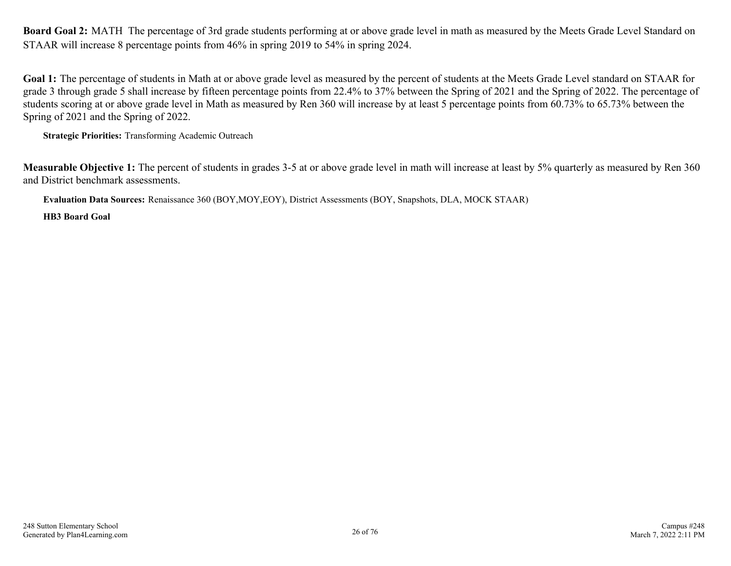<span id="page-25-0"></span>**Board Goal 2:** MATH The percentage of 3rd grade students performing at or above grade level in math as measured by the Meets Grade Level Standard on STAAR will increase 8 percentage points from 46% in spring 2019 to 54% in spring 2024.

Goal 1: The percentage of students in Math at or above grade level as measured by the percent of students at the Meets Grade Level standard on STAAR for grade 3 through grade 5 shall increase by fifteen percentage points from 22.4% to 37% between the Spring of 2021 and the Spring of 2022. The percentage of students scoring at or above grade level in Math as measured by Ren 360 will increase by at least 5 percentage points from 60.73% to 65.73% between the Spring of 2021 and the Spring of 2022.

**Strategic Priorities:** Transforming Academic Outreach

**Measurable Objective 1:** The percent of students in grades 3-5 at or above grade level in math will increase at least by 5% quarterly as measured by Ren 360 and District benchmark assessments.

**Evaluation Data Sources:** Renaissance 360 (BOY,MOY,EOY), District Assessments (BOY, Snapshots, DLA, MOCK STAAR)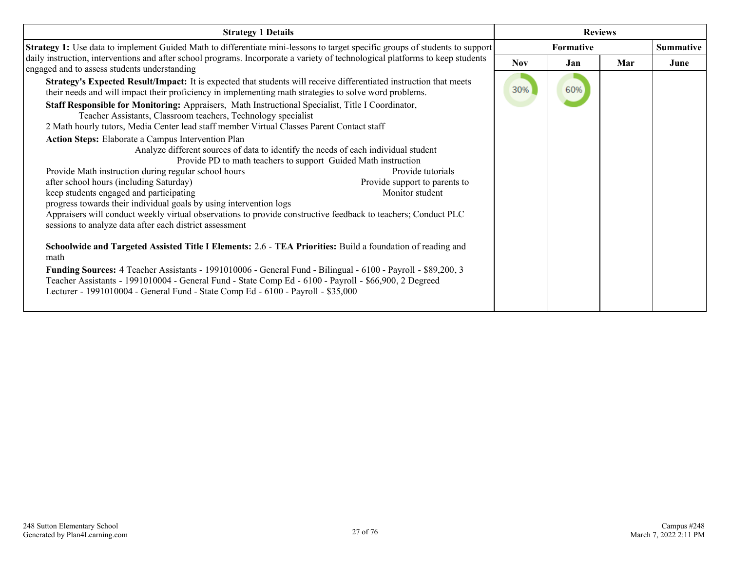| <b>Strategy 1 Details</b>                                                                                                                                                                                                                                                                                                                                                                                                                                                                                                                                                                                                                                                                                                                                                                                                                                                                                                        | <b>Reviews</b> |                  |     |                  |
|----------------------------------------------------------------------------------------------------------------------------------------------------------------------------------------------------------------------------------------------------------------------------------------------------------------------------------------------------------------------------------------------------------------------------------------------------------------------------------------------------------------------------------------------------------------------------------------------------------------------------------------------------------------------------------------------------------------------------------------------------------------------------------------------------------------------------------------------------------------------------------------------------------------------------------|----------------|------------------|-----|------------------|
| Strategy 1: Use data to implement Guided Math to differentiate mini-lessons to target specific groups of students to support                                                                                                                                                                                                                                                                                                                                                                                                                                                                                                                                                                                                                                                                                                                                                                                                     |                | <b>Formative</b> |     | <b>Summative</b> |
| daily instruction, interventions and after school programs. Incorporate a variety of technological platforms to keep students<br>engaged and to assess students understanding                                                                                                                                                                                                                                                                                                                                                                                                                                                                                                                                                                                                                                                                                                                                                    | <b>Nov</b>     | Jan              | Mar | June             |
| Strategy's Expected Result/Impact: It is expected that students will receive differentiated instruction that meets<br>their needs and will impact their proficiency in implementing math strategies to solve word problems.                                                                                                                                                                                                                                                                                                                                                                                                                                                                                                                                                                                                                                                                                                      | 30%            | 60%              |     |                  |
| Staff Responsible for Monitoring: Appraisers, Math Instructional Specialist, Title I Coordinator,<br>Teacher Assistants, Classroom teachers, Technology specialist<br>2 Math hourly tutors, Media Center lead staff member Virtual Classes Parent Contact staff                                                                                                                                                                                                                                                                                                                                                                                                                                                                                                                                                                                                                                                                  |                |                  |     |                  |
| <b>Action Steps:</b> Elaborate a Campus Intervention Plan<br>Analyze different sources of data to identify the needs of each individual student<br>Provide PD to math teachers to support Guided Math instruction<br>Provide Math instruction during regular school hours<br>Provide tutorials<br>after school hours (including Saturday)<br>Provide support to parents to<br>keep students engaged and participating<br>Monitor student<br>progress towards their individual goals by using intervention logs<br>Appraisers will conduct weekly virtual observations to provide constructive feedback to teachers; Conduct PLC<br>sessions to analyze data after each district assessment<br>Schoolwide and Targeted Assisted Title I Elements: 2.6 - TEA Priorities: Build a foundation of reading and<br>math<br>Funding Sources: 4 Teacher Assistants - 1991010006 - General Fund - Bilingual - 6100 - Payroll - \$89,200, 3 |                |                  |     |                  |
| Teacher Assistants - 1991010004 - General Fund - State Comp Ed - 6100 - Payroll - \$66,900, 2 Degreed<br>Lecturer - 1991010004 - General Fund - State Comp Ed - 6100 - Payroll - \$35,000                                                                                                                                                                                                                                                                                                                                                                                                                                                                                                                                                                                                                                                                                                                                        |                |                  |     |                  |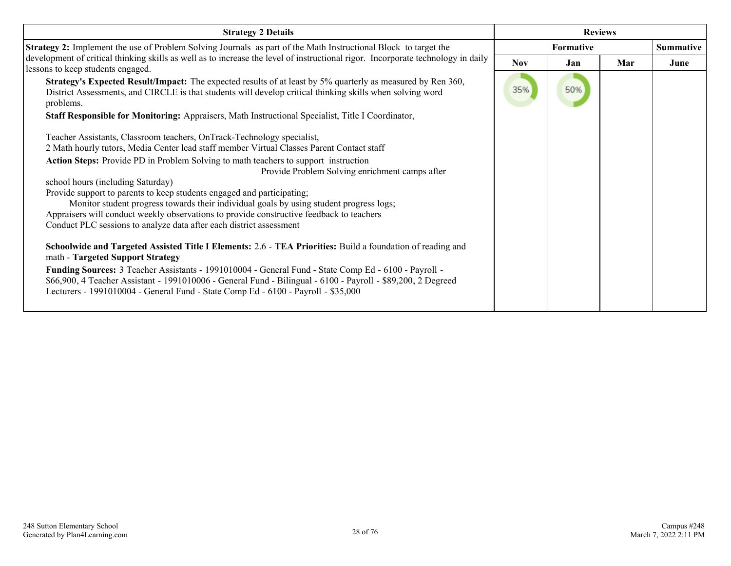| <b>Strategy 2 Details</b>                                                                                                                                                                                                                                                                                                                                                                                                                                                                                                                                                                                                                                                                        | <b>Reviews</b> |                  |     |                  |
|--------------------------------------------------------------------------------------------------------------------------------------------------------------------------------------------------------------------------------------------------------------------------------------------------------------------------------------------------------------------------------------------------------------------------------------------------------------------------------------------------------------------------------------------------------------------------------------------------------------------------------------------------------------------------------------------------|----------------|------------------|-----|------------------|
| Strategy 2: Implement the use of Problem Solving Journals as part of the Math Instructional Block to target the                                                                                                                                                                                                                                                                                                                                                                                                                                                                                                                                                                                  |                | <b>Formative</b> |     | <b>Summative</b> |
| development of critical thinking skills as well as to increase the level of instructional rigor. Incorporate technology in daily<br>lessons to keep students engaged.                                                                                                                                                                                                                                                                                                                                                                                                                                                                                                                            | <b>Nov</b>     | Jan              | Mar | June             |
| <b>Strategy's Expected Result/Impact:</b> The expected results of at least by 5% quarterly as measured by Ren 360,<br>District Assessments, and CIRCLE is that students will develop critical thinking skills when solving word<br>problems.                                                                                                                                                                                                                                                                                                                                                                                                                                                     | 35%            | 50%              |     |                  |
| Staff Responsible for Monitoring: Appraisers, Math Instructional Specialist, Title I Coordinator,                                                                                                                                                                                                                                                                                                                                                                                                                                                                                                                                                                                                |                |                  |     |                  |
| Teacher Assistants, Classroom teachers, OnTrack-Technology specialist,<br>2 Math hourly tutors, Media Center lead staff member Virtual Classes Parent Contact staff<br><b>Action Steps:</b> Provide PD in Problem Solving to math teachers to support instruction<br>Provide Problem Solving enrichment camps after<br>school hours (including Saturday)<br>Provide support to parents to keep students engaged and participating;<br>Monitor student progress towards their individual goals by using student progress logs;<br>Appraisers will conduct weekly observations to provide constructive feedback to teachers<br>Conduct PLC sessions to analyze data after each district assessment |                |                  |     |                  |
| Schoolwide and Targeted Assisted Title I Elements: 2.6 - TEA Priorities: Build a foundation of reading and<br>math - Targeted Support Strategy<br>Funding Sources: 3 Teacher Assistants - 1991010004 - General Fund - State Comp Ed - 6100 - Payroll -<br>\$66,900, 4 Teacher Assistant - 1991010006 - General Fund - Bilingual - 6100 - Payroll - \$89,200, 2 Degreed<br>Lecturers - 1991010004 - General Fund - State Comp Ed - 6100 - Payroll - \$35,000                                                                                                                                                                                                                                      |                |                  |     |                  |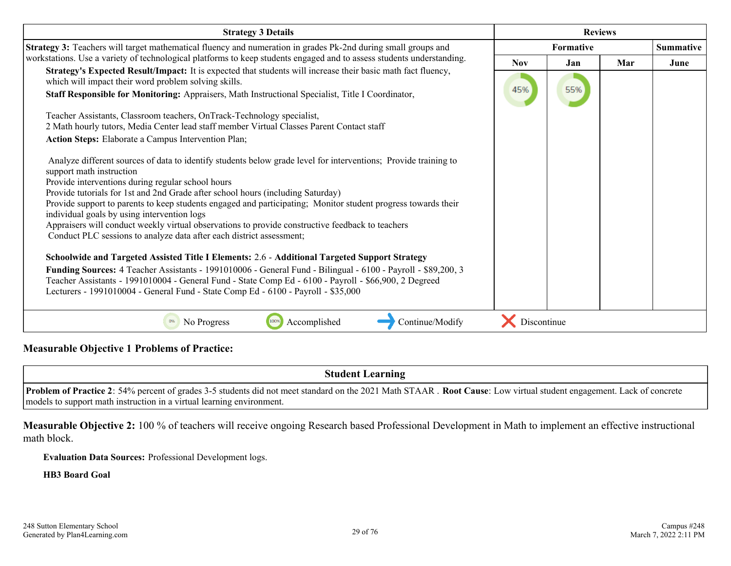| <b>Strategy 3 Details</b>                                                                                                                                                                        | <b>Reviews</b>   |     |     |                  |
|--------------------------------------------------------------------------------------------------------------------------------------------------------------------------------------------------|------------------|-----|-----|------------------|
| Strategy 3: Teachers will target mathematical fluency and numeration in grades Pk-2nd during small groups and                                                                                    | <b>Formative</b> |     |     | <b>Summative</b> |
| workstations. Use a variety of technological platforms to keep students engaged and to assess students understanding.                                                                            | <b>Nov</b>       | Jan | Mar | June             |
| Strategy's Expected Result/Impact: It is expected that students will increase their basic math fact fluency,<br>which will impact their word problem solving skills.                             |                  |     |     |                  |
| Staff Responsible for Monitoring: Appraisers, Math Instructional Specialist, Title I Coordinator,                                                                                                | 45%              | 55% |     |                  |
| Teacher Assistants, Classroom teachers, OnTrack-Technology specialist,<br>2 Math hourly tutors, Media Center lead staff member Virtual Classes Parent Contact staff                              |                  |     |     |                  |
| Action Steps: Elaborate a Campus Intervention Plan;                                                                                                                                              |                  |     |     |                  |
| Analyze different sources of data to identify students below grade level for interventions; Provide training to<br>support math instruction                                                      |                  |     |     |                  |
| Provide interventions during regular school hours                                                                                                                                                |                  |     |     |                  |
| Provide tutorials for 1st and 2nd Grade after school hours (including Saturday)<br>Provide support to parents to keep students engaged and participating; Monitor student progress towards their |                  |     |     |                  |
| individual goals by using intervention logs                                                                                                                                                      |                  |     |     |                  |
| Appraisers will conduct weekly virtual observations to provide constructive feedback to teachers<br>Conduct PLC sessions to analyze data after each district assessment;                         |                  |     |     |                  |
| Schoolwide and Targeted Assisted Title I Elements: 2.6 - Additional Targeted Support Strategy                                                                                                    |                  |     |     |                  |
| Funding Sources: 4 Teacher Assistants - 1991010006 - General Fund - Bilingual - 6100 - Payroll - \$89,200, 3                                                                                     |                  |     |     |                  |
| Teacher Assistants - 1991010004 - General Fund - State Comp Ed - 6100 - Payroll - \$66,900, 2 Degreed<br>Lecturers - 1991010004 - General Fund - State Comp Ed - 6100 - Payroll - \$35,000       |                  |     |     |                  |
|                                                                                                                                                                                                  |                  |     |     |                  |
| Accomplished<br>Continue/Modify<br>No Progress<br>100%<br>0%                                                                                                                                     | Discontinue      |     |     |                  |

### **Measurable Objective 1 Problems of Practice:**

**Student Learning**

**Problem of Practice 2**: 54% percent of grades 3-5 students did not meet standard on the 2021 Math STAAR . **Root Cause**: Low virtual student engagement. Lack of concrete models to support math instruction in a virtual learning environment.

**Measurable Objective 2:** 100 % of teachers will receive ongoing Research based Professional Development in Math to implement an effective instructional math block.

**Evaluation Data Sources:** Professional Development logs.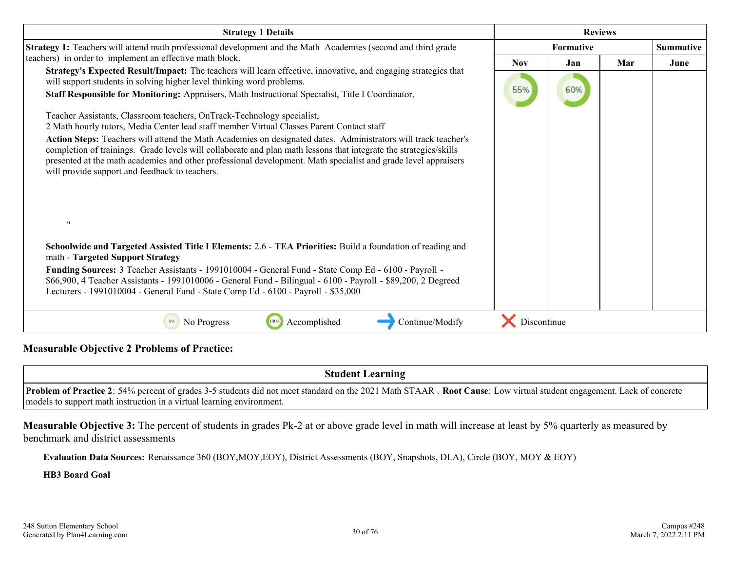| <b>Strategy 1 Details</b>                                                                                                                                                                                                                                                                                                                                                                                              | <b>Reviews</b> |     |     |                  |
|------------------------------------------------------------------------------------------------------------------------------------------------------------------------------------------------------------------------------------------------------------------------------------------------------------------------------------------------------------------------------------------------------------------------|----------------|-----|-----|------------------|
| Strategy 1: Teachers will attend math professional development and the Math Academies (second and third grade                                                                                                                                                                                                                                                                                                          | Formative      |     |     | <b>Summative</b> |
| teachers) in order to implement an effective math block.                                                                                                                                                                                                                                                                                                                                                               | <b>Nov</b>     | Jan | Mar | June             |
| Strategy's Expected Result/Impact: The teachers will learn effective, innovative, and engaging strategies that<br>will support students in solving higher level thinking word problems.                                                                                                                                                                                                                                |                |     |     |                  |
| Staff Responsible for Monitoring: Appraisers, Math Instructional Specialist, Title I Coordinator,                                                                                                                                                                                                                                                                                                                      | 55%            | 60% |     |                  |
| Teacher Assistants, Classroom teachers, OnTrack-Technology specialist,<br>2 Math hourly tutors, Media Center lead staff member Virtual Classes Parent Contact staff                                                                                                                                                                                                                                                    |                |     |     |                  |
| Action Steps: Teachers will attend the Math Academies on designated dates. Administrators will track teacher's<br>completion of trainings. Grade levels will collaborate and plan math lessons that integrate the strategies/skills<br>presented at the math academies and other professional development. Math specialist and grade level appraisers<br>will provide support and feedback to teachers.<br>$^{\prime}$ |                |     |     |                  |
| Schoolwide and Targeted Assisted Title I Elements: 2.6 - TEA Priorities: Build a foundation of reading and<br>math - Targeted Support Strategy                                                                                                                                                                                                                                                                         |                |     |     |                  |
| Funding Sources: 3 Teacher Assistants - 1991010004 - General Fund - State Comp Ed - 6100 - Payroll -<br>\$66,900, 4 Teacher Assistants - 1991010006 - General Fund - Bilingual - 6100 - Payroll - \$89,200, 2 Degreed<br>Lecturers - 1991010004 - General Fund - State Comp Ed - 6100 - Payroll - \$35,000                                                                                                             |                |     |     |                  |
| Continue/Modify<br>100%<br>Accomplished<br>0%<br>No Progress                                                                                                                                                                                                                                                                                                                                                           | Discontinue    |     |     |                  |

### **Measurable Objective 2 Problems of Practice:**

**Student Learning**

**Problem of Practice 2**: 54% percent of grades 3-5 students did not meet standard on the 2021 Math STAAR . **Root Cause**: Low virtual student engagement. Lack of concrete models to support math instruction in a virtual learning environment.

**Measurable Objective 3:** The percent of students in grades Pk-2 at or above grade level in math will increase at least by 5% quarterly as measured by benchmark and district assessments

**Evaluation Data Sources:** Renaissance 360 (BOY,MOY,EOY), District Assessments (BOY, Snapshots, DLA), Circle (BOY, MOY & EOY)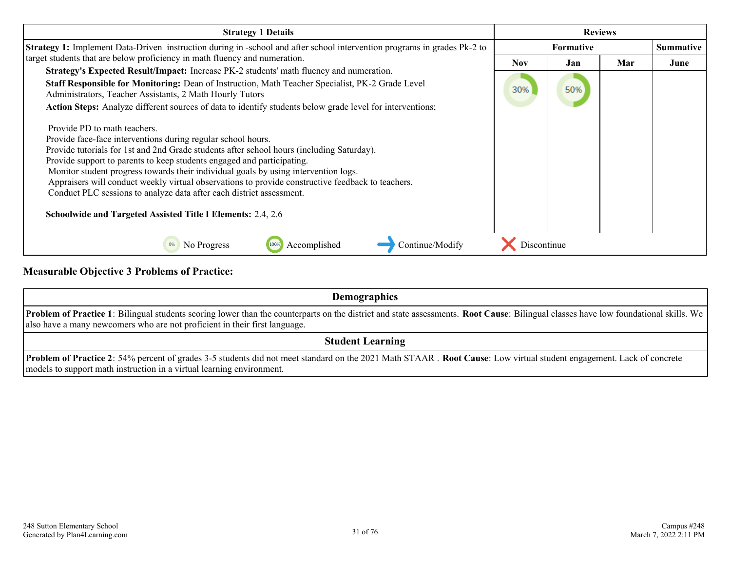| <b>Strategy 1 Details</b>                                                                                                                                                                                                                                                                                                                                                                                                                                                                                                                                                                                     | <b>Reviews</b>   |     |     |                  |
|---------------------------------------------------------------------------------------------------------------------------------------------------------------------------------------------------------------------------------------------------------------------------------------------------------------------------------------------------------------------------------------------------------------------------------------------------------------------------------------------------------------------------------------------------------------------------------------------------------------|------------------|-----|-----|------------------|
| <b>Strategy 1:</b> Implement Data-Driven instruction during in -school and after school intervention programs in grades Pk-2 to                                                                                                                                                                                                                                                                                                                                                                                                                                                                               | <b>Formative</b> |     |     | <b>Summative</b> |
| target students that are below proficiency in math fluency and numeration.<br>Strategy's Expected Result/Impact: Increase PK-2 students' math fluency and numeration.<br>Staff Responsible for Monitoring: Dean of Instruction, Math Teacher Specialist, PK-2 Grade Level                                                                                                                                                                                                                                                                                                                                     | <b>Nov</b>       | Jan | Mar | June             |
| Administrators, Teacher Assistants, 2 Math Hourly Tutors<br><b>Action Steps:</b> Analyze different sources of data to identify students below grade level for interventions;                                                                                                                                                                                                                                                                                                                                                                                                                                  | 30%              | 50% |     |                  |
| Provide PD to math teachers.<br>Provide face-face interventions during regular school hours.<br>Provide tutorials for 1st and 2nd Grade students after school hours (including Saturday).<br>Provide support to parents to keep students engaged and participating.<br>Monitor student progress towards their individual goals by using intervention logs.<br>Appraisers will conduct weekly virtual observations to provide constructive feedback to teachers.<br>Conduct PLC sessions to analyze data after each district assessment.<br><b>Schoolwide and Targeted Assisted Title I Elements: 2.4, 2.6</b> |                  |     |     |                  |
| No Progress<br>Accomplished<br>Continue/Modify                                                                                                                                                                                                                                                                                                                                                                                                                                                                                                                                                                | iscontinue       |     |     |                  |

### **Measurable Objective 3 Problems of Practice:**

| <b>Demographics</b>                                                                                                                                                                                                                                                               |
|-----------------------------------------------------------------------------------------------------------------------------------------------------------------------------------------------------------------------------------------------------------------------------------|
| <b>Problem of Practice 1</b> : Bilingual students scoring lower than the counterparts on the district and state assessments. <b>Root Cause</b> : Bilingual classes have low foundational skills. We<br>also have a many newcomers who are not proficient in their first language. |
| <b>Student Learning</b>                                                                                                                                                                                                                                                           |
| <b>Problem of Practice 2</b> : 54% percent of grades 3-5 students did not meet standard on the 2021 Math STAAR. Root Cause: Low virtual student engagement. Lack of concrete<br>models to support math instruction in a virtual learning environment.                             |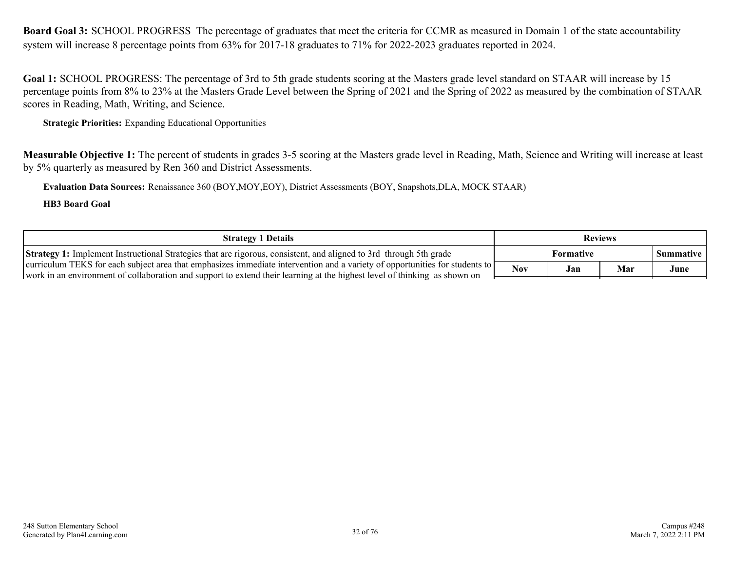<span id="page-31-0"></span>**Board Goal 3:** SCHOOL PROGRESS The percentage of graduates that meet the criteria for CCMR as measured in Domain 1 of the state accountability system will increase 8 percentage points from 63% for 2017-18 graduates to 71% for 2022-2023 graduates reported in 2024.

Goal 1: SCHOOL PROGRESS: The percentage of 3rd to 5th grade students scoring at the Masters grade level standard on STAAR will increase by 15 percentage points from 8% to 23% at the Masters Grade Level between the Spring of 2021 and the Spring of 2022 as measured by the combination of STAAR scores in Reading, Math, Writing, and Science.

**Strategic Priorities:** Expanding Educational Opportunities

**Measurable Objective 1:** The percent of students in grades 3-5 scoring at the Masters grade level in Reading, Math, Science and Writing will increase at least by 5% quarterly as measured by Ren 360 and District Assessments.

**Evaluation Data Sources:** Renaissance 360 (BOY,MOY,EOY), District Assessments (BOY, Snapshots,DLA, MOCK STAAR)

| <b>Strategy 1 Details</b>                                                                                                                                                                                                                                         | <b>Reviews</b>   |     |     |             |
|-------------------------------------------------------------------------------------------------------------------------------------------------------------------------------------------------------------------------------------------------------------------|------------------|-----|-----|-------------|
| <b>Strategy 1:</b> Implement Instructional Strategies that are rigorous, consistent, and aligned to 3rd through 5th grade                                                                                                                                         | <b>Formative</b> |     |     | Summative 1 |
| curriculum TEKS for each subject area that emphasizes immediate intervention and a variety of opportunities for students to $\Gamma$<br>work in an environment of collaboration and support to extend their learning at the highest level of thinking as shown on | <b>Nov</b>       | Jan | Mar | June        |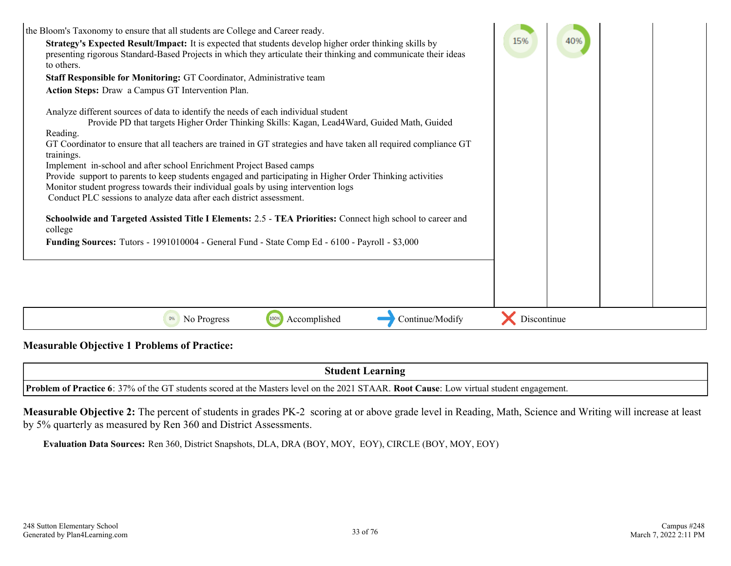| the Bloom's Taxonomy to ensure that all students are College and Career ready.<br>Strategy's Expected Result/Impact: It is expected that students develop higher order thinking skills by<br>presenting rigorous Standard-Based Projects in which they articulate their thinking and communicate their ideas                                                                                                                                                                                                                                                                                                                                                                       | 15%         |  |  |
|------------------------------------------------------------------------------------------------------------------------------------------------------------------------------------------------------------------------------------------------------------------------------------------------------------------------------------------------------------------------------------------------------------------------------------------------------------------------------------------------------------------------------------------------------------------------------------------------------------------------------------------------------------------------------------|-------------|--|--|
| to others.                                                                                                                                                                                                                                                                                                                                                                                                                                                                                                                                                                                                                                                                         |             |  |  |
| Staff Responsible for Monitoring: GT Coordinator, Administrative team                                                                                                                                                                                                                                                                                                                                                                                                                                                                                                                                                                                                              |             |  |  |
| Action Steps: Draw a Campus GT Intervention Plan.                                                                                                                                                                                                                                                                                                                                                                                                                                                                                                                                                                                                                                  |             |  |  |
| Analyze different sources of data to identify the needs of each individual student<br>Provide PD that targets Higher Order Thinking Skills: Kagan, Lead4Ward, Guided Math, Guided<br>Reading.<br>GT Coordinator to ensure that all teachers are trained in GT strategies and have taken all required compliance GT<br>trainings.<br>Implement in-school and after school Enrichment Project Based camps<br>Provide support to parents to keep students engaged and participating in Higher Order Thinking activities<br>Monitor student progress towards their individual goals by using intervention logs<br>Conduct PLC sessions to analyze data after each district assessment. |             |  |  |
| Schoolwide and Targeted Assisted Title I Elements: 2.5 - TEA Priorities: Connect high school to career and<br>college<br>Funding Sources: Tutors - 1991010004 - General Fund - State Comp Ed - 6100 - Payroll - \$3,000                                                                                                                                                                                                                                                                                                                                                                                                                                                            |             |  |  |
|                                                                                                                                                                                                                                                                                                                                                                                                                                                                                                                                                                                                                                                                                    |             |  |  |
| Continue/Modify<br>Accomplished<br>No Progress<br>0%                                                                                                                                                                                                                                                                                                                                                                                                                                                                                                                                                                                                                               | Discontinue |  |  |

### **Measurable Objective 1 Problems of Practice:**

| earning<br>√tuden.                                                                                                                                                             |
|--------------------------------------------------------------------------------------------------------------------------------------------------------------------------------|
| <b>Problem of Practice 6: 37% of the GT</b><br>$\Gamma$ students scored at the Masters level on the 2021 STAAR. <b>Root Cause:</b> $\Gamma$<br>Low virtual student engagement. |

**Measurable Objective 2:** The percent of students in grades PK-2 scoring at or above grade level in Reading, Math, Science and Writing will increase at least by 5% quarterly as measured by Ren 360 and District Assessments.

**Evaluation Data Sources:** Ren 360, District Snapshots, DLA, DRA (BOY, MOY, EOY), CIRCLE (BOY, MOY, EOY)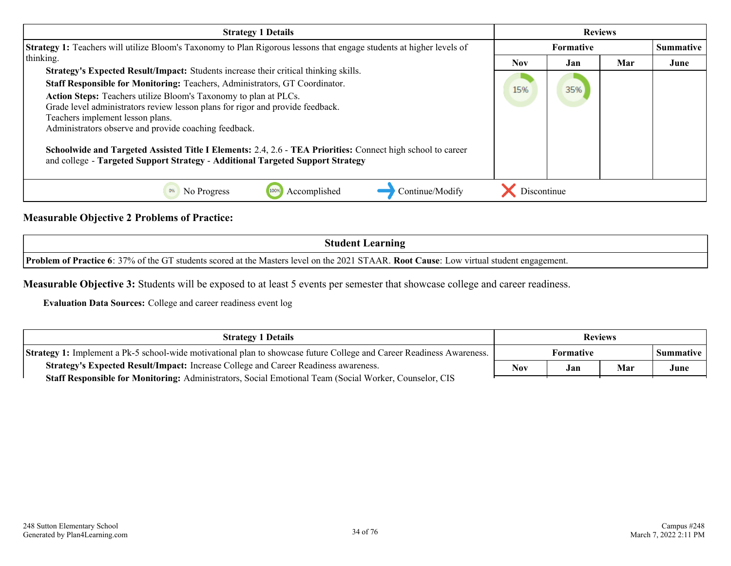| <b>Strategy 1 Details</b>                                                                                                                                                                                                                                                                                                                                                                                                                                                                                                                                                                                               | <b>Reviews</b>   |     |           |      |
|-------------------------------------------------------------------------------------------------------------------------------------------------------------------------------------------------------------------------------------------------------------------------------------------------------------------------------------------------------------------------------------------------------------------------------------------------------------------------------------------------------------------------------------------------------------------------------------------------------------------------|------------------|-----|-----------|------|
| <b>Strategy 1:</b> Teachers will utilize Bloom's Taxonomy to Plan Rigorous lessons that engage students at higher levels of                                                                                                                                                                                                                                                                                                                                                                                                                                                                                             | <b>Formative</b> |     | Summative |      |
| thinking.                                                                                                                                                                                                                                                                                                                                                                                                                                                                                                                                                                                                               | <b>Nov</b>       | Jan | Mar       | June |
| Strategy's Expected Result/Impact: Students increase their critical thinking skills.<br>Staff Responsible for Monitoring: Teachers, Administrators, GT Coordinator.<br>Action Steps: Teachers utilize Bloom's Taxonomy to plan at PLCs.<br>Grade level administrators review lesson plans for rigor and provide feedback.<br>Teachers implement lesson plans.<br>Administrators observe and provide coaching feedback.<br>Schoolwide and Targeted Assisted Title I Elements: 2.4, 2.6 - TEA Priorities: Connect high school to career<br>and college - Targeted Support Strategy - Additional Targeted Support Strategy | 15%              | 35% |           |      |
| Accomplished<br>Continue/Modify<br>0%<br>No Progress                                                                                                                                                                                                                                                                                                                                                                                                                                                                                                                                                                    | Discontinue      |     |           |      |

### **Measurable Objective 2 Problems of Practice:**

| <b>Student Learning</b>                                                                                                                                  |
|----------------------------------------------------------------------------------------------------------------------------------------------------------|
| <b>Problem of Practice 6</b> : 37% of the GT students scored at the Masters level on the 2021 STAAR. <b>Root Cause</b> : Low virtual student engagement. |

**Measurable Objective 3:** Students will be exposed to at least 5 events per semester that showcase college and career readiness.

**Evaluation Data Sources:** College and career readiness event log

| <b>Strategy 1 Details</b>                                                                                                    | <b>Reviews</b> |           |     |            |
|------------------------------------------------------------------------------------------------------------------------------|----------------|-----------|-----|------------|
| <b>Strategy 1:</b> Implement a Pk-5 school-wide motivational plan to showcase future College and Career Readiness Awareness. |                | Formative |     | Summative. |
| <b>Strategy's Expected Result/Impact:</b> Increase College and Career Readiness awareness.                                   | <b>Nov</b>     | Jan       | Mar | June       |
| Staff Responsible for Monitoring: Administrators, Social Emotional Team (Social Worker, Counselor, CIS                       |                |           |     |            |

248 Sutton Elementary School Separated by Plan4Learning.com 34 of 76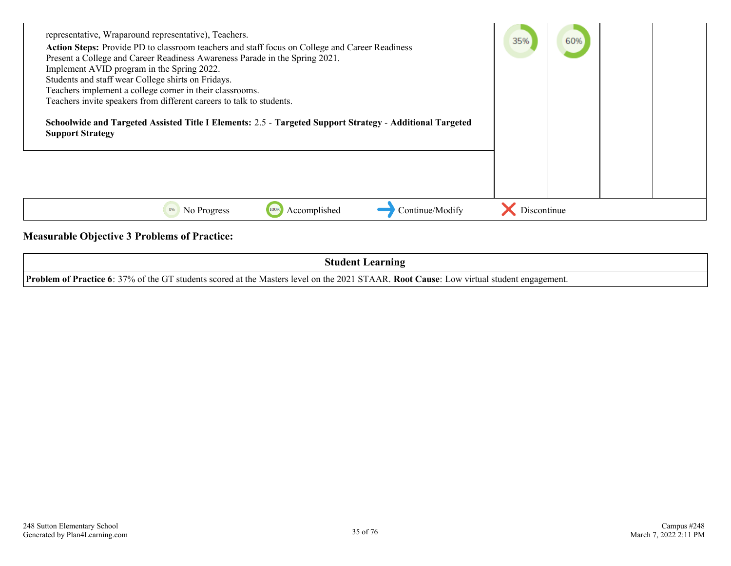| representative, Wraparound representative), Teachers.<br>Action Steps: Provide PD to classroom teachers and staff focus on College and Career Readiness<br>Present a College and Career Readiness Awareness Parade in the Spring 2021.<br>Implement AVID program in the Spring 2022.<br>Students and staff wear College shirts on Fridays.<br>Teachers implement a college corner in their classrooms.<br>Teachers invite speakers from different careers to talk to students.<br>Schoolwide and Targeted Assisted Title I Elements: 2.5 - Targeted Support Strategy - Additional Targeted<br><b>Support Strategy</b> | 35%         | 60% |  |  |
|-----------------------------------------------------------------------------------------------------------------------------------------------------------------------------------------------------------------------------------------------------------------------------------------------------------------------------------------------------------------------------------------------------------------------------------------------------------------------------------------------------------------------------------------------------------------------------------------------------------------------|-------------|-----|--|--|
| Continue/Modify<br>Accomplished<br>0%<br>No Progress                                                                                                                                                                                                                                                                                                                                                                                                                                                                                                                                                                  | Discontinue |     |  |  |

### **Measurable Objective 3 Problems of Practice:**

| <b>Student Learning</b>                                                                                                                         |
|-------------------------------------------------------------------------------------------------------------------------------------------------|
| <b>Problem of Practice 6:</b> 37% of the GT students scored at the Masters level on the 2021 STAAR. Root Cause: Low virtual student engagement. |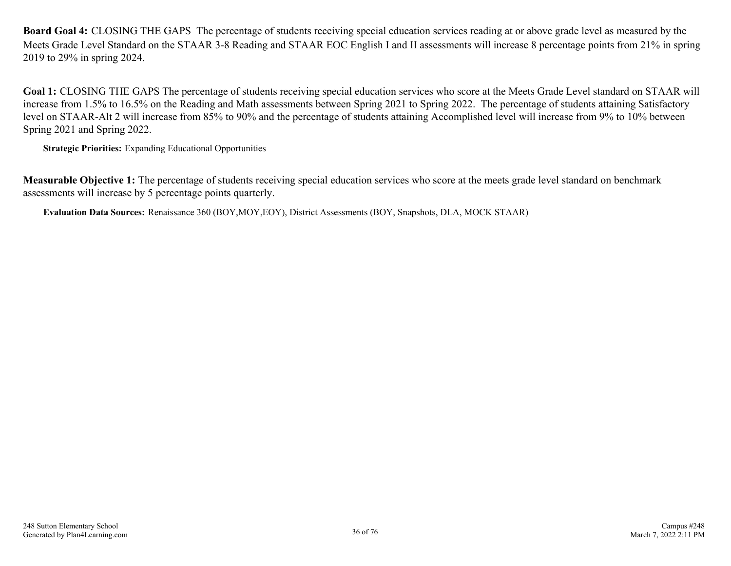<span id="page-35-0"></span>**Board Goal 4:** CLOSING THE GAPS The percentage of students receiving special education services reading at or above grade level as measured by the Meets Grade Level Standard on the STAAR 3-8 Reading and STAAR EOC English I and II assessments will increase 8 percentage points from 21% in spring 2019 to 29% in spring 2024.

**Goal 1:** CLOSING THE GAPS The percentage of students receiving special education services who score at the Meets Grade Level standard on STAAR will increase from 1.5% to 16.5% on the Reading and Math assessments between Spring 2021 to Spring 2022. The percentage of students attaining Satisfactory level on STAAR-Alt 2 will increase from 85% to 90% and the percentage of students attaining Accomplished level will increase from 9% to 10% between Spring 2021 and Spring 2022.

**Strategic Priorities:** Expanding Educational Opportunities

**Measurable Objective 1:** The percentage of students receiving special education services who score at the meets grade level standard on benchmark assessments will increase by 5 percentage points quarterly.

**Evaluation Data Sources:** Renaissance 360 (BOY,MOY,EOY), District Assessments (BOY, Snapshots, DLA, MOCK STAAR)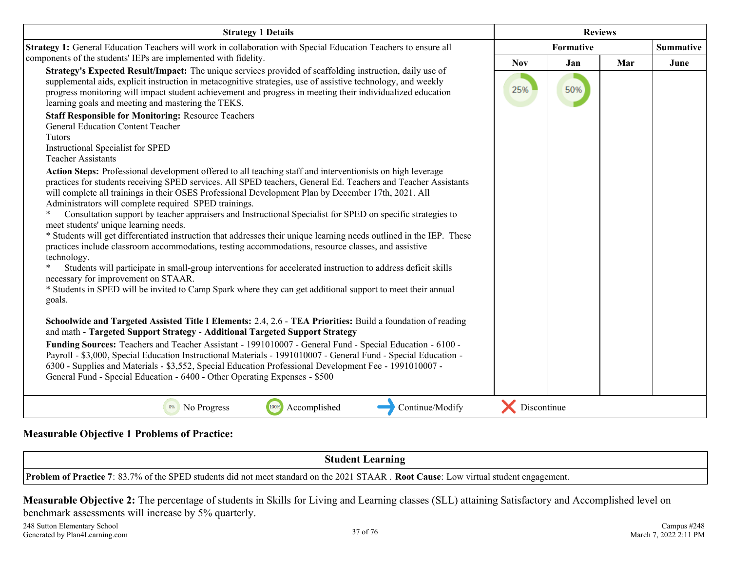| <b>Strategy 1 Details</b>                                                                                                                                                                                                                                                                                                                                                                                                                                                                                                                                                                                                                                                                                                                                                                                                                                                                                                                                                                                                                                                         |             |     | <b>Reviews</b> |                  |
|-----------------------------------------------------------------------------------------------------------------------------------------------------------------------------------------------------------------------------------------------------------------------------------------------------------------------------------------------------------------------------------------------------------------------------------------------------------------------------------------------------------------------------------------------------------------------------------------------------------------------------------------------------------------------------------------------------------------------------------------------------------------------------------------------------------------------------------------------------------------------------------------------------------------------------------------------------------------------------------------------------------------------------------------------------------------------------------|-------------|-----|----------------|------------------|
| <b>Strategy 1:</b> General Education Teachers will work in collaboration with Special Education Teachers to ensure all                                                                                                                                                                                                                                                                                                                                                                                                                                                                                                                                                                                                                                                                                                                                                                                                                                                                                                                                                            | Formative   |     |                | <b>Summative</b> |
| components of the students' IEPs are implemented with fidelity.                                                                                                                                                                                                                                                                                                                                                                                                                                                                                                                                                                                                                                                                                                                                                                                                                                                                                                                                                                                                                   | <b>Nov</b>  | Jan | Mar            | June             |
| Strategy's Expected Result/Impact: The unique services provided of scaffolding instruction, daily use of<br>supplemental aids, explicit instruction in metacognitive strategies, use of assistive technology, and weekly<br>progress monitoring will impact student achievement and progress in meeting their individualized education<br>learning goals and meeting and mastering the TEKS.                                                                                                                                                                                                                                                                                                                                                                                                                                                                                                                                                                                                                                                                                      | 25%         | 50% |                |                  |
| <b>Staff Responsible for Monitoring: Resource Teachers</b><br><b>General Education Content Teacher</b>                                                                                                                                                                                                                                                                                                                                                                                                                                                                                                                                                                                                                                                                                                                                                                                                                                                                                                                                                                            |             |     |                |                  |
| <b>Tutors</b><br><b>Instructional Specialist for SPED</b><br><b>Teacher Assistants</b>                                                                                                                                                                                                                                                                                                                                                                                                                                                                                                                                                                                                                                                                                                                                                                                                                                                                                                                                                                                            |             |     |                |                  |
| Action Steps: Professional development offered to all teaching staff and interventionists on high leverage<br>practices for students receiving SPED services. All SPED teachers, General Ed. Teachers and Teacher Assistants<br>will complete all trainings in their OSES Professional Development Plan by December 17th, 2021. All<br>Administrators will complete required SPED trainings.<br>Consultation support by teacher appraisers and Instructional Specialist for SPED on specific strategies to<br>meet students' unique learning needs.<br>* Students will get differentiated instruction that addresses their unique learning needs outlined in the IEP. These<br>practices include classroom accommodations, testing accommodations, resource classes, and assistive<br>technology.<br>Students will participate in small-group interventions for accelerated instruction to address deficit skills<br>necessary for improvement on STAAR.<br>* Students in SPED will be invited to Camp Spark where they can get additional support to meet their annual<br>goals. |             |     |                |                  |
| Schoolwide and Targeted Assisted Title I Elements: 2.4, 2.6 - TEA Priorities: Build a foundation of reading<br>and math - Targeted Support Strategy - Additional Targeted Support Strategy                                                                                                                                                                                                                                                                                                                                                                                                                                                                                                                                                                                                                                                                                                                                                                                                                                                                                        |             |     |                |                  |
| Funding Sources: Teachers and Teacher Assistant - 1991010007 - General Fund - Special Education - 6100 -<br>Payroll - \$3,000, Special Education Instructional Materials - 1991010007 - General Fund - Special Education -<br>6300 - Supplies and Materials - \$3,552, Special Education Professional Development Fee - 1991010007 -<br>General Fund - Special Education - 6400 - Other Operating Expenses - \$500                                                                                                                                                                                                                                                                                                                                                                                                                                                                                                                                                                                                                                                                |             |     |                |                  |
| Accomplished<br>Continue/Modify<br>No Progress<br>100%                                                                                                                                                                                                                                                                                                                                                                                                                                                                                                                                                                                                                                                                                                                                                                                                                                                                                                                                                                                                                            | Discontinue |     |                |                  |

#### **Measurable Objective 1 Problems of Practice:**

**Student Learning Problem of Practice 7**: 83.7% of the SPED students did not meet standard on the 2021 STAAR . **Root Cause**: Low virtual student engagement.

**Measurable Objective 2:** The percentage of students in Skills for Living and Learning classes (SLL) attaining Satisfactory and Accomplished level on benchmark assessments will increase by 5% quarterly.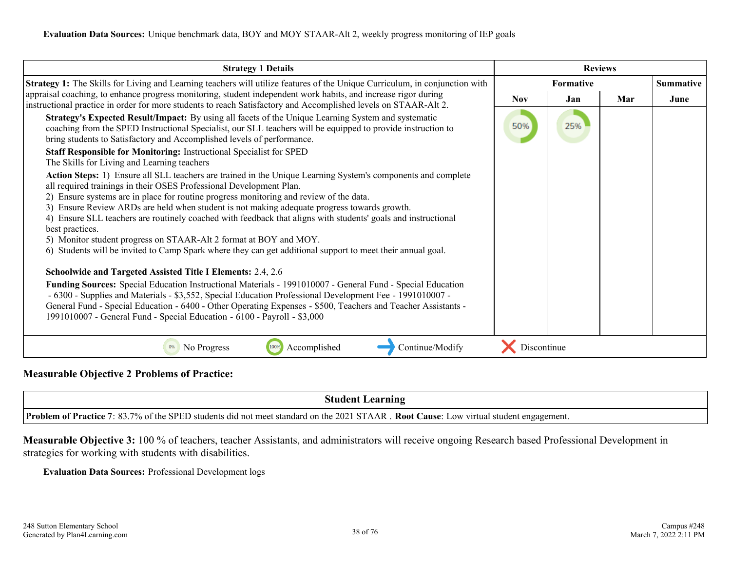| <b>Strategy 1 Details</b>                                                                                                                                                                                                                                                                                                                                                                                                                                                                                                                                                                                                                                                                                                                                                 |                    | <b>Reviews</b> |     |                  |
|---------------------------------------------------------------------------------------------------------------------------------------------------------------------------------------------------------------------------------------------------------------------------------------------------------------------------------------------------------------------------------------------------------------------------------------------------------------------------------------------------------------------------------------------------------------------------------------------------------------------------------------------------------------------------------------------------------------------------------------------------------------------------|--------------------|----------------|-----|------------------|
| <b>Strategy 1:</b> The Skills for Living and Learning teachers will utilize features of the Unique Curriculum, in conjunction with                                                                                                                                                                                                                                                                                                                                                                                                                                                                                                                                                                                                                                        |                    | Formative      |     | <b>Summative</b> |
| appraisal coaching, to enhance progress monitoring, student independent work habits, and increase rigor during<br>instructional practice in order for more students to reach Satisfactory and Accomplished levels on STAAR-Alt 2.                                                                                                                                                                                                                                                                                                                                                                                                                                                                                                                                         | <b>Nov</b>         | Jan            | Mar | June             |
| Strategy's Expected Result/Impact: By using all facets of the Unique Learning System and systematic<br>coaching from the SPED Instructional Specialist, our SLL teachers will be equipped to provide instruction to<br>bring students to Satisfactory and Accomplished levels of performance.<br>Staff Responsible for Monitoring: Instructional Specialist for SPED<br>The Skills for Living and Learning teachers                                                                                                                                                                                                                                                                                                                                                       | 50%                | 25%            |     |                  |
| Action Steps: 1) Ensure all SLL teachers are trained in the Unique Learning System's components and complete<br>all required trainings in their OSES Professional Development Plan.<br>2) Ensure systems are in place for routine progress monitoring and review of the data.<br>3) Ensure Review ARDs are held when student is not making adequate progress towards growth.<br>4) Ensure SLL teachers are routinely coached with feedback that aligns with students' goals and instructional<br>best practices.<br>5) Monitor student progress on STAAR-Alt 2 format at BOY and MOY.<br>6) Students will be invited to Camp Spark where they can get additional support to meet their annual goal.<br><b>Schoolwide and Targeted Assisted Title I Elements: 2.4, 2.6</b> |                    |                |     |                  |
| Funding Sources: Special Education Instructional Materials - 1991010007 - General Fund - Special Education<br>- 6300 - Supplies and Materials - \$3,552, Special Education Professional Development Fee - 1991010007 -<br>General Fund - Special Education - 6400 - Other Operating Expenses - \$500, Teachers and Teacher Assistants -<br>1991010007 - General Fund - Special Education - 6100 - Payroll - \$3,000                                                                                                                                                                                                                                                                                                                                                       |                    |                |     |                  |
| Accomplished<br>Continue/Modify<br>No Progress<br>100%<br>0%                                                                                                                                                                                                                                                                                                                                                                                                                                                                                                                                                                                                                                                                                                              | <b>Discontinue</b> |                |     |                  |

#### **Measurable Objective 2 Problems of Practice:**

| Learning<br>†udent L…                                                                                                                         |
|-----------------------------------------------------------------------------------------------------------------------------------------------|
| <b>Problem of Practice</b> 7: 83.7% of the SPED students did not meet standard on the 2021 STAAR. Root Cause: Low virtual student engagement. |

**Measurable Objective 3:** 100 % of teachers, teacher Assistants, and administrators will receive ongoing Research based Professional Development in strategies for working with students with disabilities.

**Evaluation Data Sources:** Professional Development logs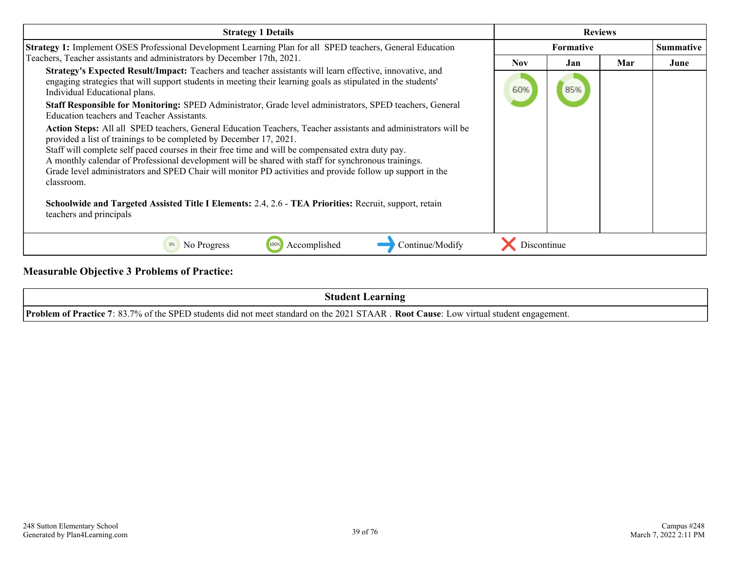| <b>Strategy 1 Details</b>                                                                                                                                                                                                                                                                                                                                                                                                                                                                                                                                                                                                             |                  | <b>Reviews</b> |                  |      |
|---------------------------------------------------------------------------------------------------------------------------------------------------------------------------------------------------------------------------------------------------------------------------------------------------------------------------------------------------------------------------------------------------------------------------------------------------------------------------------------------------------------------------------------------------------------------------------------------------------------------------------------|------------------|----------------|------------------|------|
| <b>Strategy 1:</b> Implement OSES Professional Development Learning Plan for all SPED teachers, General Education                                                                                                                                                                                                                                                                                                                                                                                                                                                                                                                     | <b>Formative</b> |                | <b>Summative</b> |      |
| Teachers, Teacher assistants and administrators by December 17th, 2021.                                                                                                                                                                                                                                                                                                                                                                                                                                                                                                                                                               | Nov.             | Jan            | Mar              | June |
| Strategy's Expected Result/Impact: Teachers and teacher assistants will learn effective, innovative, and<br>engaging strategies that will support students in meeting their learning goals as stipulated in the students'<br>Individual Educational plans.                                                                                                                                                                                                                                                                                                                                                                            | 60%              | 85%            |                  |      |
| Staff Responsible for Monitoring: SPED Administrator, Grade level administrators, SPED teachers, General<br>Education teachers and Teacher Assistants.                                                                                                                                                                                                                                                                                                                                                                                                                                                                                |                  |                |                  |      |
| Action Steps: All all SPED teachers, General Education Teachers, Teacher assistants and administrators will be<br>provided a list of trainings to be completed by December 17, 2021.<br>Staff will complete self paced courses in their free time and will be compensated extra duty pay.<br>A monthly calendar of Professional development will be shared with staff for synchronous trainings.<br>Grade level administrators and SPED Chair will monitor PD activities and provide follow up support in the<br>classroom.<br>Schoolwide and Targeted Assisted Title I Elements: 2.4, 2.6 - TEA Priorities: Recruit, support, retain |                  |                |                  |      |
| teachers and principals                                                                                                                                                                                                                                                                                                                                                                                                                                                                                                                                                                                                               |                  |                |                  |      |
| Continue/Modify<br>No Progress<br>Accomplished<br>0%                                                                                                                                                                                                                                                                                                                                                                                                                                                                                                                                                                                  | Discontinue      |                |                  |      |

### **Measurable Objective 3 Problems of Practice:**

| student :<br>earning                                                                                                                           |
|------------------------------------------------------------------------------------------------------------------------------------------------|
| <b>Problem of Practice 7</b> : 83.7% of the SPED students did not meet standard on the 2021 STAAR. Root Cause: Low virtual student engagement. |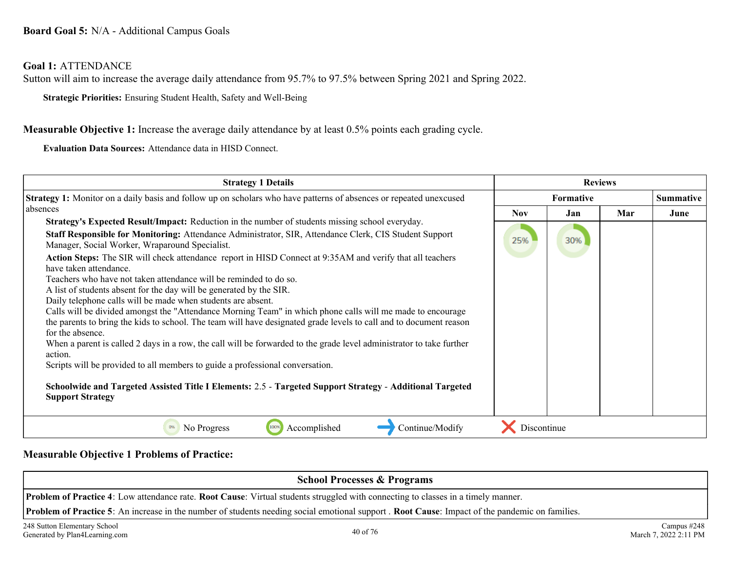#### **Board Goal 5:** N/A - Additional Campus Goals

#### **Goal 1:** ATTENDANCE

Sutton will aim to increase the average daily attendance from 95.7% to 97.5% between Spring 2021 and Spring 2022.

**Strategic Priorities:** Ensuring Student Health, Safety and Well-Being

**Measurable Objective 1:** Increase the average daily attendance by at least 0.5% points each grading cycle.

**Evaluation Data Sources:** Attendance data in HISD Connect.

| <b>Strategy 1 Details</b>                                                                                                                                                                                                        |             | <b>Reviews</b> |     |                  |
|----------------------------------------------------------------------------------------------------------------------------------------------------------------------------------------------------------------------------------|-------------|----------------|-----|------------------|
| <b>Strategy 1:</b> Monitor on a daily basis and follow up on scholars who have patterns of absences or repeated unexcused                                                                                                        |             | Formative      |     | <b>Summative</b> |
| absences                                                                                                                                                                                                                         | <b>Nov</b>  | Jan            | Mar | June             |
| Strategy's Expected Result/Impact: Reduction in the number of students missing school everyday.                                                                                                                                  |             |                |     |                  |
| Staff Responsible for Monitoring: Attendance Administrator, SIR, Attendance Clerk, CIS Student Support<br>Manager, Social Worker, Wraparound Specialist.                                                                         | 25%         | 30%            |     |                  |
| Action Steps: The SIR will check attendance report in HISD Connect at 9:35AM and verify that all teachers<br>have taken attendance.                                                                                              |             |                |     |                  |
| Teachers who have not taken attendance will be reminded to do so.                                                                                                                                                                |             |                |     |                  |
| A list of students absent for the day will be generated by the SIR.                                                                                                                                                              |             |                |     |                  |
| Daily telephone calls will be made when students are absent.                                                                                                                                                                     |             |                |     |                  |
| Calls will be divided amongst the "Attendance Morning Team" in which phone calls will me made to encourage<br>the parents to bring the kids to school. The team will have designated grade levels to call and to document reason |             |                |     |                  |
| for the absence.                                                                                                                                                                                                                 |             |                |     |                  |
| When a parent is called 2 days in a row, the call will be forwarded to the grade level administrator to take further<br>action.                                                                                                  |             |                |     |                  |
| Scripts will be provided to all members to guide a professional conversation.                                                                                                                                                    |             |                |     |                  |
| Schoolwide and Targeted Assisted Title I Elements: 2.5 - Targeted Support Strategy - Additional Targeted<br><b>Support Strategy</b>                                                                                              |             |                |     |                  |
| Accomplished<br>Continue/Modify<br>No Progress<br>100%<br>0%                                                                                                                                                                     | Discontinue |                |     |                  |

#### **Measurable Objective 1 Problems of Practice:**

| <b>School Processes &amp; Programs</b>                                                                                                                        |                  |
|---------------------------------------------------------------------------------------------------------------------------------------------------------------|------------------|
| <b>Problem of Practice 4</b> : Low attendance rate. Root Cause: Virtual students struggled with connecting to classes in a timely manner.                     |                  |
| <b>Problem of Practice 5:</b> An increase in the number of students needing social emotional support. <b>Root Cause</b> : Impact of the pandemic on families. |                  |
| 248 Sutton Flamentory School                                                                                                                                  | $Comnu_0$ $#248$ |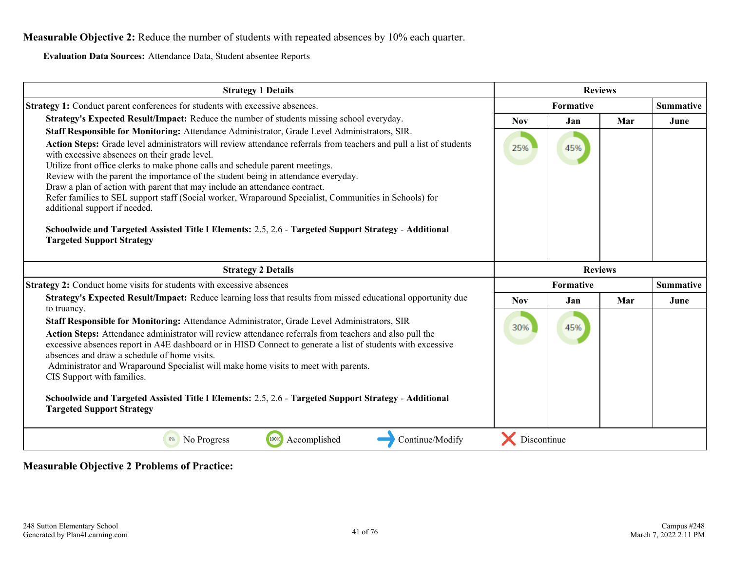**Measurable Objective 2:** Reduce the number of students with repeated absences by 10% each quarter.

**Evaluation Data Sources:** Attendance Data, Student absentee Reports

| <b>Strategy 1 Details</b>                                                                                                                                                                                                                                                                                                                                                                                                                                                                                                                                                                                                                                                                                                                                                                                        |             | <b>Reviews</b> |     |                  |
|------------------------------------------------------------------------------------------------------------------------------------------------------------------------------------------------------------------------------------------------------------------------------------------------------------------------------------------------------------------------------------------------------------------------------------------------------------------------------------------------------------------------------------------------------------------------------------------------------------------------------------------------------------------------------------------------------------------------------------------------------------------------------------------------------------------|-------------|----------------|-----|------------------|
| Strategy 1: Conduct parent conferences for students with excessive absences.                                                                                                                                                                                                                                                                                                                                                                                                                                                                                                                                                                                                                                                                                                                                     |             | Formative      |     | <b>Summative</b> |
| Strategy's Expected Result/Impact: Reduce the number of students missing school everyday.                                                                                                                                                                                                                                                                                                                                                                                                                                                                                                                                                                                                                                                                                                                        | <b>Nov</b>  | Jan            | Mar | June             |
| Staff Responsible for Monitoring: Attendance Administrator, Grade Level Administrators, SIR.<br>Action Steps: Grade level administrators will review attendance referrals from teachers and pull a list of students<br>with excessive absences on their grade level.<br>Utilize front office clerks to make phone calls and schedule parent meetings.<br>Review with the parent the importance of the student being in attendance everyday.<br>Draw a plan of action with parent that may include an attendance contract.<br>Refer families to SEL support staff (Social worker, Wraparound Specialist, Communities in Schools) for<br>additional support if needed.<br>Schoolwide and Targeted Assisted Title I Elements: 2.5, 2.6 - Targeted Support Strategy - Additional<br><b>Targeted Support Strategy</b> | 25%         | 45%            |     |                  |
| <b>Strategy 2 Details</b>                                                                                                                                                                                                                                                                                                                                                                                                                                                                                                                                                                                                                                                                                                                                                                                        |             | <b>Reviews</b> |     |                  |
| <b>Strategy 2:</b> Conduct home visits for students with excessive absences                                                                                                                                                                                                                                                                                                                                                                                                                                                                                                                                                                                                                                                                                                                                      |             | Formative      |     | <b>Summative</b> |
| Strategy's Expected Result/Impact: Reduce learning loss that results from missed educational opportunity due                                                                                                                                                                                                                                                                                                                                                                                                                                                                                                                                                                                                                                                                                                     | <b>Nov</b>  | Jan            | Mar | June             |
| to truancy.<br>Staff Responsible for Monitoring: Attendance Administrator, Grade Level Administrators, SIR<br>Action Steps: Attendance administrator will review attendance referrals from teachers and also pull the<br>excessive absences report in A4E dashboard or in HISD Connect to generate a list of students with excessive<br>absences and draw a schedule of home visits.<br>Administrator and Wraparound Specialist will make home visits to meet with parents.<br>CIS Support with families.<br>Schoolwide and Targeted Assisted Title I Elements: 2.5, 2.6 - Targeted Support Strategy - Additional<br><b>Targeted Support Strategy</b>                                                                                                                                                            | 30%         | 45%            |     |                  |
| Accomplished<br>Continue/Modify<br>0%<br>No Progress<br>100%                                                                                                                                                                                                                                                                                                                                                                                                                                                                                                                                                                                                                                                                                                                                                     | Discontinue |                |     |                  |

**Measurable Objective 2 Problems of Practice:**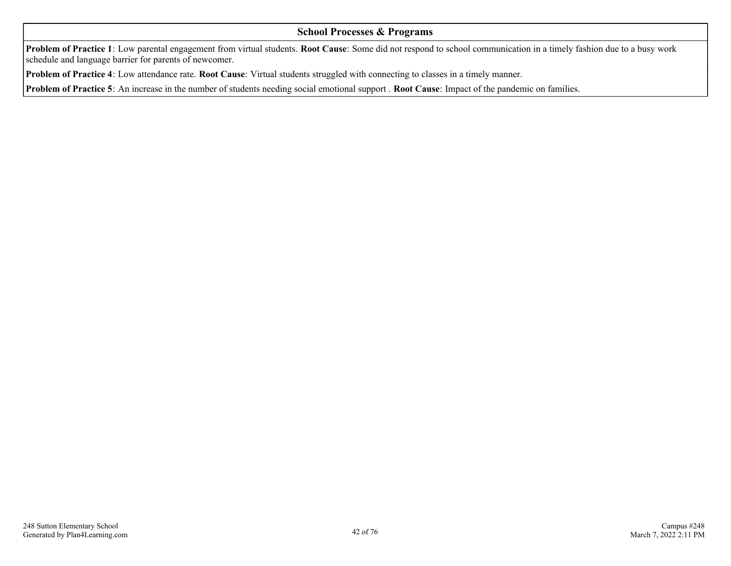#### **School Processes & Programs**

**Problem of Practice 1**: Low parental engagement from virtual students. **Root Cause**: Some did not respond to school communication in a timely fashion due to a busy work schedule and language barrier for parents of newcomer.

**Problem of Practice 4**: Low attendance rate. **Root Cause**: Virtual students struggled with connecting to classes in a timely manner.

**Problem of Practice 5**: An increase in the number of students needing social emotional support . **Root Cause**: Impact of the pandemic on families.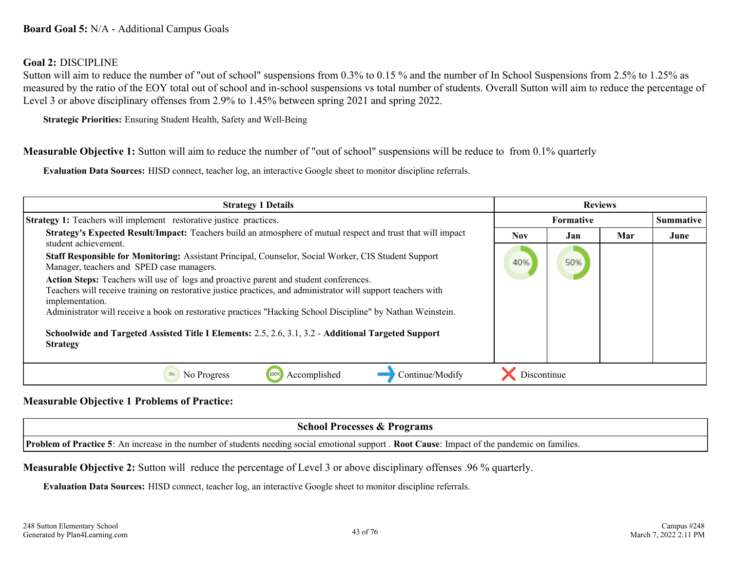#### **Board Goal 5:** N/A - Additional Campus Goals

#### **Goal 2:** DISCIPLINE

Sutton will aim to reduce the number of "out of school" suspensions from 0.3% to 0.15 % and the number of In School Suspensions from 2.5% to 1.25% as measured by the ratio of the EOY total out of school and in-school suspensions vs total number of students. Overall Sutton will aim to reduce the percentage of Level 3 or above disciplinary offenses from 2.9% to 1.45% between spring 2021 and spring 2022.

**Strategic Priorities:** Ensuring Student Health, Safety and Well-Being

**Measurable Objective 1:** Sutton will aim to reduce the number of "out of school" suspensions will be reduce to from 0.1% quarterly

**Evaluation Data Sources:** HISD connect, teacher log, an interactive Google sheet to monitor discipline referrals.

| <b>Strategy 1 Details</b>                                                                                                                                                                                                        |             | <b>Reviews</b>   |     |                  |
|----------------------------------------------------------------------------------------------------------------------------------------------------------------------------------------------------------------------------------|-------------|------------------|-----|------------------|
| <b>Strategy 1:</b> Teachers will implement restorative justice practices.                                                                                                                                                        |             | <b>Formative</b> |     | <b>Summative</b> |
| Strategy's Expected Result/Impact: Teachers build an atmosphere of mutual respect and trust that will impact<br>student achievement.                                                                                             | <b>Nov</b>  | Jan              | Mar | June             |
| Staff Responsible for Monitoring: Assistant Principal, Counselor, Social Worker, CIS Student Support<br>Manager, teachers and SPED case managers.                                                                                | 40%         | 50%              |     |                  |
| <b>Action Steps:</b> Teachers will use of logs and proactive parent and student conferences.<br>Teachers will receive training on restorative justice practices, and administrator will support teachers with<br>implementation. |             |                  |     |                  |
| Administrator will receive a book on restorative practices "Hacking School Discipline" by Nathan Weinstein.                                                                                                                      |             |                  |     |                  |
| Schoolwide and Targeted Assisted Title I Elements: 2.5, 2.6, 3.1, 3.2 - Additional Targeted Support<br><b>Strategy</b>                                                                                                           |             |                  |     |                  |
| Continue/Modify<br>Accomplished<br>No Progress                                                                                                                                                                                   | Discontinue |                  |     |                  |

#### **Measurable Objective 1 Problems of Practice:**

| <b>Programs</b><br>school<br><b>Processes <math>\alpha</math></b>                                                                                                                                                |
|------------------------------------------------------------------------------------------------------------------------------------------------------------------------------------------------------------------|
| .<br>Problem <sub>u</sub><br>. Root Cause:<br>$\therefore$ Impact of the pandemic $\therefore$<br>tamilies<br>notional<br>students needing socia<br>support<br>: number of<br>An incr<br>-on<br>n of Practice St |

**Measurable Objective 2:** Sutton will reduce the percentage of Level 3 or above disciplinary offenses .96 % quarterly.

**Evaluation Data Sources:** HISD connect, teacher log, an interactive Google sheet to monitor discipline referrals.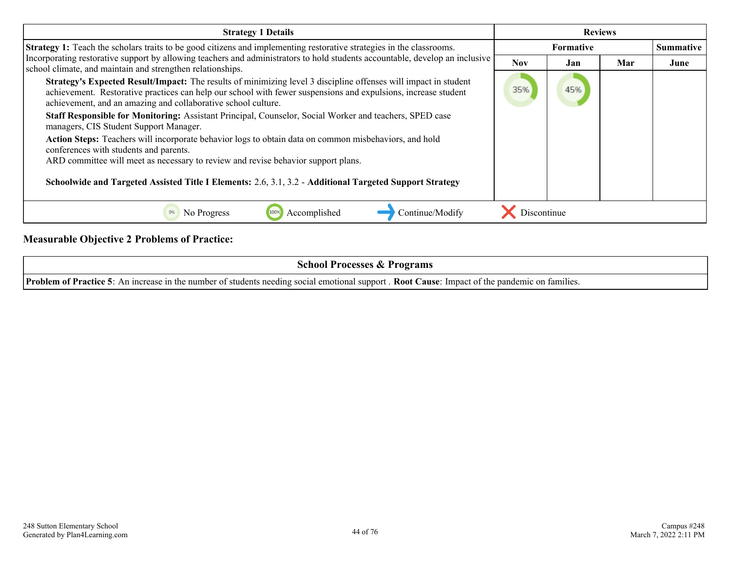| <b>Strategy 1 Details</b>                                                                                                                                                                                                                                                                          | <b>Reviews</b> |                  |     |                  |
|----------------------------------------------------------------------------------------------------------------------------------------------------------------------------------------------------------------------------------------------------------------------------------------------------|----------------|------------------|-----|------------------|
| <b>Strategy 1:</b> Teach the scholars traits to be good citizens and implementing restorative strategies in the classrooms.                                                                                                                                                                        |                | <b>Formative</b> |     | <b>Summative</b> |
| Incorporating restorative support by allowing teachers and administrators to hold students accountable, develop an inclusive<br>school climate, and maintain and strengthen relationships.                                                                                                         | <b>Nov</b>     | Jan              | Mar | June             |
| Strategy's Expected Result/Impact: The results of minimizing level 3 discipline offenses will impact in student<br>achievement. Restorative practices can help our school with fewer suspensions and expulsions, increase student<br>achievement, and an amazing and collaborative school culture. | 35%            | 45%              |     |                  |
| Staff Responsible for Monitoring: Assistant Principal, Counselor, Social Worker and teachers, SPED case<br>managers, CIS Student Support Manager.                                                                                                                                                  |                |                  |     |                  |
| Action Steps: Teachers will incorporate behavior logs to obtain data on common misbehaviors, and hold<br>conferences with students and parents.<br>ARD committee will meet as necessary to review and revise behavior support plans.                                                               |                |                  |     |                  |
| Schoolwide and Targeted Assisted Title I Elements: 2.6, 3.1, 3.2 - Additional Targeted Support Strategy                                                                                                                                                                                            |                |                  |     |                  |
| Continue/Modify<br>Accomplished<br>0%<br>No Progress                                                                                                                                                                                                                                               | Discontinue    |                  |     |                  |
|                                                                                                                                                                                                                                                                                                    |                |                  |     |                  |

#### **Measurable Objective 2 Problems of Practice:**

| school<br>Programs<br><b>Processes <math>\alpha</math></b>                                                                                                                                  |
|---------------------------------------------------------------------------------------------------------------------------------------------------------------------------------------------|
| <b>Problem of Practice:</b><br>Root C<br>e number of students needing social<br>$\cup$ ause:<br>families.<br>An increase in the<br>support<br>emotional<br>: Impact of the<br>e nandemic on |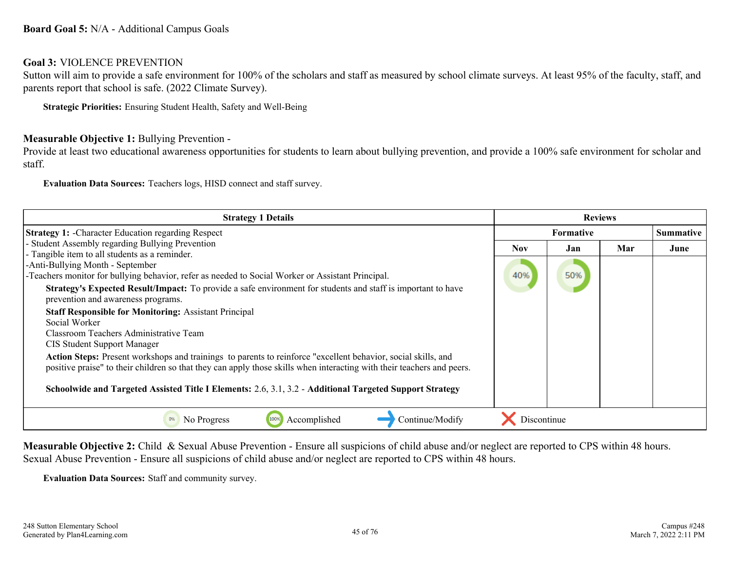#### **Board Goal 5:** N/A - Additional Campus Goals

#### **Goal 3:** VIOLENCE PREVENTION

Sutton will aim to provide a safe environment for 100% of the scholars and staff as measured by school climate surveys. At least 95% of the faculty, staff, and parents report that school is safe. (2022 Climate Survey).

**Strategic Priorities:** Ensuring Student Health, Safety and Well-Being

#### **Measurable Objective 1:** Bullying Prevention -

Provide at least two educational awareness opportunities for students to learn about bullying prevention, and provide a 100% safe environment for scholar and staff.

**Evaluation Data Sources:** Teachers logs, HISD connect and staff survey.

| <b>Strategy 1 Details</b>                                                                                                                                                                                                                                                                                                                          | <b>Reviews</b>   |     |     |           |
|----------------------------------------------------------------------------------------------------------------------------------------------------------------------------------------------------------------------------------------------------------------------------------------------------------------------------------------------------|------------------|-----|-----|-----------|
| <b>Strategy 1:</b> - Character Education regarding Respect                                                                                                                                                                                                                                                                                         | <b>Formative</b> |     |     | Summative |
| - Student Assembly regarding Bullying Prevention<br>- Tangible item to all students as a reminder.                                                                                                                                                                                                                                                 | <b>Nov</b>       | Jan | Mar | June      |
| -Anti-Bullying Month - September<br>-Teachers monitor for bullying behavior, refer as needed to Social Worker or Assistant Principal.<br>Strategy's Expected Result/Impact: To provide a safe environment for students and staff is important to have<br>prevention and awareness programs.                                                        | 40%              | 50% |     |           |
| <b>Staff Responsible for Monitoring: Assistant Principal</b><br>Social Worker<br>Classroom Teachers Administrative Team<br><b>CIS Student Support Manager</b>                                                                                                                                                                                      |                  |     |     |           |
| Action Steps: Present workshops and trainings to parents to reinforce "excellent behavior, social skills, and<br>positive praise" to their children so that they can apply those skills when interacting with their teachers and peers.<br>Schoolwide and Targeted Assisted Title I Elements: 2.6, 3.1, 3.2 - Additional Targeted Support Strategy |                  |     |     |           |
|                                                                                                                                                                                                                                                                                                                                                    |                  |     |     |           |
| Continue/Modify<br>No Progress<br>Accomplished<br>0%<br>100%                                                                                                                                                                                                                                                                                       | Discontinue      |     |     |           |

**Measurable Objective 2:** Child & Sexual Abuse Prevention - Ensure all suspicions of child abuse and/or neglect are reported to CPS within 48 hours. Sexual Abuse Prevention - Ensure all suspicions of child abuse and/or neglect are reported to CPS within 48 hours.

**Evaluation Data Sources:** Staff and community survey.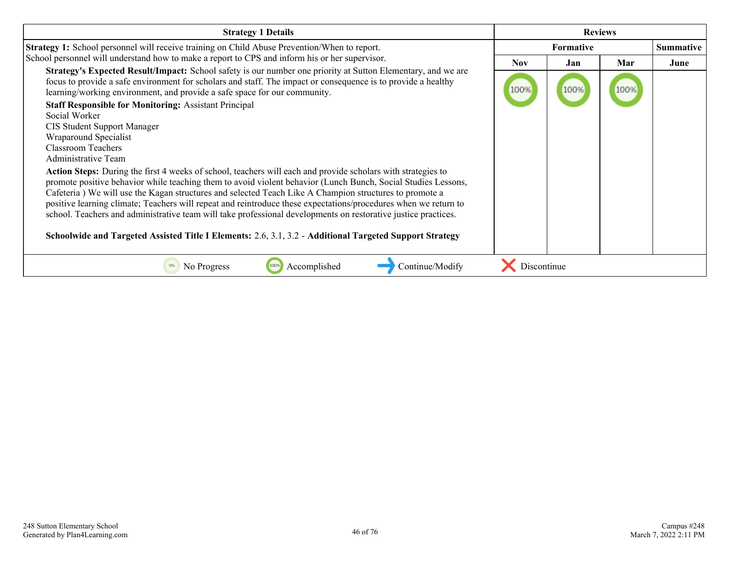| <b>Strategy 1 Details</b>                                                                                                                                                                                                                                                                                                                                                                                                                                                                                                                                                                                                                                                                                        | <b>Reviews</b> |                  |      |                  |
|------------------------------------------------------------------------------------------------------------------------------------------------------------------------------------------------------------------------------------------------------------------------------------------------------------------------------------------------------------------------------------------------------------------------------------------------------------------------------------------------------------------------------------------------------------------------------------------------------------------------------------------------------------------------------------------------------------------|----------------|------------------|------|------------------|
| <b>Strategy 1:</b> School personnel will receive training on Child Abuse Prevention/When to report.                                                                                                                                                                                                                                                                                                                                                                                                                                                                                                                                                                                                              |                | <b>Formative</b> |      | <b>Summative</b> |
| School personnel will understand how to make a report to CPS and inform his or her supervisor.                                                                                                                                                                                                                                                                                                                                                                                                                                                                                                                                                                                                                   | Nov.           | Jan              | Mar  | June             |
| Strategy's Expected Result/Impact: School safety is our number one priority at Sutton Elementary, and we are<br>focus to provide a safe environment for scholars and staff. The impact or consequence is to provide a healthy<br>learning/working environment, and provide a safe space for our community.                                                                                                                                                                                                                                                                                                                                                                                                       | 100%           | 100%             | 100% |                  |
| <b>Staff Responsible for Monitoring: Assistant Principal</b>                                                                                                                                                                                                                                                                                                                                                                                                                                                                                                                                                                                                                                                     |                |                  |      |                  |
| Social Worker<br><b>CIS Student Support Manager</b><br>Wraparound Specialist<br><b>Classroom Teachers</b><br>Administrative Team<br>Action Steps: During the first 4 weeks of school, teachers will each and provide scholars with strategies to<br>promote positive behavior while teaching them to avoid violent behavior (Lunch Bunch, Social Studies Lessons,<br>Cafeteria) We will use the Kagan structures and selected Teach Like A Champion structures to promote a<br>positive learning climate; Teachers will repeat and reintroduce these expectations/procedures when we return to<br>school. Teachers and administrative team will take professional developments on restorative justice practices. |                |                  |      |                  |
| Schoolwide and Targeted Assisted Title I Elements: 2.6, 3.1, 3.2 - Additional Targeted Support Strategy                                                                                                                                                                                                                                                                                                                                                                                                                                                                                                                                                                                                          |                |                  |      |                  |
| Accomplished<br>Continue/Modify<br>No Progress<br>100%                                                                                                                                                                                                                                                                                                                                                                                                                                                                                                                                                                                                                                                           | Discontinue    |                  |      |                  |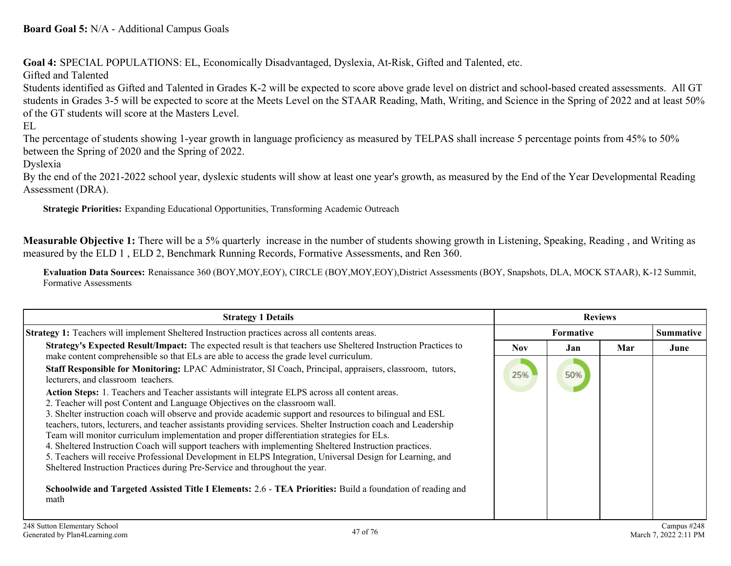**Goal 4:** SPECIAL POPULATIONS: EL, Economically Disadvantaged, Dyslexia, At-Risk, Gifted and Talented, etc.

Gifted and Talented

Students identified as Gifted and Talented in Grades K-2 will be expected to score above grade level on district and school-based created assessments. All GT students in Grades 3-5 will be expected to score at the Meets Level on the STAAR Reading, Math, Writing, and Science in the Spring of 2022 and at least 50% of the GT students will score at the Masters Level.

EL

The percentage of students showing 1-year growth in language proficiency as measured by TELPAS shall increase 5 percentage points from 45% to 50% between the Spring of 2020 and the Spring of 2022.

Dyslexia

By the end of the 2021-2022 school year, dyslexic students will show at least one year's growth, as measured by the End of the Year Developmental Reading Assessment (DRA).

**Strategic Priorities:** Expanding Educational Opportunities, Transforming Academic Outreach

**Measurable Objective 1:** There will be a 5% quarterly increase in the number of students showing growth in Listening, Speaking, Reading , and Writing as measured by the ELD 1 , ELD 2, Benchmark Running Records, Formative Assessments, and Ren 360.

**Evaluation Data Sources:** Renaissance 360 (BOY,MOY,EOY), CIRCLE (BOY,MOY,EOY),District Assessments (BOY, Snapshots, DLA, MOCK STAAR), K-12 Summit, Formative Assessments

| <b>Strategy 1 Details</b>                                                                                                                                                                                                                                                                                                                                                                                                                                                                                                                                                                                                                                                                                                                                                                                                                                                                                                                                                                                                                                                                                                                                                                                                                                                                                | <b>Reviews</b>    |            |     |                  |
|----------------------------------------------------------------------------------------------------------------------------------------------------------------------------------------------------------------------------------------------------------------------------------------------------------------------------------------------------------------------------------------------------------------------------------------------------------------------------------------------------------------------------------------------------------------------------------------------------------------------------------------------------------------------------------------------------------------------------------------------------------------------------------------------------------------------------------------------------------------------------------------------------------------------------------------------------------------------------------------------------------------------------------------------------------------------------------------------------------------------------------------------------------------------------------------------------------------------------------------------------------------------------------------------------------|-------------------|------------|-----|------------------|
| <b>Strategy 1:</b> Teachers will implement Sheltered Instruction practices across all contents areas.                                                                                                                                                                                                                                                                                                                                                                                                                                                                                                                                                                                                                                                                                                                                                                                                                                                                                                                                                                                                                                                                                                                                                                                                    | <b>Formative</b>  |            |     | <b>Summative</b> |
| Strategy's Expected Result/Impact: The expected result is that teachers use Sheltered Instruction Practices to<br>make content comprehensible so that ELs are able to access the grade level curriculum.<br>Staff Responsible for Monitoring: LPAC Administrator, SI Coach, Principal, appraisers, classroom, tutors,<br>lecturers, and classroom teachers.<br>Action Steps: 1. Teachers and Teacher assistants will integrate ELPS across all content areas.<br>2. Teacher will post Content and Language Objectives on the classroom wall.<br>3. Shelter instruction coach will observe and provide academic support and resources to bilingual and ESL<br>teachers, tutors, lecturers, and teacher assistants providing services. Shelter Instruction coach and Leadership<br>Team will monitor curriculum implementation and proper differentiation strategies for ELs.<br>4. Sheltered Instruction Coach will support teachers with implementing Sheltered Instruction practices.<br>5. Teachers will receive Professional Development in ELPS Integration, Universal Design for Learning, and<br>Sheltered Instruction Practices during Pre-Service and throughout the year.<br>Schoolwide and Targeted Assisted Title I Elements: 2.6 - TEA Priorities: Build a foundation of reading and<br>math | <b>Nov</b><br>25% | Jan<br>50% | Mar | June             |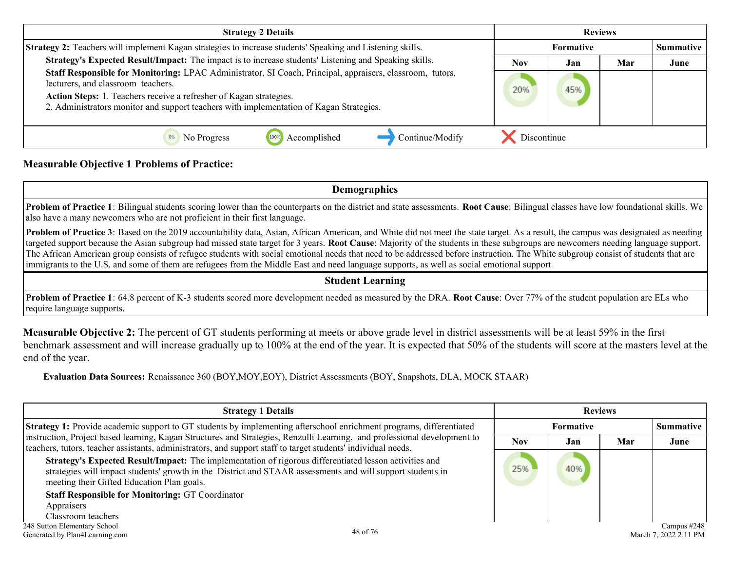| <b>Strategy 2 Details</b>                                                                                                                                                                                             | <b>Reviews</b>   |     |     |                  |
|-----------------------------------------------------------------------------------------------------------------------------------------------------------------------------------------------------------------------|------------------|-----|-----|------------------|
| Strategy 2: Teachers will implement Kagan strategies to increase students' Speaking and Listening skills.                                                                                                             | <b>Formative</b> |     |     | <b>Summative</b> |
| Strategy's Expected Result/Impact: The impact is to increase students' Listening and Speaking skills.                                                                                                                 | <b>Nov</b>       | Jan | Mar | June             |
| Staff Responsible for Monitoring: LPAC Administrator, SI Coach, Principal, appraisers, classroom, tutors,<br>lecturers, and classroom teachers.<br>Action Steps: 1. Teachers receive a refresher of Kagan strategies. | 20%              | 45% |     |                  |
| 2. Administrators monitor and support teachers with implementation of Kagan Strategies.                                                                                                                               |                  |     |     |                  |
| Accomplished<br>Continue/Modify<br>No Progress                                                                                                                                                                        | Discontinue      |     |     |                  |

#### **Measurable Objective 1 Problems of Practice:**

**Demographics**

**Problem of Practice 1**: Bilingual students scoring lower than the counterparts on the district and state assessments. **Root Cause**: Bilingual classes have low foundational skills. We also have a many newcomers who are not proficient in their first language.

**Problem of Practice 3**: Based on the 2019 accountability data, Asian, African American, and White did not meet the state target. As a result, the campus was designated as needing targeted support because the Asian subgroup had missed state target for 3 years. **Root Cause**: Majority of the students in these subgroups are newcomers needing language support. The African American group consists of refugee students with social emotional needs that need to be addressed before instruction. The White subgroup consist of students that are immigrants to the U.S. and some of them are refugees from the Middle East and need language supports, as well as social emotional support

#### **Student Learning**

**Problem of Practice 1**: 64.8 percent of K-3 students scored more development needed as measured by the DRA. **Root Cause**: Over 77% of the student population are ELs who require language supports.

**Measurable Objective 2:** The percent of GT students performing at meets or above grade level in district assessments will be at least 59% in the first benchmark assessment and will increase gradually up to 100% at the end of the year. It is expected that 50% of the students will score at the masters level at the end of the year.

**Evaluation Data Sources:** Renaissance 360 (BOY,MOY,EOY), District Assessments (BOY, Snapshots, DLA, MOCK STAAR)

| <b>Strategy 1 Details</b>                                                                                                                                                                                                                                          |            | <b>Reviews</b> |     |                       |  |
|--------------------------------------------------------------------------------------------------------------------------------------------------------------------------------------------------------------------------------------------------------------------|------------|----------------|-----|-----------------------|--|
| <b>Strategy 1:</b> Provide academic support to GT students by implementing afterschool enrichment programs, differentiated                                                                                                                                         |            | Formative      |     |                       |  |
| instruction, Project based learning, Kagan Structures and Strategies, Renzulli Learning, and professional development to<br>teachers, tutors, teacher assistants, administrators, and support staff to target students' individual needs.                          | <b>Nov</b> | Jan            | Mar | June                  |  |
| Strategy's Expected Result/Impact: The implementation of rigorous differentiated lesson activities and<br>strategies will impact students' growth in the District and STAAR assessments and will support students in<br>meeting their Gifted Education Plan goals. | 25%        | 40%            |     |                       |  |
| <b>Staff Responsible for Monitoring: GT Coordinator</b>                                                                                                                                                                                                            |            |                |     |                       |  |
| Appraisers                                                                                                                                                                                                                                                         |            |                |     |                       |  |
| Classroom teachers                                                                                                                                                                                                                                                 |            |                |     |                       |  |
| 248 Sutton Elementary School                                                                                                                                                                                                                                       |            |                |     | Campus #248           |  |
| 48 of 76<br>Generated by Plan4Learning.com                                                                                                                                                                                                                         |            |                |     | March 7, 2022 2:11 PM |  |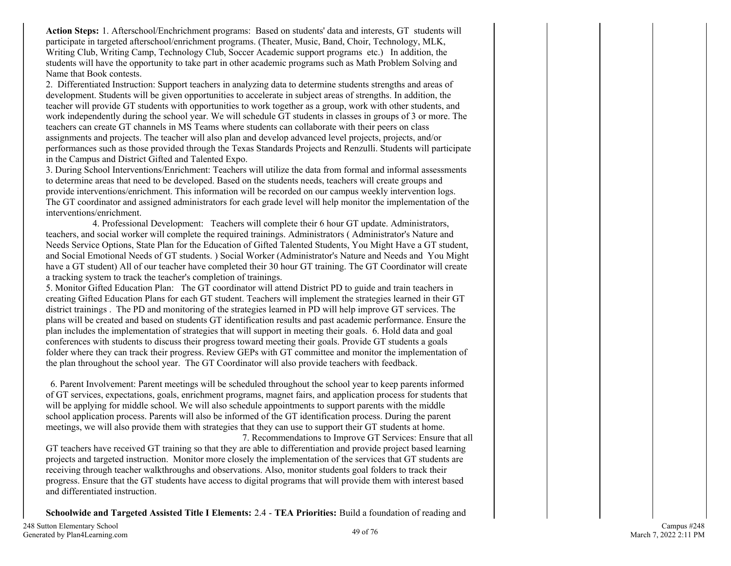**Action Steps:** 1. Afterschool/Enchrichment programs: Based on students' data and interests, GT students will participate in targeted afterschool/enrichment programs. (Theater, Music, Band, Choir, Technology, MLK, Writing Club, Writing Camp, Technology Club, Soccer Academic support programs etc.) In addition, the students will have the opportunity to take part in other academic programs such as Math Problem Solving and Name that Book contests.

2. Differentiated Instruction: Support teachers in analyzing data to determine students strengths and areas of development. Students will be given opportunities to accelerate in subject areas of strengths. In addition, the teacher will provide GT students with opportunities to work together as a group, work with other students, and work independently during the school year. We will schedule GT students in classes in groups of 3 or more. The teachers can create GT channels in MS Teams where students can collaborate with their peers on class assignments and projects. The teacher will also plan and develop advanced level projects, projects, and/or performances such as those provided through the Texas Standards Projects and Renzulli. Students will participate in the Campus and District Gifted and Talented Expo.

3. During School Interventions/Enrichment: Teachers will utilize the data from formal and informal assessments to determine areas that need to be developed. Based on the students needs, teachers will create groups and provide interventions/enrichment. This information will be recorded on our campus weekly intervention logs. The GT coordinator and assigned administrators for each grade level will help monitor the implementation of the interventions/enrichment.

 4. Professional Development: Teachers will complete their 6 hour GT update. Administrators, teachers, and social worker will complete the required trainings. Administrators ( Administrator's Nature and Needs Service Options, State Plan for the Education of Gifted Talented Students, You Might Have a GT student, and Social Emotional Needs of GT students. ) Social Worker (Administrator's Nature and Needs and You Might have a GT student) All of our teacher have completed their 30 hour GT training. The GT Coordinator will create a tracking system to track the teacher's completion of trainings.

5. Monitor Gifted Education Plan: The GT coordinator will attend District PD to guide and train teachers in creating Gifted Education Plans for each GT student. Teachers will implement the strategies learned in their GT district trainings . The PD and monitoring of the strategies learned in PD will help improve GT services. The plans will be created and based on students GT identification results and past academic performance. Ensure the plan includes the implementation of strategies that will support in meeting their goals. 6. Hold data and goal conferences with students to discuss their progress toward meeting their goals. Provide GT students a goals folder where they can track their progress. Review GEPs with GT committee and monitor the implementation of the plan throughout the school year. The GT Coordinator will also provide teachers with feedback.

 6. Parent Involvement: Parent meetings will be scheduled throughout the school year to keep parents informed of GT services, expectations, goals, enrichment programs, magnet fairs, and application process for students that will be applying for middle school. We will also schedule appointments to support parents with the middle school application process. Parents will also be informed of the GT identification process. During the parent meetings, we will also provide them with strategies that they can use to support their GT students at home. 7. Recommendations to Improve GT Services: Ensure that all

GT teachers have received GT training so that they are able to differentiation and provide project based learning projects and targeted instruction. Monitor more closely the implementation of the services that GT students are receiving through teacher walkthroughs and observations. Also, monitor students goal folders to track their progress. Ensure that the GT students have access to digital programs that will provide them with interest based and differentiated instruction.

**Schoolwide and Targeted Assisted Title I Elements:** 2.4 - **TEA Priorities:** Build a foundation of reading and

248 Sutton Elementary School Generated by Plan4Learning.com 49 of 76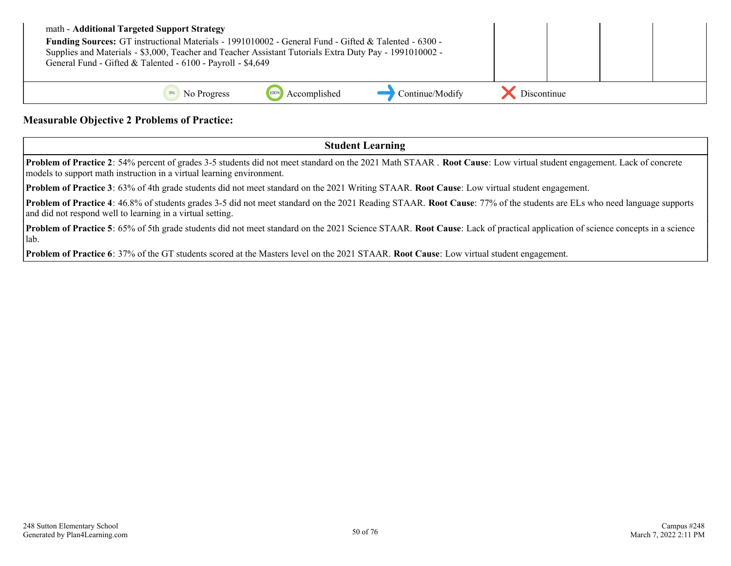| math - Additional Targeted Support Strategy | Funding Sources: GT instructional Materials - 1991010002 - General Fund - Gifted & Talented - 6300 -<br>Supplies and Materials - \$3,000, Teacher and Teacher Assistant Tutorials Extra Duty Pay - 1991010002 -<br>General Fund - Gifted & Talented - 6100 - Payroll - \$4,649 |              |                 |             |  |
|---------------------------------------------|--------------------------------------------------------------------------------------------------------------------------------------------------------------------------------------------------------------------------------------------------------------------------------|--------------|-----------------|-------------|--|
|                                             | No Progress                                                                                                                                                                                                                                                                    | Accomplished | Continue/Modify | Discontinue |  |

#### **Measurable Objective 2 Problems of Practice:**

**Student Learning**

**Problem of Practice 2**: 54% percent of grades 3-5 students did not meet standard on the 2021 Math STAAR . **Root Cause**: Low virtual student engagement. Lack of concrete models to support math instruction in a virtual learning environment.

**Problem of Practice 3**: 63% of 4th grade students did not meet standard on the 2021 Writing STAAR. **Root Cause**: Low virtual student engagement.

**Problem of Practice 4**: 46.8% of students grades 3-5 did not meet standard on the 2021 Reading STAAR. **Root Cause**: 77% of the students are ELs who need language supports and did not respond well to learning in a virtual setting.

**Problem of Practice 5**: 65% of 5th grade students did not meet standard on the 2021 Science STAAR. **Root Cause**: Lack of practical application of science concepts in a science lab.

**Problem of Practice 6**: 37% of the GT students scored at the Masters level on the 2021 STAAR. **Root Cause**: Low virtual student engagement.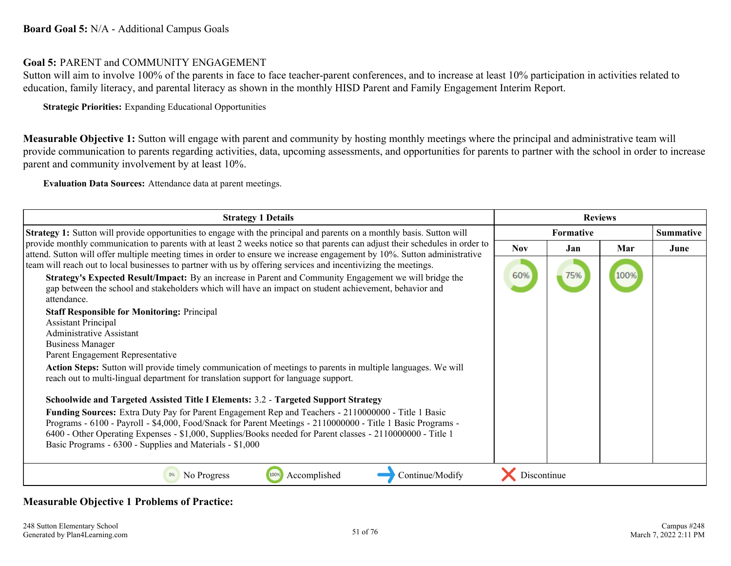#### **Board Goal 5:** N/A - Additional Campus Goals

#### **Goal 5:** PARENT and COMMUNITY ENGAGEMENT

Sutton will aim to involve 100% of the parents in face to face teacher-parent conferences, and to increase at least 10% participation in activities related to education, family literacy, and parental literacy as shown in the monthly HISD Parent and Family Engagement Interim Report.

**Strategic Priorities:** Expanding Educational Opportunities

**Measurable Objective 1:** Sutton will engage with parent and community by hosting monthly meetings where the principal and administrative team will provide communication to parents regarding activities, data, upcoming assessments, and opportunities for parents to partner with the school in order to increase parent and community involvement by at least 10%.

**Evaluation Data Sources:** Attendance data at parent meetings.

| <b>Strategy 1 Details</b>                                                                                                                                                                                                                                                                                                                                                                    | <b>Reviews</b> |           |     |           |
|----------------------------------------------------------------------------------------------------------------------------------------------------------------------------------------------------------------------------------------------------------------------------------------------------------------------------------------------------------------------------------------------|----------------|-----------|-----|-----------|
| <b>Strategy 1:</b> Sutton will provide opportunities to engage with the principal and parents on a monthly basis. Sutton will                                                                                                                                                                                                                                                                |                | Formative |     | Summative |
| provide monthly communication to parents with at least 2 weeks notice so that parents can adjust their schedules in order to<br>attend. Sutton will offer multiple meeting times in order to ensure we increase engagement by 10%. Sutton administrative                                                                                                                                     | <b>Nov</b>     | Jan       | Mar | June      |
| team will reach out to local businesses to partner with us by offering services and incentivizing the meetings.                                                                                                                                                                                                                                                                              |                |           |     |           |
| Strategy's Expected Result/Impact: By an increase in Parent and Community Engagement we will bridge the<br>gap between the school and stakeholders which will have an impact on student achievement, behavior and<br>attendance.                                                                                                                                                             | 60%            | 75%       |     |           |
| <b>Staff Responsible for Monitoring: Principal</b>                                                                                                                                                                                                                                                                                                                                           |                |           |     |           |
| <b>Assistant Principal</b>                                                                                                                                                                                                                                                                                                                                                                   |                |           |     |           |
| <b>Administrative Assistant</b><br><b>Business Manager</b>                                                                                                                                                                                                                                                                                                                                   |                |           |     |           |
| Parent Engagement Representative                                                                                                                                                                                                                                                                                                                                                             |                |           |     |           |
| Action Steps: Sutton will provide timely communication of meetings to parents in multiple languages. We will<br>reach out to multi-lingual department for translation support for language support.                                                                                                                                                                                          |                |           |     |           |
| Schoolwide and Targeted Assisted Title I Elements: 3.2 - Targeted Support Strategy                                                                                                                                                                                                                                                                                                           |                |           |     |           |
| Funding Sources: Extra Duty Pay for Parent Engagement Rep and Teachers - 2110000000 - Title 1 Basic<br>Programs - 6100 - Payroll - \$4,000, Food/Snack for Parent Meetings - 2110000000 - Title 1 Basic Programs -<br>6400 - Other Operating Expenses - \$1,000, Supplies/Books needed for Parent classes - 2110000000 - Title 1<br>Basic Programs - 6300 - Supplies and Materials - \$1,000 |                |           |     |           |
| Accomplished<br>Continue/Modify<br>No Progress<br>100%                                                                                                                                                                                                                                                                                                                                       | Discontinue    |           |     |           |

#### **Measurable Objective 1 Problems of Practice:**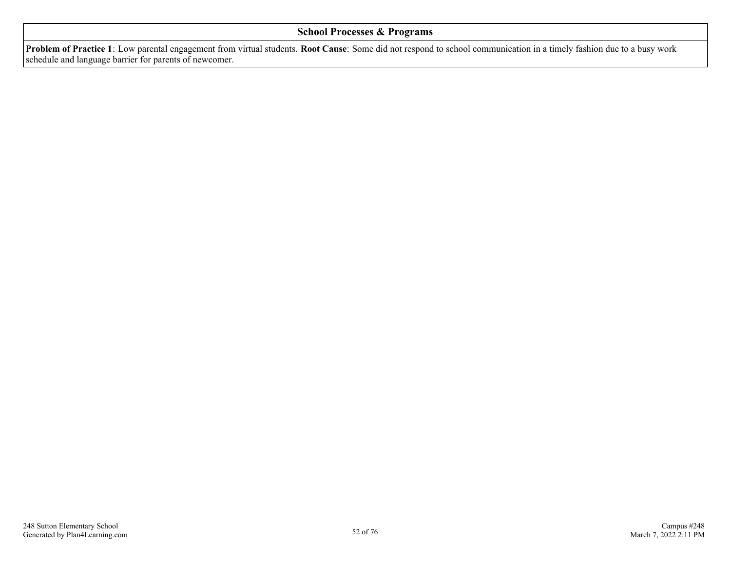#### **School Processes & Programs**

**Problem of Practice 1**: Low parental engagement from virtual students. **Root Cause**: Some did not respond to school communication in a timely fashion due to a busy work schedule and language barrier for parents of newcomer.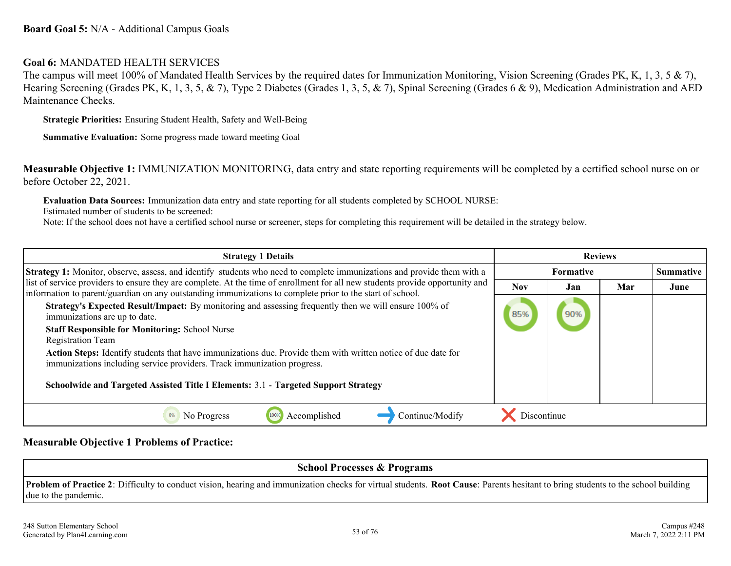#### **Goal 6:** MANDATED HEALTH SERVICES

The campus will meet 100% of Mandated Health Services by the required dates for Immunization Monitoring, Vision Screening (Grades PK, K, 1, 3, 5 & 7), Hearing Screening (Grades PK, K, 1, 3, 5, & 7), Type 2 Diabetes (Grades 1, 3, 5, & 7), Spinal Screening (Grades 6 & 9), Medication Administration and AED Maintenance Checks.

**Strategic Priorities:** Ensuring Student Health, Safety and Well-Being

**Summative Evaluation:** Some progress made toward meeting Goal

**Measurable Objective 1:** IMMUNIZATION MONITORING, data entry and state reporting requirements will be completed by a certified school nurse on or before October 22, 2021.

**Evaluation Data Sources:** Immunization data entry and state reporting for all students completed by SCHOOL NURSE:

Estimated number of students to be screened:

Note: If the school does not have a certified school nurse or screener, steps for completing this requirement will be detailed in the strategy below.

| <b>Strategy 1 Details</b>                                                                                                                                                                                                                                                                                                                                                                                                                                                                                            | <b>Reviews</b> |     |     |           |
|----------------------------------------------------------------------------------------------------------------------------------------------------------------------------------------------------------------------------------------------------------------------------------------------------------------------------------------------------------------------------------------------------------------------------------------------------------------------------------------------------------------------|----------------|-----|-----|-----------|
| <b>Strategy 1:</b> Monitor, observe, assess, and identify students who need to complete immunizations and provide them with a                                                                                                                                                                                                                                                                                                                                                                                        | Formative      |     |     | Summative |
| list of service providers to ensure they are complete. At the time of enrollment for all new students provide opportunity and<br>information to parent/guardian on any outstanding immunizations to complete prior to the start of school.                                                                                                                                                                                                                                                                           | <b>Nov</b>     | Jan | Mar | June      |
| <b>Strategy's Expected Result/Impact:</b> By monitoring and assessing frequently then we will ensure 100% of<br>immunizations are up to date.<br><b>Staff Responsible for Monitoring: School Nurse</b><br><b>Registration Team</b><br>Action Steps: Identify students that have immunizations due. Provide them with written notice of due date for<br>immunizations including service providers. Track immunization progress.<br>Schoolwide and Targeted Assisted Title I Elements: 3.1 - Targeted Support Strategy | 85%            | 90% |     |           |
| Accomplished<br>Continue/Modify<br>No Progress                                                                                                                                                                                                                                                                                                                                                                                                                                                                       | Discontinue    |     |     |           |

#### **Measurable Objective 1 Problems of Practice:**

**School Processes & Programs Problem of Practice 2**: Difficulty to conduct vision, hearing and immunization checks for virtual students. **Root Cause**: Parents hesitant to bring students to the school building due to the pandemic.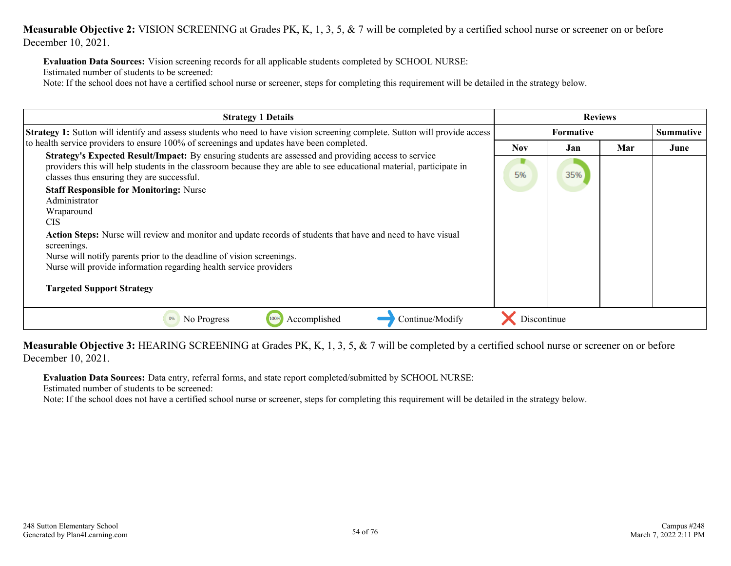**Measurable Objective 2:** VISION SCREENING at Grades PK, K, 1, 3, 5, & 7 will be completed by a certified school nurse or screener on or before December 10, 2021.

**Evaluation Data Sources:** Vision screening records for all applicable students completed by SCHOOL NURSE:

Estimated number of students to be screened:

Note: If the school does not have a certified school nurse or screener, steps for completing this requirement will be detailed in the strategy below.

| <b>Strategy 1 Details</b>                                                                                                                                                                                                                                                  | <b>Reviews</b> |                  |     |      |
|----------------------------------------------------------------------------------------------------------------------------------------------------------------------------------------------------------------------------------------------------------------------------|----------------|------------------|-----|------|
| <b>Strategy 1:</b> Sutton will identify and assess students who need to have vision screening complete. Sutton will provide access                                                                                                                                         |                | <b>Summative</b> |     |      |
| to health service providers to ensure 100% of screenings and updates have been completed.                                                                                                                                                                                  | <b>Nov</b>     | Jan              | Mar | June |
| Strategy's Expected Result/Impact: By ensuring students are assessed and providing access to service<br>providers this will help students in the classroom because they are able to see educational material, participate in<br>classes thus ensuring they are successful. | 5%             | 35%              |     |      |
| <b>Staff Responsible for Monitoring: Nurse</b>                                                                                                                                                                                                                             |                |                  |     |      |
| Administrator<br>Wraparound                                                                                                                                                                                                                                                |                |                  |     |      |
| CIS-                                                                                                                                                                                                                                                                       |                |                  |     |      |
| Action Steps: Nurse will review and monitor and update records of students that have and need to have visual<br>screenings.                                                                                                                                                |                |                  |     |      |
| Nurse will notify parents prior to the deadline of vision screenings.                                                                                                                                                                                                      |                |                  |     |      |
| Nurse will provide information regarding health service providers                                                                                                                                                                                                          |                |                  |     |      |
| <b>Targeted Support Strategy</b>                                                                                                                                                                                                                                           |                |                  |     |      |
| Continue/Modify<br>0%<br>No Progress<br>Accomplished<br>1009                                                                                                                                                                                                               | Discontinue    |                  |     |      |

**Measurable Objective 3:** HEARING SCREENING at Grades PK, K, 1, 3, 5, & 7 will be completed by a certified school nurse or screener on or before December 10, 2021.

**Evaluation Data Sources:** Data entry, referral forms, and state report completed/submitted by SCHOOL NURSE:

Estimated number of students to be screened:

Note: If the school does not have a certified school nurse or screener, steps for completing this requirement will be detailed in the strategy below.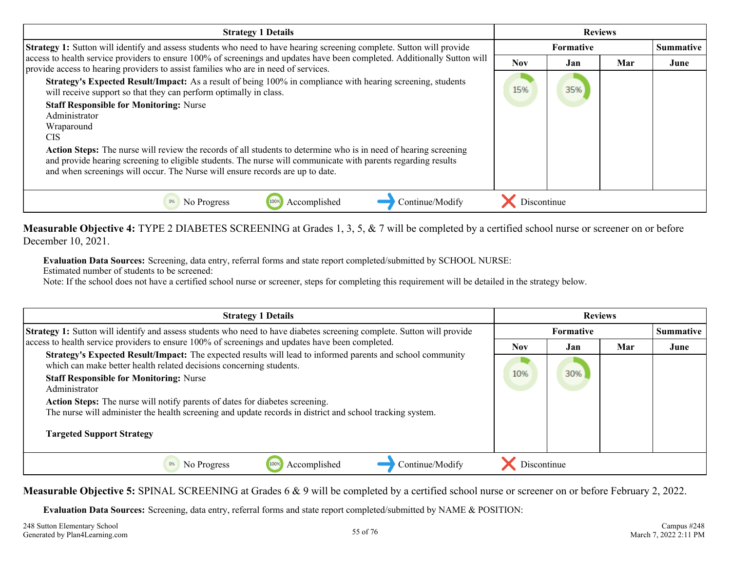| <b>Strategy 1 Details</b>                                                                                                                                                                                                                                                                                                 | <b>Reviews</b> |     |     |           |
|---------------------------------------------------------------------------------------------------------------------------------------------------------------------------------------------------------------------------------------------------------------------------------------------------------------------------|----------------|-----|-----|-----------|
| <b>Strategy 1:</b> Sutton will identify and assess students who need to have hearing screening complete. Sutton will provide                                                                                                                                                                                              | Formative      |     |     | Summative |
| access to health service providers to ensure 100% of screenings and updates have been completed. Additionally Sutton will<br>provide access to hearing providers to assist families who are in need of services.                                                                                                          | <b>Nov</b>     | Jan | Mar | June      |
| Strategy's Expected Result/Impact: As a result of being 100% in compliance with hearing screening, students<br>will receive support so that they can perform optimally in class.                                                                                                                                          | 15%            | 35% |     |           |
| <b>Staff Responsible for Monitoring: Nurse</b><br>Administrator<br>Wraparound<br>CIS.                                                                                                                                                                                                                                     |                |     |     |           |
| <b>Action Steps:</b> The nurse will review the records of all students to determine who is in need of hearing screening<br>and provide hearing screening to eligible students. The nurse will communicate with parents regarding results<br>and when screenings will occur. The Nurse will ensure records are up to date. |                |     |     |           |
| Accomplished<br>Continue/Modify<br>No Progress                                                                                                                                                                                                                                                                            | Discontinue    |     |     |           |

**Measurable Objective 4:** TYPE 2 DIABETES SCREENING at Grades 1, 3, 5, & 7 will be completed by a certified school nurse or screener on or before December 10, 2021.

**Evaluation Data Sources:** Screening, data entry, referral forms and state report completed/submitted by SCHOOL NURSE:

Estimated number of students to be screened:

Note: If the school does not have a certified school nurse or screener, steps for completing this requirement will be detailed in the strategy below.

| <b>Strategy 1 Details</b>                                                                                                                                                                                                                                                                                                                                                                                                                                                             | <b>Reviews</b> |     |           |      |
|---------------------------------------------------------------------------------------------------------------------------------------------------------------------------------------------------------------------------------------------------------------------------------------------------------------------------------------------------------------------------------------------------------------------------------------------------------------------------------------|----------------|-----|-----------|------|
| <b>Strategy 1:</b> Sutton will identify and assess students who need to have diabetes screening complete. Sutton will provide                                                                                                                                                                                                                                                                                                                                                         | Formative      |     | Summative |      |
| access to health service providers to ensure 100% of screenings and updates have been completed.                                                                                                                                                                                                                                                                                                                                                                                      | <b>Nov</b>     | Jan | Mar       | June |
| Strategy's Expected Result/Impact: The expected results will lead to informed parents and school community<br>which can make better health related decisions concerning students.<br><b>Staff Responsible for Monitoring: Nurse</b><br>Administrator<br>Action Steps: The nurse will notify parents of dates for diabetes screening.<br>The nurse will administer the health screening and update records in district and school tracking system.<br><b>Targeted Support Strategy</b> | 10%            | 30% |           |      |
| Continue/Modify<br>Accomplished<br>0%<br>No Progress                                                                                                                                                                                                                                                                                                                                                                                                                                  | Discontinue    |     |           |      |

**Measurable Objective 5:** SPINAL SCREENING at Grades 6 & 9 will be completed by a certified school nurse or screener on or before February 2, 2022.

**Evaluation Data Sources:** Screening, data entry, referral forms and state report completed/submitted by NAME & POSITION: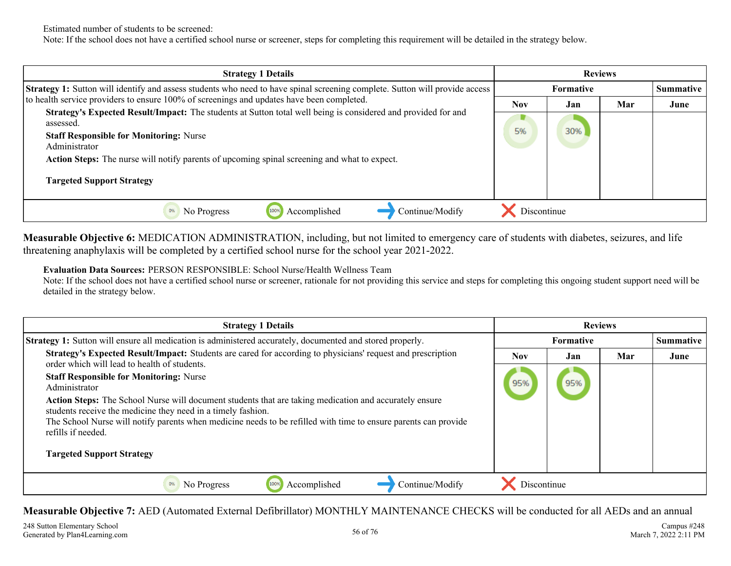Estimated number of students to be screened:

Note: If the school does not have a certified school nurse or screener, steps for completing this requirement will be detailed in the strategy below.

| <b>Strategy 1 Details</b>                                                                                                                                                                                                                                                                                                                | <b>Reviews</b> |           |     |      |
|------------------------------------------------------------------------------------------------------------------------------------------------------------------------------------------------------------------------------------------------------------------------------------------------------------------------------------------|----------------|-----------|-----|------|
| <b>Strategy 1:</b> Sutton will identify and assess students who need to have spinal screening complete. Sutton will provide access                                                                                                                                                                                                       |                | Summative |     |      |
| to health service providers to ensure 100% of screenings and updates have been completed.                                                                                                                                                                                                                                                | <b>Nov</b>     | Jan       | Mar | June |
| Strategy's Expected Result/Impact: The students at Sutton total well being is considered and provided for and<br>assessed.<br><b>Staff Responsible for Monitoring: Nurse</b><br>Administrator<br><b>Action Steps:</b> The nurse will notify parents of upcoming spinal screening and what to expect.<br><b>Targeted Support Strategy</b> | 5%             | 30%       |     |      |
| Accomplished<br>Continue/Modify<br>No Progress<br>100%                                                                                                                                                                                                                                                                                   | Discontinue    |           |     |      |

**Measurable Objective 6:** MEDICATION ADMINISTRATION, including, but not limited to emergency care of students with diabetes, seizures, and life threatening anaphylaxis will be completed by a certified school nurse for the school year 2021-2022.

**Evaluation Data Sources:** PERSON RESPONSIBLE: School Nurse/Health Wellness Team

Note: If the school does not have a certified school nurse or screener, rationale for not providing this service and steps for completing this ongoing student support need will be detailed in the strategy below.

| <b>Strategy 1 Details</b>                                                                                                                                                                                                                                                                                                                                                                                              | <b>Reviews</b> |                  |     |           |
|------------------------------------------------------------------------------------------------------------------------------------------------------------------------------------------------------------------------------------------------------------------------------------------------------------------------------------------------------------------------------------------------------------------------|----------------|------------------|-----|-----------|
| <b>Strategy 1:</b> Sutton will ensure all medication is administered accurately, documented and stored properly.                                                                                                                                                                                                                                                                                                       |                | <b>Formative</b> |     | Summative |
| <b>Strategy's Expected Result/Impact:</b> Students are cared for according to physicians' request and prescription<br>order which will lead to health of students.                                                                                                                                                                                                                                                     | <b>Nov</b>     | Jan              | Mar | June      |
| <b>Staff Responsible for Monitoring: Nurse</b><br>Administrator<br>Action Steps: The School Nurse will document students that are taking medication and accurately ensure<br>students receive the medicine they need in a timely fashion.<br>The School Nurse will notify parents when medicine needs to be refilled with time to ensure parents can provide<br>refills if needed.<br><b>Targeted Support Strategy</b> | 95%            | 95%              |     |           |
| Accomplished<br>Continue/Modify<br>1009<br>No Progress                                                                                                                                                                                                                                                                                                                                                                 | Discontinue    |                  |     |           |

**Measurable Objective 7:** AED (Automated External Defibrillator) MONTHLY MAINTENANCE CHECKS will be conducted for all AEDs and an annual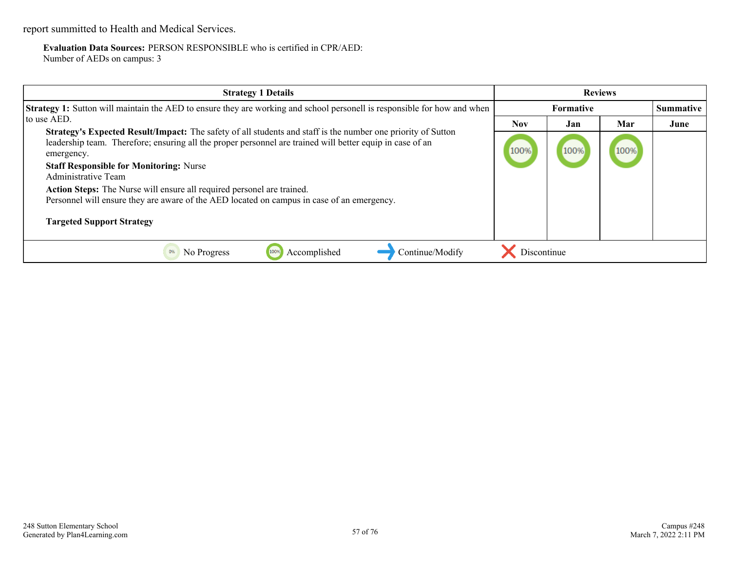report summitted to Health and Medical Services.

**Evaluation Data Sources:** PERSON RESPONSIBLE who is certified in CPR/AED: Number of AEDs on campus: 3

| <b>Strategy 1 Details</b>                                                                                                                                                                                                                                                                                                                                                                                                                                                                                                                  | <b>Reviews</b>                |      |      |      |
|--------------------------------------------------------------------------------------------------------------------------------------------------------------------------------------------------------------------------------------------------------------------------------------------------------------------------------------------------------------------------------------------------------------------------------------------------------------------------------------------------------------------------------------------|-------------------------------|------|------|------|
| <b>Strategy 1:</b> Sutton will maintain the AED to ensure they are working and school personell is responsible for how and when                                                                                                                                                                                                                                                                                                                                                                                                            | Summative<br><b>Formative</b> |      |      |      |
| to use AED.                                                                                                                                                                                                                                                                                                                                                                                                                                                                                                                                | <b>Nov</b>                    | Jan  | Mar  | June |
| <b>Strategy's Expected Result/Impact:</b> The safety of all students and staff is the number one priority of Sutton<br>leadership team. Therefore; ensuring all the proper personnel are trained will better equip in case of an<br>emergency.<br><b>Staff Responsible for Monitoring: Nurse</b><br>Administrative Team<br><b>Action Steps:</b> The Nurse will ensure all required personel are trained.<br>Personnel will ensure they are aware of the AED located on campus in case of an emergency.<br><b>Targeted Support Strategy</b> | 100%                          | 100% | 100% |      |
| Accomplished<br>Continue/Modify<br>No Progress<br>100%                                                                                                                                                                                                                                                                                                                                                                                                                                                                                     | Discontinue                   |      |      |      |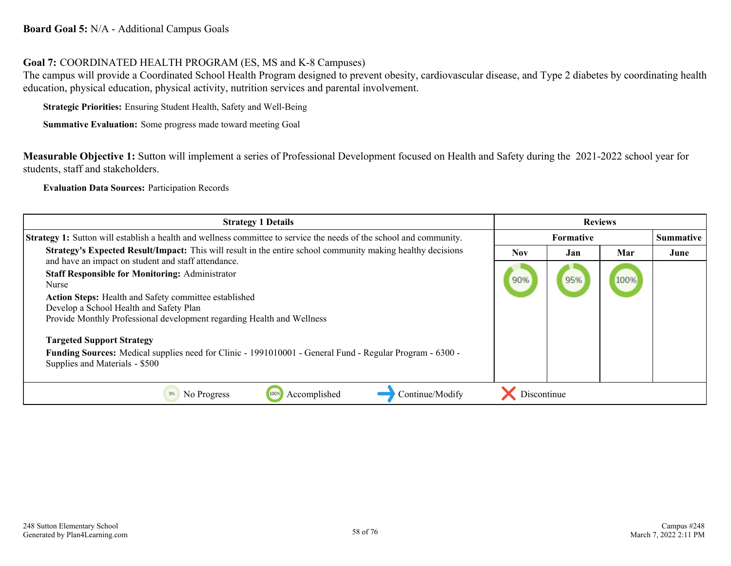#### **Board Goal 5:** N/A - Additional Campus Goals

#### **Goal 7:** COORDINATED HEALTH PROGRAM (ES, MS and K-8 Campuses)

The campus will provide a Coordinated School Health Program designed to prevent obesity, cardiovascular disease, and Type 2 diabetes by coordinating health education, physical education, physical activity, nutrition services and parental involvement.

**Strategic Priorities:** Ensuring Student Health, Safety and Well-Being

**Summative Evaluation:** Some progress made toward meeting Goal

**Measurable Objective 1:** Sutton will implement a series of Professional Development focused on Health and Safety during the 2021-2022 school year for students, staff and stakeholders.

**Evaluation Data Sources:** Participation Records

| <b>Strategy 1 Details</b>                                                                                                                                                  | <b>Reviews</b>                       |     |      |      |
|----------------------------------------------------------------------------------------------------------------------------------------------------------------------------|--------------------------------------|-----|------|------|
| <b>Strategy 1:</b> Sutton will establish a health and wellness committee to service the needs of the school and community.                                                 | <b>Formative</b><br><b>Summative</b> |     |      |      |
| Strategy's Expected Result/Impact: This will result in the entire school community making healthy decisions<br>and have an impact on student and staff attendance.         | Nov                                  | Jan | Mar  | June |
| <b>Staff Responsible for Monitoring: Administrator</b><br>Nurse                                                                                                            | 90%                                  | 95% | 100% |      |
| Action Steps: Health and Safety committee established<br>Develop a School Health and Safety Plan<br>Provide Monthly Professional development regarding Health and Wellness |                                      |     |      |      |
| <b>Targeted Support Strategy</b>                                                                                                                                           |                                      |     |      |      |
| <b>Funding Sources:</b> Medical supplies need for Clinic - 1991010001 - General Fund - Regular Program - 6300 -<br>Supplies and Materials - \$500                          |                                      |     |      |      |
| Continue/Modify<br>No Progress<br>Accomplished<br>0%<br>100%                                                                                                               | Discontinue                          |     |      |      |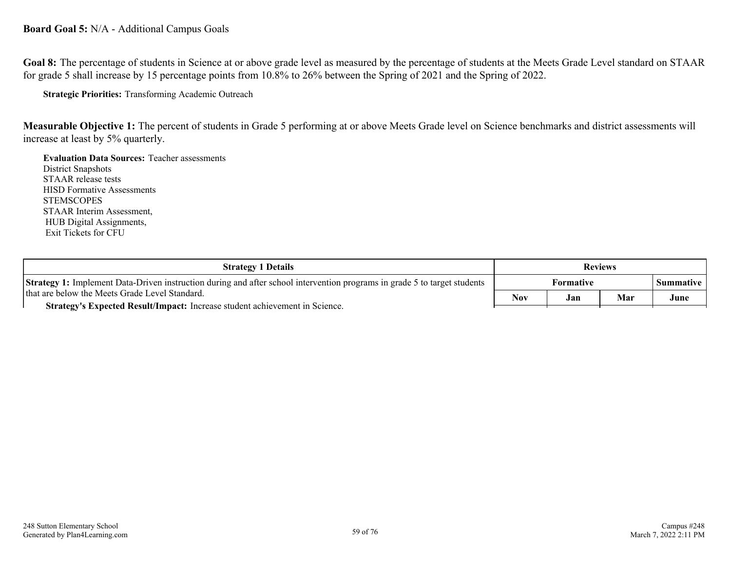#### **Board Goal 5:** N/A - Additional Campus Goals

Goal 8: The percentage of students in Science at or above grade level as measured by the percentage of students at the Meets Grade Level standard on STAAR for grade 5 shall increase by 15 percentage points from 10.8% to 26% between the Spring of 2021 and the Spring of 2022.

**Strategic Priorities:** Transforming Academic Outreach

**Measurable Objective 1:** The percent of students in Grade 5 performing at or above Meets Grade level on Science benchmarks and district assessments will increase at least by 5% quarterly.

**Evaluation Data Sources:** Teacher assessments

District Snapshots STAAR release tests HISD Formative Assessments **STEMSCOPES** STAAR Interim Assessment, HUB Digital Assignments, Exit Tickets for CFU

| <b>Strategy 1 Details</b>                                                                                                        |            | <b>Reviews</b> |     |           |
|----------------------------------------------------------------------------------------------------------------------------------|------------|----------------|-----|-----------|
| <b>Strategy 1:</b> Implement Data-Driven instruction during and after school intervention programs in grade 5 to target students | Formative  |                |     | Summative |
| that are below the Meets Grade Level Standard.                                                                                   | <b>Nov</b> | Jan            | Mar | June      |
| <b>Strategy's Expected Result/Impact:</b> Increase student achievement in Science.                                               |            |                |     |           |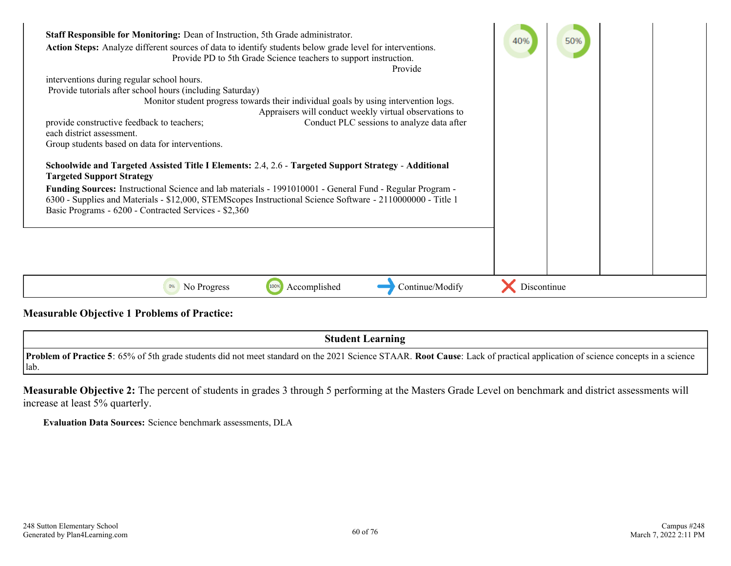| Staff Responsible for Monitoring: Dean of Instruction, 5th Grade administrator.<br>Action Steps: Analyze different sources of data to identify students below grade level for interventions.<br>Provide PD to 5th Grade Science teachers to support instruction.<br>Provide<br>interventions during regular school hours.<br>Provide tutorials after school hours (including Saturday)<br>Monitor student progress towards their individual goals by using intervention logs.<br>Appraisers will conduct weekly virtual observations to<br>Conduct PLC sessions to analyze data after<br>provide constructive feedback to teachers;<br>each district assessment. | 40%         | 50% |  |
|------------------------------------------------------------------------------------------------------------------------------------------------------------------------------------------------------------------------------------------------------------------------------------------------------------------------------------------------------------------------------------------------------------------------------------------------------------------------------------------------------------------------------------------------------------------------------------------------------------------------------------------------------------------|-------------|-----|--|
| Group students based on data for interventions.                                                                                                                                                                                                                                                                                                                                                                                                                                                                                                                                                                                                                  |             |     |  |
| Schoolwide and Targeted Assisted Title I Elements: 2.4, 2.6 - Targeted Support Strategy - Additional<br><b>Targeted Support Strategy</b>                                                                                                                                                                                                                                                                                                                                                                                                                                                                                                                         |             |     |  |
| Funding Sources: Instructional Science and lab materials - 1991010001 - General Fund - Regular Program -<br>6300 - Supplies and Materials - \$12,000, STEMScopes Instructional Science Software - 2110000000 - Title 1<br>Basic Programs - 6200 - Contracted Services - \$2,360                                                                                                                                                                                                                                                                                                                                                                                  |             |     |  |
|                                                                                                                                                                                                                                                                                                                                                                                                                                                                                                                                                                                                                                                                  |             |     |  |
|                                                                                                                                                                                                                                                                                                                                                                                                                                                                                                                                                                                                                                                                  |             |     |  |
| Accomplished<br>No Progress<br>Continue/Modify<br>0%                                                                                                                                                                                                                                                                                                                                                                                                                                                                                                                                                                                                             | Discontinue |     |  |

#### **Measurable Objective 1 Problems of Practice:**

**Student Learning**

**Problem of Practice 5**: 65% of 5th grade students did not meet standard on the 2021 Science STAAR. **Root Cause**: Lack of practical application of science concepts in a science lab.

**Measurable Objective 2:** The percent of students in grades 3 through 5 performing at the Masters Grade Level on benchmark and district assessments will increase at least 5% quarterly.

**Evaluation Data Sources:** Science benchmark assessments, DLA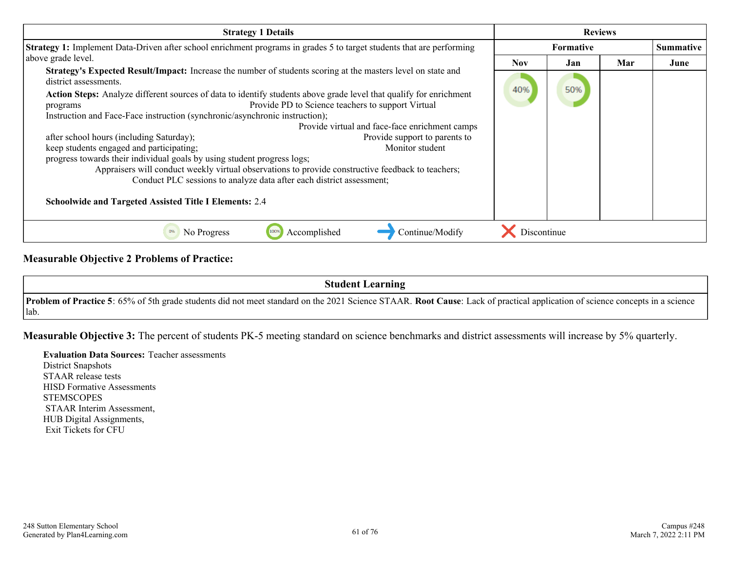| <b>Strategy 1 Details</b>                                                                                                                                                           | <b>Reviews</b> |                  |     |      |
|-------------------------------------------------------------------------------------------------------------------------------------------------------------------------------------|----------------|------------------|-----|------|
| <b>Strategy 1:</b> Implement Data-Driven after school enrichment programs in grades 5 to target students that are performing                                                        |                | <b>Summative</b> |     |      |
| above grade level.                                                                                                                                                                  | <b>Nov</b>     | Jan              | Mar | June |
| Strategy's Expected Result/Impact: Increase the number of students scoring at the masters level on state and<br>district assessments.                                               |                |                  |     |      |
| Action Steps: Analyze different sources of data to identify students above grade level that qualify for enrichment<br>Provide PD to Science teachers to support Virtual<br>programs | 40%            | 50%              |     |      |
| Instruction and Face-Face instruction (synchronic/asynchronic instruction);                                                                                                         |                |                  |     |      |
| Provide virtual and face-face enrichment camps                                                                                                                                      |                |                  |     |      |
| after school hours (including Saturday);<br>Provide support to parents to                                                                                                           |                |                  |     |      |
| keep students engaged and participating;<br>Monitor student                                                                                                                         |                |                  |     |      |
| progress towards their individual goals by using student progress logs;                                                                                                             |                |                  |     |      |
| Appraisers will conduct weekly virtual observations to provide constructive feedback to teachers;                                                                                   |                |                  |     |      |
| Conduct PLC sessions to analyze data after each district assessment;                                                                                                                |                |                  |     |      |
| <b>Schoolwide and Targeted Assisted Title I Elements: 2.4</b>                                                                                                                       |                |                  |     |      |
| No Progress<br>Continue/Modify<br>Accomplished                                                                                                                                      | Discontinue    |                  |     |      |

#### **Measurable Objective 2 Problems of Practice:**

| <b>Student Learning</b>                                                                                                                                                                          |
|--------------------------------------------------------------------------------------------------------------------------------------------------------------------------------------------------|
| <b>Problem of Practice 5</b> : 65% of 5th grade students did not meet standard on the 2021 Science STAAR. Root Cause: Lack of practical application of science concepts in a science<br>$ $ lab. |

**Measurable Objective 3:** The percent of students PK-5 meeting standard on science benchmarks and district assessments will increase by 5% quarterly.

#### **Evaluation Data Sources:** Teacher assessments

District Snapshots STAAR release tests HISD Formative Assessments **STEMSCOPES**  STAAR Interim Assessment, HUB Digital Assignments, Exit Tickets for CFU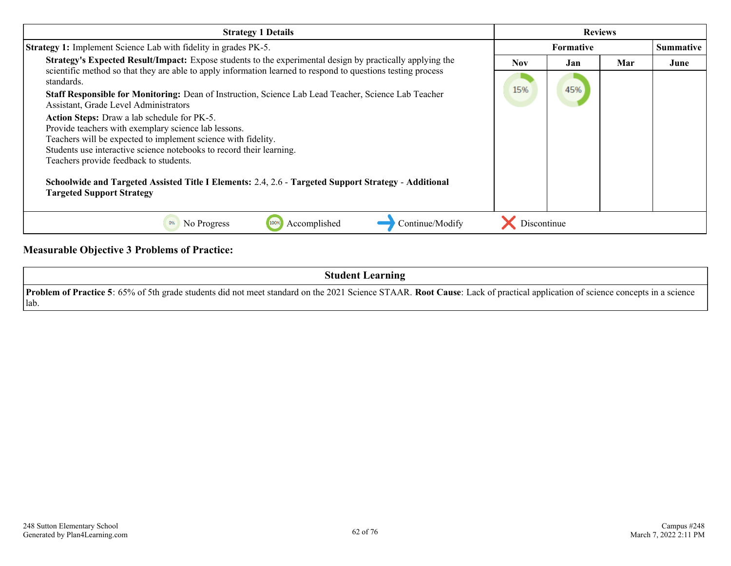| <b>Strategy 1 Details</b>                                                                                                                     | <b>Reviews</b> |                  |     |           |
|-----------------------------------------------------------------------------------------------------------------------------------------------|----------------|------------------|-----|-----------|
| <b>Strategy 1:</b> Implement Science Lab with fidelity in grades PK-5.                                                                        |                | <b>Formative</b> |     | Summative |
| <b>Strategy's Expected Result/Impact:</b> Expose students to the experimental design by practically applying the                              | <b>Nov</b>     | Jan              | Mar | June      |
| scientific method so that they are able to apply information learned to respond to questions testing process<br>standards.                    |                |                  |     |           |
| Staff Responsible for Monitoring: Dean of Instruction, Science Lab Lead Teacher, Science Lab Teacher<br>Assistant, Grade Level Administrators | 15%            | 45%              |     |           |
| <b>Action Steps:</b> Draw a lab schedule for PK-5.                                                                                            |                |                  |     |           |
| Provide teachers with exemplary science lab lessons.<br>Teachers will be expected to implement science with fidelity.                         |                |                  |     |           |
| Students use interactive science notebooks to record their learning.                                                                          |                |                  |     |           |
| Teachers provide feedback to students.                                                                                                        |                |                  |     |           |
| Schoolwide and Targeted Assisted Title I Elements: 2.4, 2.6 - Targeted Support Strategy - Additional<br><b>Targeted Support Strategy</b>      |                |                  |     |           |
| Accomplished<br>Continue/Modify<br>No Progress                                                                                                | Discontinue    |                  |     |           |

## **Measurable Objective 3 Problems of Practice:**

| <b>Student Learning</b>                                                                                                                                                                          |
|--------------------------------------------------------------------------------------------------------------------------------------------------------------------------------------------------|
| <b>Problem of Practice 5</b> : 65% of 5th grade students did not meet standard on the 2021 Science STAAR. Root Cause: Lack of practical application of science concepts in a science<br>$ $ lab. |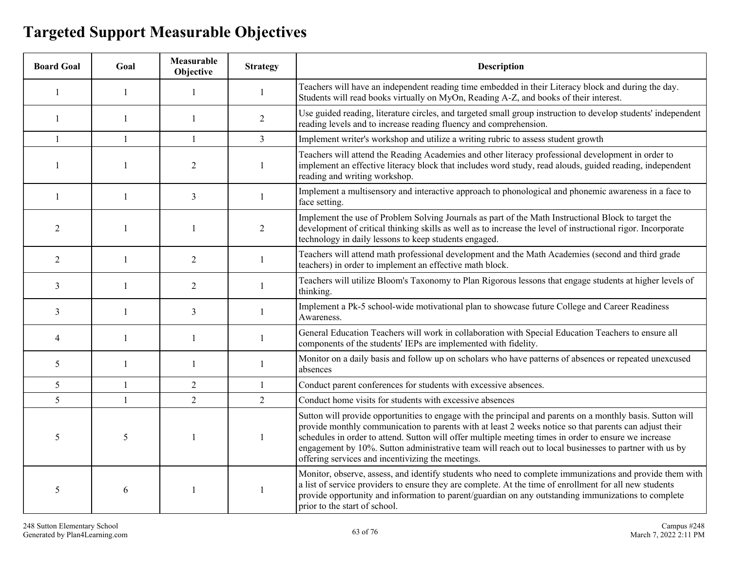# **Targeted Support Measurable Objectives**

| <b>Board Goal</b> | Goal         | Measurable<br>Objective | <b>Strategy</b> | <b>Description</b>                                                                                                                                                                                                                                                                                                                                                                                                                                                                           |
|-------------------|--------------|-------------------------|-----------------|----------------------------------------------------------------------------------------------------------------------------------------------------------------------------------------------------------------------------------------------------------------------------------------------------------------------------------------------------------------------------------------------------------------------------------------------------------------------------------------------|
| $\mathbf{1}$      | 1            | -1                      | 1               | Teachers will have an independent reading time embedded in their Literacy block and during the day.<br>Students will read books virtually on MyOn, Reading A-Z, and books of their interest.                                                                                                                                                                                                                                                                                                 |
|                   | -1           |                         | 2               | Use guided reading, literature circles, and targeted small group instruction to develop students' independent<br>reading levels and to increase reading fluency and comprehension.                                                                                                                                                                                                                                                                                                           |
| $\mathbf{1}$      | $\mathbf{1}$ | $\mathbf{1}$            | 3               | Implement writer's workshop and utilize a writing rubric to assess student growth                                                                                                                                                                                                                                                                                                                                                                                                            |
|                   | 1            | $\overline{2}$          | $\mathbf{1}$    | Teachers will attend the Reading Academies and other literacy professional development in order to<br>implement an effective literacy block that includes word study, read alouds, guided reading, independent<br>reading and writing workshop.                                                                                                                                                                                                                                              |
| $\mathbf{1}$      | 1            | $\mathfrak{Z}$          | $\mathbf{1}$    | Implement a multisensory and interactive approach to phonological and phonemic awareness in a face to<br>face setting.                                                                                                                                                                                                                                                                                                                                                                       |
| $\overline{c}$    |              |                         | 2               | Implement the use of Problem Solving Journals as part of the Math Instructional Block to target the<br>development of critical thinking skills as well as to increase the level of instructional rigor. Incorporate<br>technology in daily lessons to keep students engaged.                                                                                                                                                                                                                 |
| $\overline{2}$    | $\mathbf{1}$ | $\overline{2}$          |                 | Teachers will attend math professional development and the Math Academies (second and third grade<br>teachers) in order to implement an effective math block.                                                                                                                                                                                                                                                                                                                                |
| 3                 | 1            | $\overline{2}$          |                 | Teachers will utilize Bloom's Taxonomy to Plan Rigorous lessons that engage students at higher levels of<br>thinking.                                                                                                                                                                                                                                                                                                                                                                        |
| $\overline{3}$    | $\mathbf{1}$ | $\overline{3}$          |                 | Implement a Pk-5 school-wide motivational plan to showcase future College and Career Readiness<br>Awareness.                                                                                                                                                                                                                                                                                                                                                                                 |
| 4                 | 1            | -1                      | $\mathbf{1}$    | General Education Teachers will work in collaboration with Special Education Teachers to ensure all<br>components of the students' IEPs are implemented with fidelity.                                                                                                                                                                                                                                                                                                                       |
| 5                 | 1            | $\mathbf{1}$            |                 | Monitor on a daily basis and follow up on scholars who have patterns of absences or repeated unexcused<br>absences                                                                                                                                                                                                                                                                                                                                                                           |
| 5                 | $\mathbf{1}$ | 2                       | $\mathbf{1}$    | Conduct parent conferences for students with excessive absences.                                                                                                                                                                                                                                                                                                                                                                                                                             |
| 5                 | $\mathbf{1}$ | $\overline{2}$          | $\overline{2}$  | Conduct home visits for students with excessive absences                                                                                                                                                                                                                                                                                                                                                                                                                                     |
| 5                 | 5            | $\mathbf{1}$            | $\mathbf{1}$    | Sutton will provide opportunities to engage with the principal and parents on a monthly basis. Sutton will<br>provide monthly communication to parents with at least 2 weeks notice so that parents can adjust their<br>schedules in order to attend. Sutton will offer multiple meeting times in order to ensure we increase<br>engagement by 10%. Sutton administrative team will reach out to local businesses to partner with us by<br>offering services and incentivizing the meetings. |
| 5                 | 6            | $\mathbf{1}$            | $\mathbf{1}$    | Monitor, observe, assess, and identify students who need to complete immunizations and provide them with<br>a list of service providers to ensure they are complete. At the time of enrollment for all new students<br>provide opportunity and information to parent/guardian on any outstanding immunizations to complete<br>prior to the start of school.                                                                                                                                  |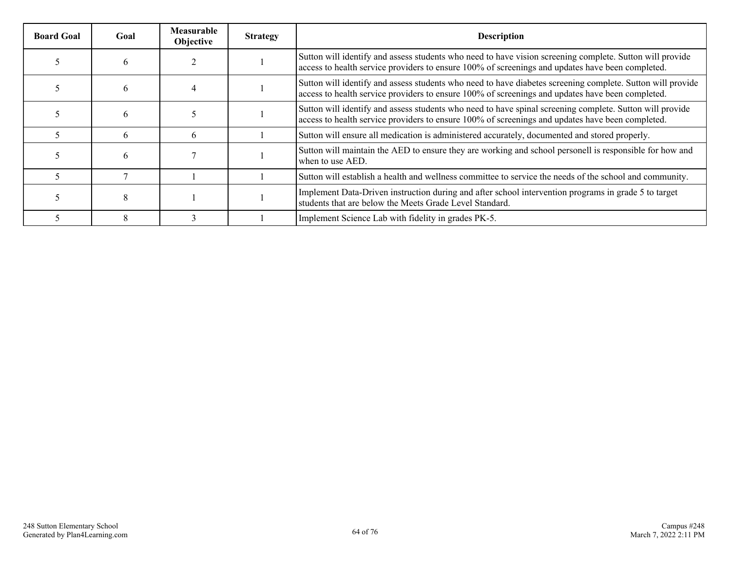| <b>Board Goal</b> | Goal | <b>Measurable</b><br><b>Objective</b> | <b>Strategy</b> | <b>Description</b>                                                                                                                                                                                             |
|-------------------|------|---------------------------------------|-----------------|----------------------------------------------------------------------------------------------------------------------------------------------------------------------------------------------------------------|
|                   |      |                                       |                 | Sutton will identify and assess students who need to have vision screening complete. Sutton will provide<br>access to health service providers to ensure 100% of screenings and updates have been completed.   |
|                   |      |                                       |                 | Sutton will identify and assess students who need to have diabetes screening complete. Sutton will provide<br>access to health service providers to ensure 100% of screenings and updates have been completed. |
|                   |      |                                       |                 | Sutton will identify and assess students who need to have spinal screening complete. Sutton will provide<br>access to health service providers to ensure 100% of screenings and updates have been completed.   |
|                   |      | 6                                     |                 | Sutton will ensure all medication is administered accurately, documented and stored properly.                                                                                                                  |
|                   |      |                                       |                 | Sutton will maintain the AED to ensure they are working and school personell is responsible for how and<br>when to use AED.                                                                                    |
|                   |      |                                       |                 | Sutton will establish a health and wellness committee to service the needs of the school and community.                                                                                                        |
|                   |      |                                       |                 | Implement Data-Driven instruction during and after school intervention programs in grade 5 to target<br>students that are below the Meets Grade Level Standard.                                                |
|                   |      |                                       |                 | Implement Science Lab with fidelity in grades PK-5.                                                                                                                                                            |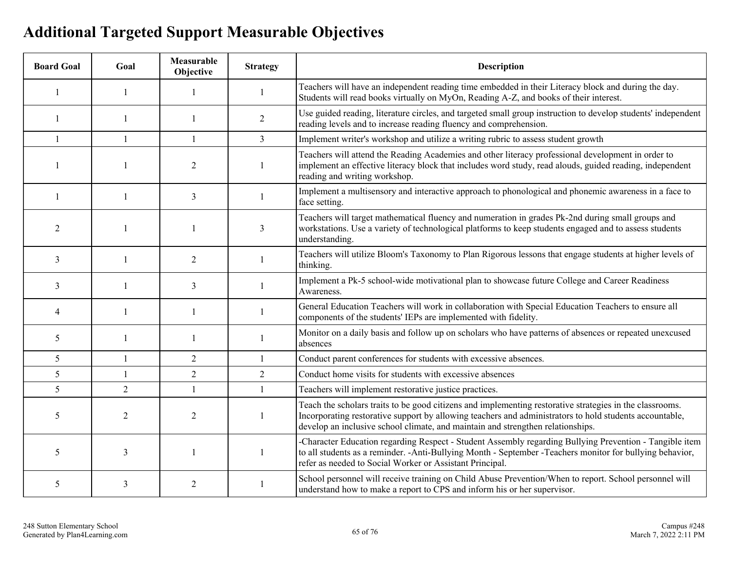# **Additional Targeted Support Measurable Objectives**

| <b>Board Goal</b> | Goal           | Measurable<br>Objective | <b>Description</b><br><b>Strategy</b> |                                                                                                                                                                                                                                                                                                        |
|-------------------|----------------|-------------------------|---------------------------------------|--------------------------------------------------------------------------------------------------------------------------------------------------------------------------------------------------------------------------------------------------------------------------------------------------------|
|                   |                | -1                      |                                       | Teachers will have an independent reading time embedded in their Literacy block and during the day.<br>Students will read books virtually on MyOn, Reading A-Z, and books of their interest.                                                                                                           |
|                   |                | 1                       | $\overline{2}$                        | Use guided reading, literature circles, and targeted small group instruction to develop students' independent<br>reading levels and to increase reading fluency and comprehension.                                                                                                                     |
| 1                 |                | 1                       | $\overline{3}$                        | Implement writer's workshop and utilize a writing rubric to assess student growth                                                                                                                                                                                                                      |
|                   |                | 2                       |                                       | Teachers will attend the Reading Academies and other literacy professional development in order to<br>implement an effective literacy block that includes word study, read alouds, guided reading, independent<br>reading and writing workshop.                                                        |
|                   |                | $\overline{3}$          | -1                                    | Implement a multisensory and interactive approach to phonological and phonemic awareness in a face to<br>face setting.                                                                                                                                                                                 |
| 2                 |                |                         | 3                                     | Teachers will target mathematical fluency and numeration in grades Pk-2nd during small groups and<br>workstations. Use a variety of technological platforms to keep students engaged and to assess students<br>understanding.                                                                          |
| 3                 | $\mathbf{1}$   | $\overline{2}$          | $\mathbf{1}$                          | Teachers will utilize Bloom's Taxonomy to Plan Rigorous lessons that engage students at higher levels of<br>thinking.                                                                                                                                                                                  |
| 3                 |                | $\overline{3}$          | $\mathbf{1}$                          | Implement a Pk-5 school-wide motivational plan to showcase future College and Career Readiness<br>Awareness.                                                                                                                                                                                           |
| 4                 | $\mathbf{1}$   | 1                       | 1                                     | General Education Teachers will work in collaboration with Special Education Teachers to ensure all<br>components of the students' IEPs are implemented with fidelity.                                                                                                                                 |
| 5                 | $\mathbf{1}$   | $\mathbf{1}$            | -1                                    | Monitor on a daily basis and follow up on scholars who have patterns of absences or repeated unexcused<br>absences                                                                                                                                                                                     |
| 5                 | $\mathbf{1}$   | $\overline{2}$          | $\mathbf{1}$                          | Conduct parent conferences for students with excessive absences.                                                                                                                                                                                                                                       |
| 5                 | $\mathbf{1}$   | $\overline{2}$          | $\overline{2}$                        | Conduct home visits for students with excessive absences                                                                                                                                                                                                                                               |
| 5                 | 2              | 1                       | $\mathbf{1}$                          | Teachers will implement restorative justice practices.                                                                                                                                                                                                                                                 |
| 5                 | $\overline{2}$ | $\overline{2}$          | -1                                    | Teach the scholars traits to be good citizens and implementing restorative strategies in the classrooms.<br>Incorporating restorative support by allowing teachers and administrators to hold students accountable,<br>develop an inclusive school climate, and maintain and strengthen relationships. |
| 5                 | $\mathfrak{Z}$ |                         | 1                                     | -Character Education regarding Respect - Student Assembly regarding Bullying Prevention - Tangible item<br>to all students as a reminder. -Anti-Bullying Month - September -Teachers monitor for bullying behavior,<br>refer as needed to Social Worker or Assistant Principal.                        |
| 5                 | 3              | 2                       |                                       | School personnel will receive training on Child Abuse Prevention/When to report. School personnel will<br>understand how to make a report to CPS and inform his or her supervisor.                                                                                                                     |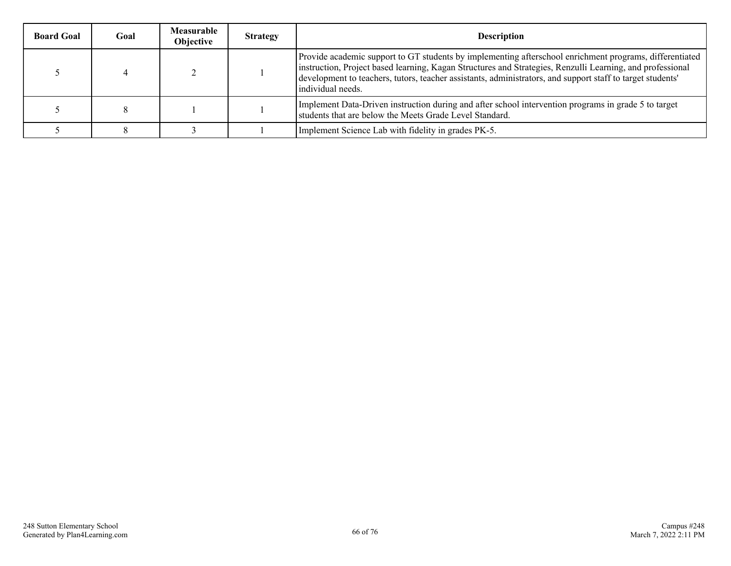| <b>Board Goal</b> | Goal | Measurable<br>Objective | <b>Strategy</b> | <b>Description</b>                                                                                                                                                                                                                                                                                                                                      |
|-------------------|------|-------------------------|-----------------|---------------------------------------------------------------------------------------------------------------------------------------------------------------------------------------------------------------------------------------------------------------------------------------------------------------------------------------------------------|
|                   |      |                         |                 | Provide academic support to GT students by implementing afterschool enrichment programs, differentiated<br>instruction, Project based learning, Kagan Structures and Strategies, Renzulli Learning, and professional<br>development to teachers, tutors, teacher assistants, administrators, and support staff to target students'<br>individual needs. |
|                   |      |                         |                 | Implement Data-Driven instruction during and after school intervention programs in grade 5 to target<br>students that are below the Meets Grade Level Standard.                                                                                                                                                                                         |
|                   |      |                         |                 | Implement Science Lab with fidelity in grades PK-5.                                                                                                                                                                                                                                                                                                     |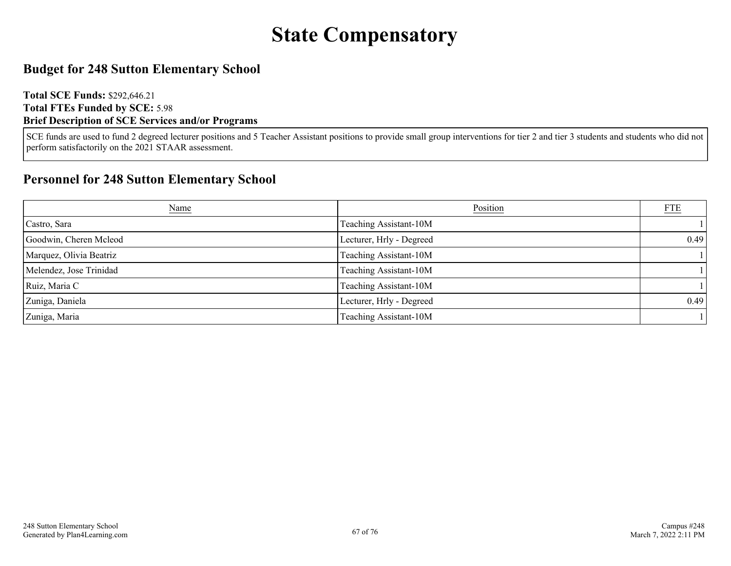# **State Compensatory**

## **Budget for 248 Sutton Elementary School**

**Total SCE Funds:** \$292,646.21 **Total FTEs Funded by SCE:** 5.98 **Brief Description of SCE Services and/or Programs**

SCE funds are used to fund 2 degreed lecturer positions and 5 Teacher Assistant positions to provide small group interventions for tier 2 and tier 3 students and students who did not perform satisfactorily on the 2021 STAAR assessment.

### **Personnel for 248 Sutton Elementary School**

| Name                    | Position                 | <b>FTE</b> |
|-------------------------|--------------------------|------------|
| Castro, Sara            | Teaching Assistant-10M   |            |
| Goodwin, Cheren Mcleod  | Lecturer, Hrly - Degreed | 0.49       |
| Marquez, Olivia Beatriz | Teaching Assistant-10M   |            |
| Melendez, Jose Trinidad | Teaching Assistant-10M   |            |
| Ruiz, Maria C           | Teaching Assistant-10M   |            |
| Zuniga, Daniela         | Lecturer, Hrly - Degreed | 0.49       |
| Zuniga, Maria           | Teaching Assistant-10M   |            |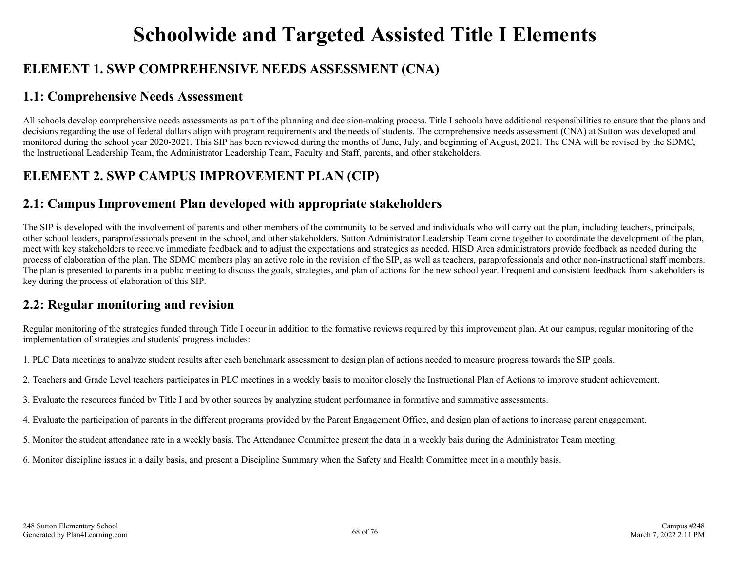# **Schoolwide and Targeted Assisted Title I Elements**

## **ELEMENT 1. SWP COMPREHENSIVE NEEDS ASSESSMENT (CNA)**

## **1.1: Comprehensive Needs Assessment**

All schools develop comprehensive needs assessments as part of the planning and decision-making process. Title I schools have additional responsibilities to ensure that the plans and decisions regarding the use of federal dollars align with program requirements and the needs of students. The comprehensive needs assessment (CNA) at Sutton was developed and monitored during the school year 2020-2021. This SIP has been reviewed during the months of June, July, and beginning of August, 2021. The CNA will be revised by the SDMC, the Instructional Leadership Team, the Administrator Leadership Team, Faculty and Staff, parents, and other stakeholders.

## **ELEMENT 2. SWP CAMPUS IMPROVEMENT PLAN (CIP)**

## **2.1: Campus Improvement Plan developed with appropriate stakeholders**

The SIP is developed with the involvement of parents and other members of the community to be served and individuals who will carry out the plan, including teachers, principals, other school leaders, paraprofessionals present in the school, and other stakeholders. Sutton Administrator Leadership Team come together to coordinate the development of the plan, meet with key stakeholders to receive immediate feedback and to adjust the expectations and strategies as needed. HISD Area administrators provide feedback as needed during the process of elaboration of the plan. The SDMC members play an active role in the revision of the SIP, as well as teachers, paraprofessionals and other non-instructional staff members. The plan is presented to parents in a public meeting to discuss the goals, strategies, and plan of actions for the new school year. Frequent and consistent feedback from stakeholders is key during the process of elaboration of this SIP.

## **2.2: Regular monitoring and revision**

Regular monitoring of the strategies funded through Title I occur in addition to the formative reviews required by this improvement plan. At our campus, regular monitoring of the implementation of strategies and students' progress includes:

1. PLC Data meetings to analyze student results after each benchmark assessment to design plan of actions needed to measure progress towards the SIP goals.

- 2. Teachers and Grade Level teachers participates in PLC meetings in a weekly basis to monitor closely the Instructional Plan of Actions to improve student achievement.
- 3. Evaluate the resources funded by Title I and by other sources by analyzing student performance in formative and summative assessments.
- 4. Evaluate the participation of parents in the different programs provided by the Parent Engagement Office, and design plan of actions to increase parent engagement.
- 5. Monitor the student attendance rate in a weekly basis. The Attendance Committee present the data in a weekly bais during the Administrator Team meeting.

6. Monitor discipline issues in a daily basis, and present a Discipline Summary when the Safety and Health Committee meet in a monthly basis.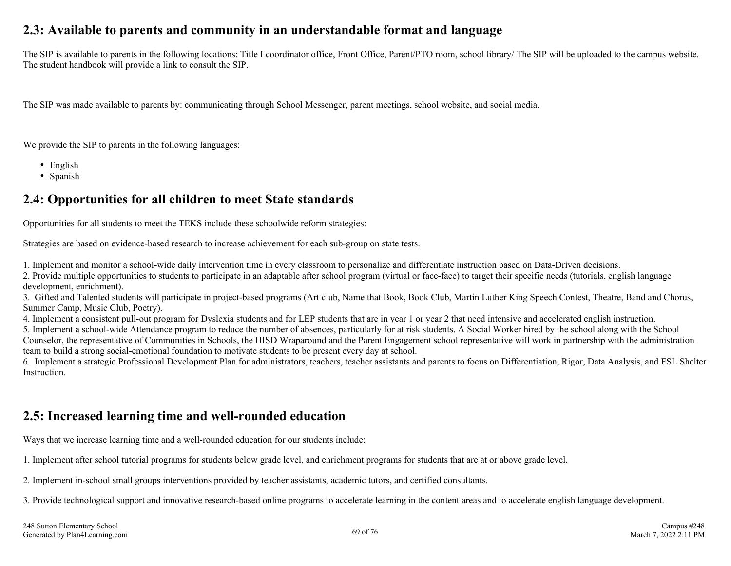## **2.3: Available to parents and community in an understandable format and language**

The SIP is available to parents in the following locations: Title I coordinator office, Front Office, Parent/PTO room, school library/ The SIP will be uploaded to the campus website. The student handbook will provide a link to consult the SIP.

The SIP was made available to parents by: communicating through School Messenger, parent meetings, school website, and social media.

We provide the SIP to parents in the following languages:

- English
- Spanish

### **2.4: Opportunities for all children to meet State standards**

Opportunities for all students to meet the TEKS include these schoolwide reform strategies:

Strategies are based on evidence-based research to increase achievement for each sub-group on state tests.

1. Implement and monitor a school-wide daily intervention time in every classroom to personalize and differentiate instruction based on Data-Driven decisions.

2. Provide multiple opportunities to students to participate in an adaptable after school program (virtual or face-face) to target their specific needs (tutorials, english language development, enrichment).

3. Gifted and Talented students will participate in project-based programs (Art club, Name that Book, Book Club, Martin Luther King Speech Contest, Theatre, Band and Chorus, Summer Camp, Music Club, Poetry).

4. Implement a consistent pull-out program for Dyslexia students and for LEP students that are in year 1 or year 2 that need intensive and accelerated english instruction.

5. Implement a school-wide Attendance program to reduce the number of absences, particularly for at risk students. A Social Worker hired by the school along with the School Counselor, the representative of Communities in Schools, the HISD Wraparound and the Parent Engagement school representative will work in partnership with the administration team to build a strong social-emotional foundation to motivate students to be present every day at school.

6. Implement a strategic Professional Development Plan for administrators, teachers, teacher assistants and parents to focus on Differentiation, Rigor, Data Analysis, and ESL Shelter Instruction.

### **2.5: Increased learning time and well-rounded education**

Ways that we increase learning time and a well-rounded education for our students include:

1. Implement after school tutorial programs for students below grade level, and enrichment programs for students that are at or above grade level.

2. Implement in-school small groups interventions provided by teacher assistants, academic tutors, and certified consultants.

3. Provide technological support and innovative research-based online programs to accelerate learning in the content areas and to accelerate english language development.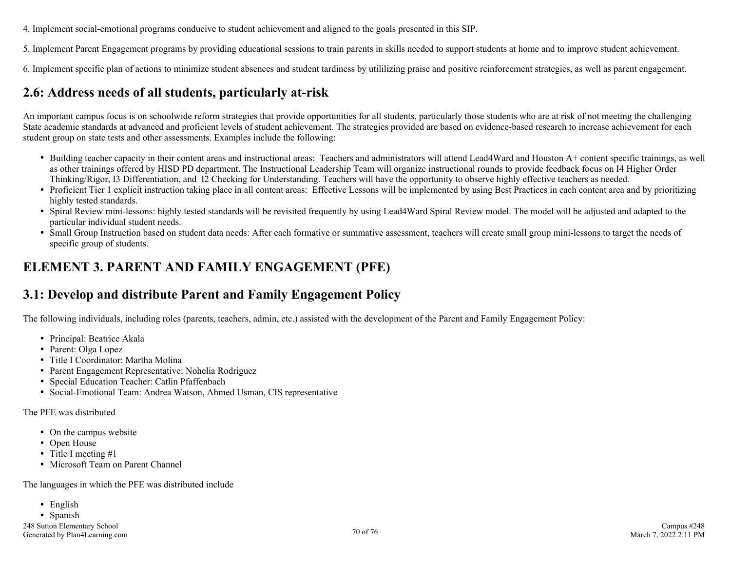- 4. Implement social-emotional programs conducive to student achievement and aligned to the goals presented in this SIP.
- 5. Implement Parent Engagement programs by providing educational sessions to train parents in skills needed to support students at home and to improve student achievement.

6. Implement specific plan of actions to minimize student absences and student tardiness by utililizing praise and positive reinforcement strategies, as well as parent engagement.

## **2.6: Address needs of all students, particularly at-risk**

An important campus focus is on schoolwide reform strategies that provide opportunities for all students, particularly those students who are at risk of not meeting the challenging State academic standards at advanced and proficient levels of student achievement. The strategies provided are based on evidence-based research to increase achievement for each student group on state tests and other assessments. Examples include the following:

- Building teacher capacity in their content areas and instructional areas: Teachers and administrators will attend Lead4Ward and Houston A+ content specific trainings, as well as other trainings offered by HISD PD department. The Instructional Leadership Team will organize instructional rounds to provide feedback focus on I4 Higher Order Thinking/Rigor, I3 Differentiation, and I2 Checking for Understanding. Teachers will have the opportunity to observe highly effective teachers as needed.
- Proficient Tier 1 explicit instruction taking place in all content areas: Effective Lessons will be implemented by using Best Practices in each content area and by prioritizing highly tested standards.
- Spiral Review mini-lessons: highly tested standards will be revisited frequently by using Lead4Ward Spiral Review model. The model will be adjusted and adapted to the particular individual student needs.
- Small Group Instruction based on student data needs: After each formative or summative assessment, teachers will create small group mini-lessons to target the needs of specific group of students.

# **ELEMENT 3. PARENT AND FAMILY ENGAGEMENT (PFE)**

# **3.1: Develop and distribute Parent and Family Engagement Policy**

The following individuals, including roles (parents, teachers, admin, etc.) assisted with the development of the Parent and Family Engagement Policy:

- Principal: Beatrice Akala
- Parent: Olga Lopez
- Title I Coordinator: Martha Molina
- Parent Engagement Representative: Nohelia Rodriguez
- Special Education Teacher: Catlin Pfaffenbach
- Social-Emotional Team: Andrea Watson, Ahmed Usman, CIS representative

The PFE was distributed

- On the campus website
- Open House
- Title I meeting #1
- Microsoft Team on Parent Channel

The languages in which the PFE was distributed include

- English
- Spanish

248 Sutton Elementary School Generated by Plan4Learning.com 70 of 76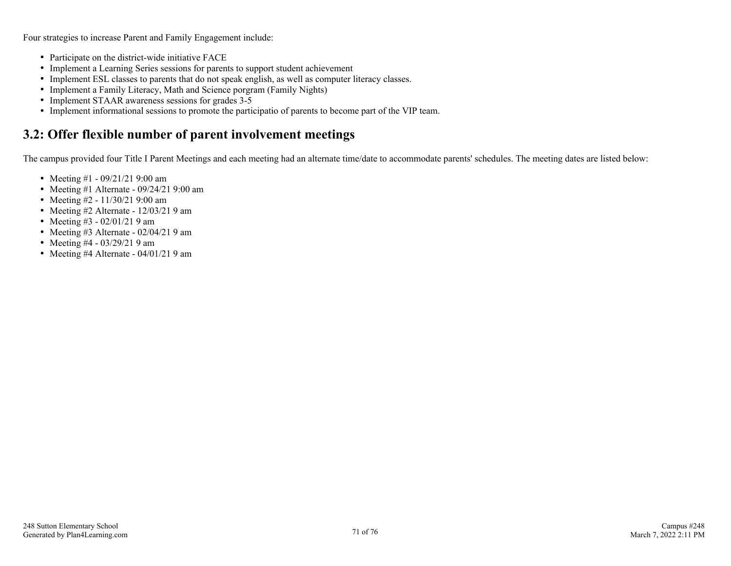Four strategies to increase Parent and Family Engagement include:

- Participate on the district-wide initiative FACE
- Implement a Learning Series sessions for parents to support student achievement
- Implement ESL classes to parents that do not speak english, as well as computer literacy classes.
- Implement a Family Literacy, Math and Science porgram (Family Nights)
- Implement STAAR awareness sessions for grades 3-5
- Implement informational sessions to promote the participatio of parents to become part of the VIP team.

# **3.2: Offer flexible number of parent involvement meetings**

The campus provided four Title I Parent Meetings and each meeting had an alternate time/date to accommodate parents' schedules. The meeting dates are listed below:

- Meeting #1 09/21/21 9:00 am
- Meeting #1 Alternate  $09/24/21$  9:00 am
- Meeting #2 11/30/21 9:00 am
- Meeting #2 Alternate 12/03/21 9 am
- Meeting #3 02/01/21 9 am
- Meeting #3 Alternate  $02/04/21$  9 am
- Meeting #4 03/29/21 9 am
- Meeting #4 Alternate 04/01/21 9 am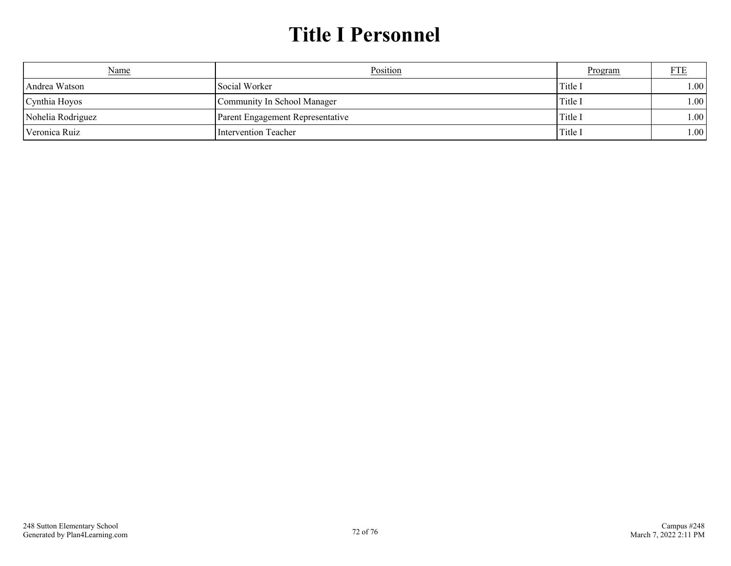# **Title I Personnel**

| <u>Name</u>       | Position                         | Program | ETE  |
|-------------------|----------------------------------|---------|------|
| Andrea Watson     | Social Worker                    | Title I | 1.00 |
| Cynthia Hoyos     | Community In School Manager      | Title I | 1.00 |
| Nohelia Rodriguez | Parent Engagement Representative | Title I | 1.00 |
| Veronica Ruiz     | Intervention Teacher             | Title 1 | 1.00 |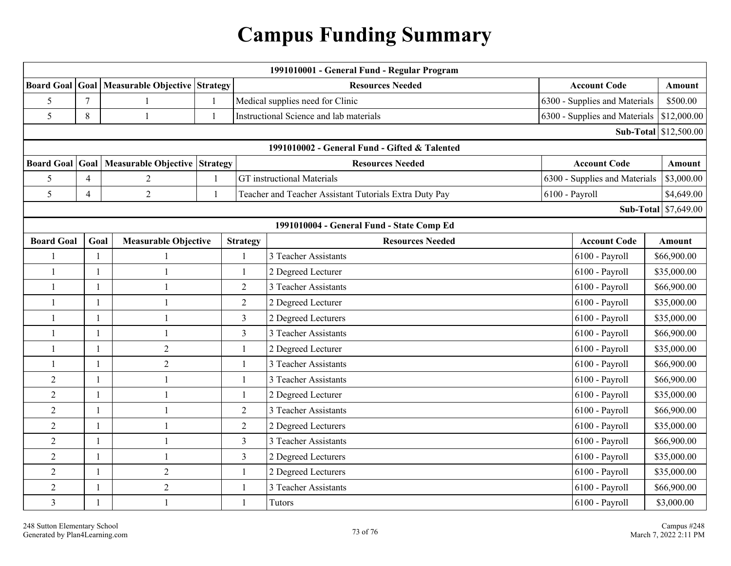## **Campus Funding Summary**

| 1991010001 - General Fund - Regular Program |                                               |                               |              |                         |                                                        |                               |                                             |                       |  |  |  |
|---------------------------------------------|-----------------------------------------------|-------------------------------|--------------|-------------------------|--------------------------------------------------------|-------------------------------|---------------------------------------------|-----------------------|--|--|--|
| <b>Board Goal Goal</b>                      |                                               | Measurable Objective Strategy |              |                         | <b>Resources Needed</b>                                | <b>Account Code</b>           |                                             | Amount                |  |  |  |
| 5                                           | $\tau$                                        |                               |              |                         | Medical supplies need for Clinic                       | 6300 - Supplies and Materials | \$500.00                                    |                       |  |  |  |
| 5                                           | $8\,$                                         | $\overline{1}$                | $\mathbf{1}$ |                         | <b>Instructional Science and lab materials</b>         |                               | 6300 - Supplies and Materials   \$12,000.00 |                       |  |  |  |
|                                             |                                               |                               |              |                         |                                                        |                               |                                             | Sub-Total \$12,500.00 |  |  |  |
|                                             | 1991010002 - General Fund - Gifted & Talented |                               |              |                         |                                                        |                               |                                             |                       |  |  |  |
| <b>Board Goal</b>                           | Goal<br>Measurable Objective Strategy         |                               |              | <b>Resources Needed</b> |                                                        | <b>Account Code</b>           |                                             | Amount                |  |  |  |
| 5                                           | 4                                             | $\overline{2}$                | $\mathbf{1}$ |                         | <b>GT</b> instructional Materials                      | 6300 - Supplies and Materials |                                             | \$3,000.00            |  |  |  |
| 5                                           | $\overline{4}$                                | $\overline{2}$                | $\mathbf{1}$ |                         | Teacher and Teacher Assistant Tutorials Extra Duty Pay | 6100 - Payroll                |                                             | \$4,649.00            |  |  |  |
|                                             |                                               |                               |              |                         |                                                        |                               |                                             | Sub-Total \$7,649.00  |  |  |  |
| 1991010004 - General Fund - State Comp Ed   |                                               |                               |              |                         |                                                        |                               |                                             |                       |  |  |  |
| <b>Board Goal</b>                           | Goal                                          | <b>Measurable Objective</b>   |              | <b>Strategy</b>         | <b>Resources Needed</b>                                |                               | <b>Account Code</b>                         | <b>Amount</b>         |  |  |  |
|                                             |                                               |                               |              | 1                       | 3 Teacher Assistants                                   |                               | 6100 - Payroll                              | \$66,900.00           |  |  |  |
| $\mathbf{1}$                                | $\mathbf{1}$                                  | $\mathbf{1}$                  |              | 1                       | 2 Degreed Lecturer                                     |                               | 6100 - Payroll                              | \$35,000.00           |  |  |  |
| $\mathbf{1}$                                |                                               |                               |              | $\overline{2}$          | 3 Teacher Assistants                                   |                               | 6100 - Payroll                              | \$66,900.00           |  |  |  |
| $\mathbf{1}$                                |                                               |                               |              | $\sqrt{2}$              | 2 Degreed Lecturer                                     |                               | 6100 - Payroll                              | \$35,000.00           |  |  |  |
| $\mathbf{1}$                                | $\mathbf{1}$                                  |                               |              | $\overline{3}$          | 2 Degreed Lecturers                                    |                               | 6100 - Payroll                              | \$35,000.00           |  |  |  |
| 1                                           | $\mathbf{1}$                                  |                               |              | $\overline{\mathbf{3}}$ | 3 Teacher Assistants                                   |                               | 6100 - Payroll                              | \$66,900.00           |  |  |  |
| $\mathbf{1}$                                | $\mathbf{1}$                                  | $\overline{2}$                |              | $\mathbf{1}$            | 2 Degreed Lecturer                                     |                               | 6100 - Payroll                              | \$35,000.00           |  |  |  |
| $\mathbf{1}$                                |                                               | $\overline{2}$                |              | $\mathbf{1}$            | 3 Teacher Assistants                                   |                               | 6100 - Payroll                              | \$66,900.00           |  |  |  |
| $\overline{2}$                              | $\mathbf{1}$                                  | $\overline{1}$                |              | $\mathbf{1}$            | 3 Teacher Assistants                                   |                               | 6100 - Payroll                              | \$66,900.00           |  |  |  |
| $\overline{2}$                              | $\mathbf{1}$                                  |                               |              | 1                       | 2 Degreed Lecturer                                     |                               | 6100 - Payroll                              | \$35,000.00           |  |  |  |
| $\overline{2}$                              | $\mathbf{1}$                                  |                               |              | $\mathfrak{2}$          | 3 Teacher Assistants                                   |                               | 6100 - Payroll                              | \$66,900.00           |  |  |  |
| $\overline{2}$                              | $\overline{1}$                                |                               |              | $\mathfrak{2}$          | 2 Degreed Lecturers                                    |                               | 6100 - Payroll                              | \$35,000.00           |  |  |  |
| $\overline{2}$                              | $\mathbf{1}$                                  |                               |              | 3                       | 3 Teacher Assistants                                   |                               | 6100 - Payroll                              | \$66,900.00           |  |  |  |
| $\overline{2}$                              |                                               |                               |              | $\overline{\mathbf{3}}$ | 2 Degreed Lecturers                                    |                               | 6100 - Payroll                              | \$35,000.00           |  |  |  |
| $\overline{2}$                              | $\mathbf{1}$                                  | $\overline{2}$                |              | 1                       | 2 Degreed Lecturers                                    |                               | 6100 - Payroll                              | \$35,000.00           |  |  |  |
| $\overline{2}$                              |                                               | $\mathbf{2}$                  |              | 1                       | 3 Teacher Assistants                                   |                               | 6100 - Payroll                              | \$66,900.00           |  |  |  |
| 3                                           |                                               |                               |              | 1                       | <b>Tutors</b>                                          |                               | 6100 - Payroll                              | \$3,000.00            |  |  |  |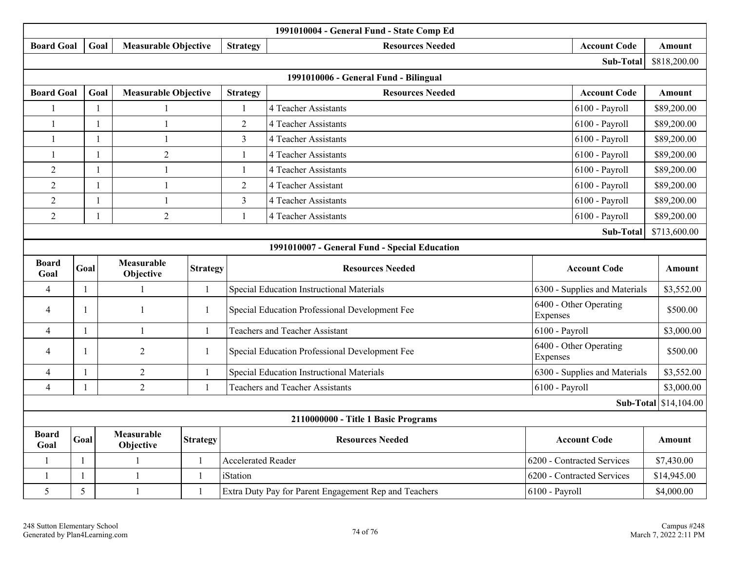| 1991010004 - General Fund - State Comp Ed     |              |              |                             |                 |                                            |                                                       |                                    |                     |              |
|-----------------------------------------------|--------------|--------------|-----------------------------|-----------------|--------------------------------------------|-------------------------------------------------------|------------------------------------|---------------------|--------------|
| <b>Board Goal</b>                             |              | Goal         | <b>Measurable Objective</b> |                 | <b>Resources Needed</b><br><b>Strategy</b> |                                                       | <b>Account Code</b>                | Amount              |              |
|                                               |              |              |                             |                 |                                            |                                                       |                                    | Sub-Total           | \$818,200.00 |
| 1991010006 - General Fund - Bilingual         |              |              |                             |                 |                                            |                                                       |                                    |                     |              |
| <b>Board Goal</b>                             |              | Goal         | <b>Measurable Objective</b> |                 | <b>Strategy</b>                            | <b>Resources Needed</b>                               |                                    | <b>Account Code</b> | Amount       |
| $\mathbf{1}$                                  |              | $\mathbf{1}$ |                             |                 | $\mathbf{1}$                               | 4 Teacher Assistants                                  |                                    | 6100 - Payroll      | \$89,200.00  |
| $\mathbf{1}$                                  |              | $\mathbf{1}$ |                             |                 | $\overline{2}$                             | 4 Teacher Assistants                                  |                                    | 6100 - Payroll      | \$89,200.00  |
| $\mathbf{1}$                                  |              | $\mathbf{1}$ | $\mathbf{1}$                |                 | $\overline{\mathbf{3}}$                    | 4 Teacher Assistants                                  |                                    | 6100 - Payroll      | \$89,200.00  |
|                                               |              | $\mathbf{1}$ | $\overline{c}$              |                 | 1                                          | 4 Teacher Assistants                                  |                                    | 6100 - Payroll      | \$89,200.00  |
| $\overline{2}$                                |              | $\mathbf{1}$ |                             |                 | $\mathbf{1}$                               | 4 Teacher Assistants                                  |                                    | 6100 - Payroll      | \$89,200.00  |
| $\overline{2}$                                |              | $\mathbf{1}$ |                             |                 | $\overline{2}$                             | 4 Teacher Assistant                                   |                                    | 6100 - Payroll      | \$89,200.00  |
| $\overline{2}$                                |              |              |                             |                 | 3                                          | 4 Teacher Assistants                                  |                                    | 6100 - Payroll      | \$89,200.00  |
| $\overline{2}$                                |              | $\mathbf{1}$ | $\overline{2}$              |                 | $\mathbf{1}$                               | 4 Teacher Assistants                                  |                                    | 6100 - Payroll      | \$89,200.00  |
|                                               |              |              |                             |                 |                                            |                                                       | Sub-Total                          | \$713,600.00        |              |
| 1991010007 - General Fund - Special Education |              |              |                             |                 |                                            |                                                       |                                    |                     |              |
| <b>Board</b><br>Goal                          | Goal         |              | Measurable<br>Objective     | <b>Strategy</b> |                                            | <b>Resources Needed</b>                               | <b>Account Code</b>                |                     | Amount       |
| $\overline{4}$                                | $\mathbf{1}$ |              | $\mathbf{1}$                | $\mathbf{1}$    |                                            | Special Education Instructional Materials             | 6300 - Supplies and Materials      |                     | \$3,552.00   |
| $\overline{4}$                                |              |              | $\overline{\phantom{a}}$    | $\mathbf{1}$    |                                            | Special Education Professional Development Fee        | 6400 - Other Operating<br>Expenses |                     | \$500.00     |
| $\overline{4}$                                | $\mathbf{1}$ |              | $\mathbf{1}$                | $\mathbf{1}$    |                                            | <b>Teachers and Teacher Assistant</b>                 | 6100 - Payroll                     |                     | \$3,000.00   |
| $\overline{4}$                                | -1           |              | $\overline{2}$              | $\mathbf{1}$    |                                            | Special Education Professional Development Fee        | 6400 - Other Operating<br>Expenses |                     | \$500.00     |
| $\overline{4}$                                | $\mathbf{1}$ |              | $\overline{2}$              | $\mathbf{1}$    |                                            | Special Education Instructional Materials             | 6300 - Supplies and Materials      |                     | \$3,552.00   |
| $\overline{4}$                                |              |              | $\overline{2}$              | $\mathbf{1}$    |                                            | <b>Teachers and Teacher Assistants</b>                | 6100 - Payroll                     |                     |              |
| Sub-Total $ $14,104.00$                       |              |              |                             |                 |                                            |                                                       |                                    |                     |              |
| 2110000000 - Title 1 Basic Programs           |              |              |                             |                 |                                            |                                                       |                                    |                     |              |
| Board<br>Goal                                 | Goal         |              | Measurable<br>Objective     | <b>Strategy</b> |                                            | <b>Resources Needed</b>                               |                                    | <b>Account Code</b> |              |
|                                               |              |              |                             |                 | <b>Accelerated Reader</b>                  |                                                       | 6200 - Contracted Services         |                     | \$7,430.00   |
| 1                                             |              |              | $\mathbf{1}$                | 1               | iStation                                   |                                                       | 6200 - Contracted Services         |                     | \$14,945.00  |
| 5                                             | 5            |              | $\overline{1}$              |                 |                                            | Extra Duty Pay for Parent Engagement Rep and Teachers | $6100 - \text{Pavroll}$            |                     | \$4,000.00   |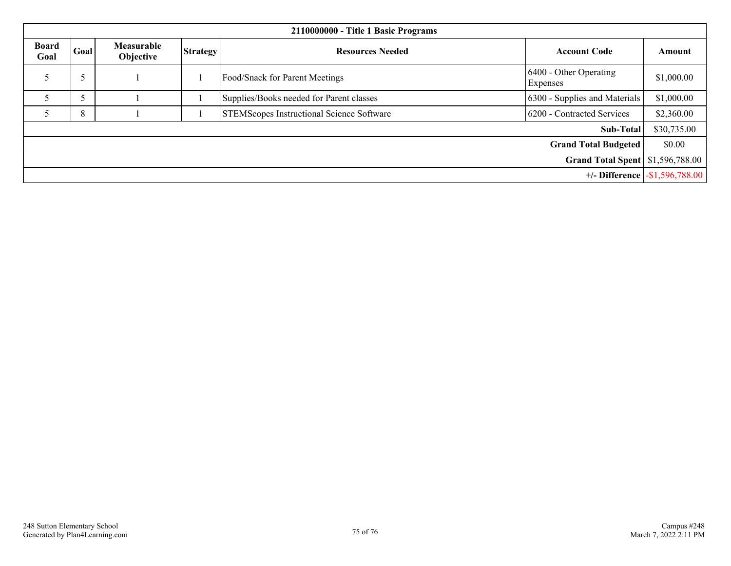| 2110000000 - Title 1 Basic Programs       |      |                                |          |                                                  |                                    |            |  |  |
|-------------------------------------------|------|--------------------------------|----------|--------------------------------------------------|------------------------------------|------------|--|--|
| <b>Board</b><br>Goal                      | Goal | <b>Measurable</b><br>Objective | Strategy | <b>Resources Needed</b><br><b>Account Code</b>   |                                    | Amount     |  |  |
| 5                                         | J    |                                |          | Food/Snack for Parent Meetings                   | 6400 - Other Operating<br>Expenses | \$1,000.00 |  |  |
| 5                                         | Ć    |                                |          | Supplies/Books needed for Parent classes         | 6300 - Supplies and Materials      | \$1,000.00 |  |  |
|                                           | 8    |                                |          | <b>STEMScopes Instructional Science Software</b> | 6200 - Contracted Services         | \$2,360.00 |  |  |
| Sub-Total                                 |      |                                |          |                                                  |                                    |            |  |  |
| <b>Grand Total Budgeted</b>               |      |                                |          |                                                  |                                    |            |  |  |
| <b>Grand Total Spent   \$1,596,788.00</b> |      |                                |          |                                                  |                                    |            |  |  |
| $+/-$ Difference $-$1,596,788.00$         |      |                                |          |                                                  |                                    |            |  |  |